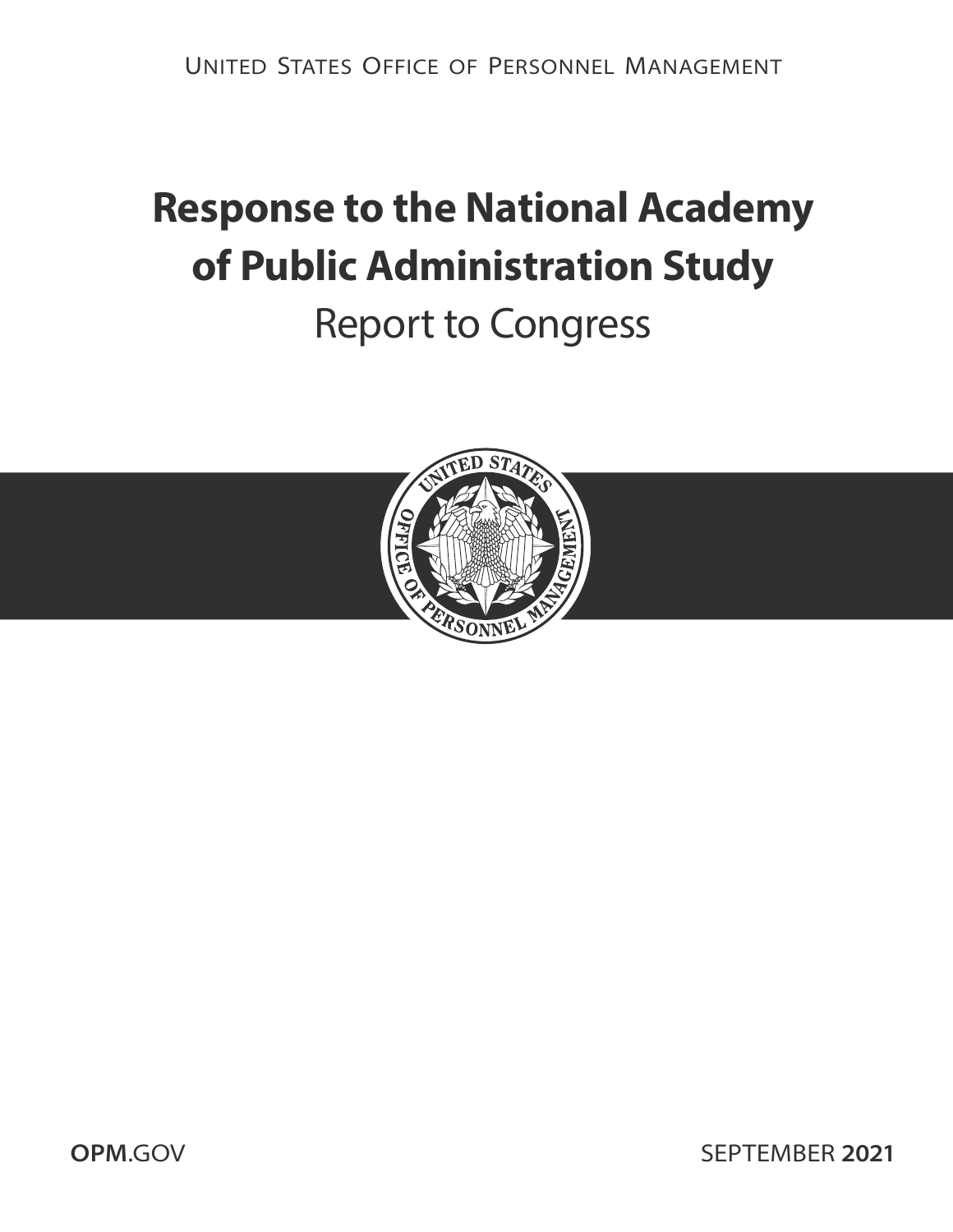UNITED STATES OFFICE OF PERSONNEL MANAGEMENT

# **Response to the National Academy of Public Administration Study**

# Report to Congress



**OPM[.GOV](https://www.opm.gov) SEPTEMBER 2021**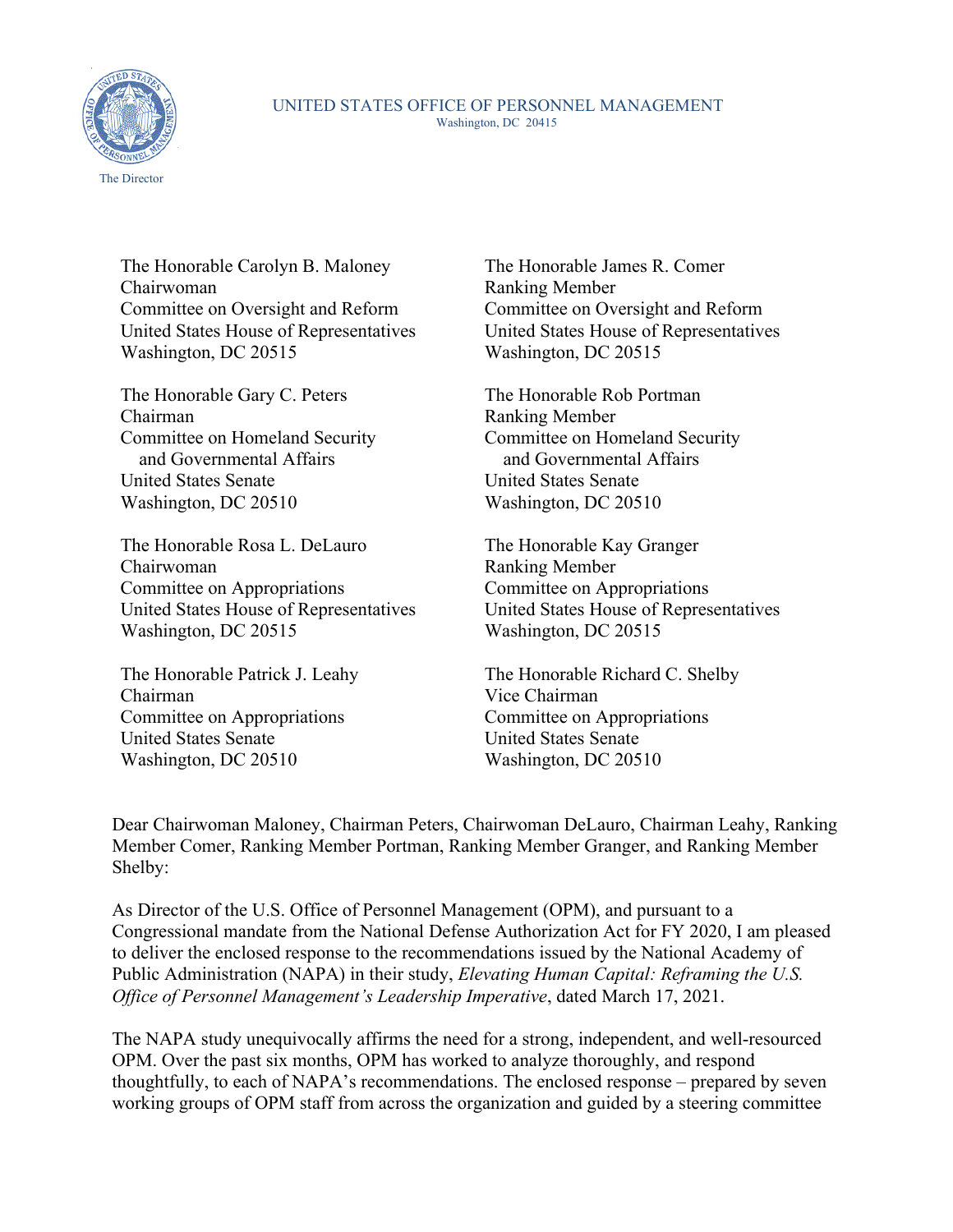

#### UNITED STATES OFFICE OF PERSONNEL MANAGEMENT Washington, DC 20415

The Honorable Carolyn B. Maloney Chairwoman Committee on Oversight and Reform United States House of Representatives Washington, DC 20515

The Honorable Gary C. Peters Chairman Committee on Homeland Security and Governmental Affairs United States Senate Washington, DC 20510

The Honorable Rosa L. DeLauro Chairwoman Committee on Appropriations United States House of Representatives Washington, DC 20515

The Honorable Patrick J. Leahy Chairman Committee on Appropriations United States Senate Washington, DC 20510

The Honorable James R. Comer Ranking Member Committee on Oversight and Reform United States House of Representatives Washington, DC 20515

The Honorable Rob Portman Ranking Member Committee on Homeland Security and Governmental Affairs United States Senate Washington, DC 20510

The Honorable Kay Granger Ranking Member Committee on Appropriations United States House of Representatives Washington, DC 20515

The Honorable Richard C. Shelby Vice Chairman Committee on Appropriations United States Senate Washington, DC 20510

Dear Chairwoman Maloney, Chairman Peters, Chairwoman DeLauro, Chairman Leahy, Ranking Member Comer, Ranking Member Portman, Ranking Member Granger, and Ranking Member Shelby:

As Director of the U.S. Office of Personnel Management (OPM), and pursuant to a Congressional mandate from the National Defense Authorization Act for FY 2020, I am pleased to deliver the enclosed response to the recommendations issued by the National Academy of Public Administration (NAPA) in their study, *Elevating Human Capital: Reframing the U.S. Office of Personnel Management's Leadership Imperative*, dated March 17, 2021.

The NAPA study unequivocally affirms the need for a strong, independent, and well-resourced OPM. Over the past six months, OPM has worked to analyze thoroughly, and respond thoughtfully, to each of NAPA's recommendations. The enclosed response – prepared by seven working groups of OPM staff from across the organization and guided by a steering committee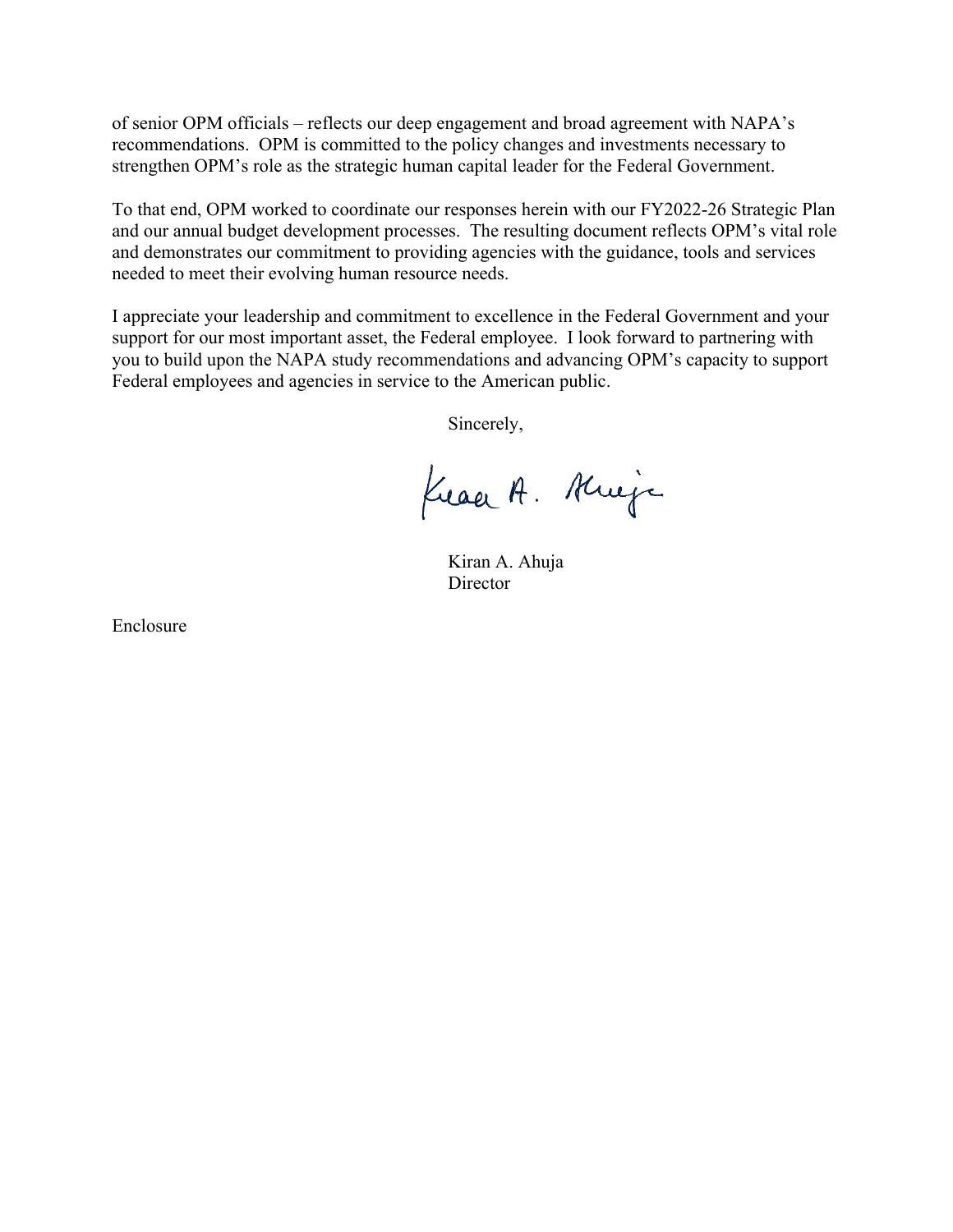of senior OPM officials – reflects our deep engagement and broad agreement with NAPA's recommendations. OPM is committed to the policy changes and investments necessary to strengthen OPM's role as the strategic human capital leader for the Federal Government.

To that end, OPM worked to coordinate our responses herein with our FY2022-26 Strategic Plan and our annual budget development processes. The resulting document reflects OPM's vital role and demonstrates our commitment to providing agencies with the guidance, tools and services needed to meet their evolving human resource needs.

I appreciate your leadership and commitment to excellence in the Federal Government and your support for our most important asset, the Federal employee. I look forward to partnering with you to build upon the NAPA study recommendations and advancing OPM's capacity to support Federal employees and agencies in service to the American public.

Sincerely,

Kraak. Krije

Kiran A. Ahuja Director

Enclosure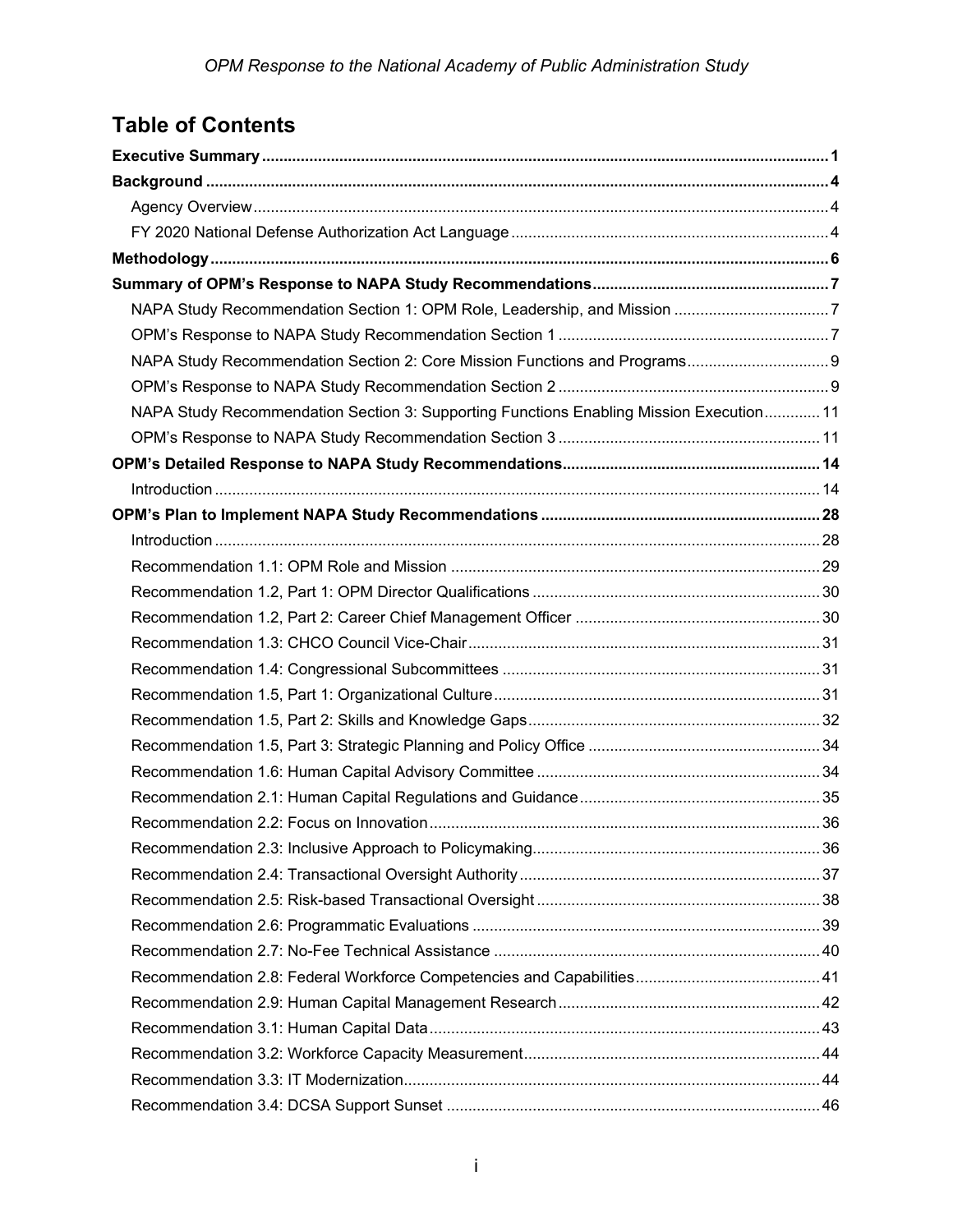## **Table of Contents**

| NAPA Study Recommendation Section 3: Supporting Functions Enabling Mission Execution 11 |  |
|-----------------------------------------------------------------------------------------|--|
|                                                                                         |  |
|                                                                                         |  |
|                                                                                         |  |
|                                                                                         |  |
|                                                                                         |  |
|                                                                                         |  |
|                                                                                         |  |
|                                                                                         |  |
|                                                                                         |  |
|                                                                                         |  |
|                                                                                         |  |
|                                                                                         |  |
|                                                                                         |  |
|                                                                                         |  |
|                                                                                         |  |
|                                                                                         |  |
|                                                                                         |  |
|                                                                                         |  |
|                                                                                         |  |
|                                                                                         |  |
|                                                                                         |  |
|                                                                                         |  |
|                                                                                         |  |
|                                                                                         |  |
|                                                                                         |  |
|                                                                                         |  |
|                                                                                         |  |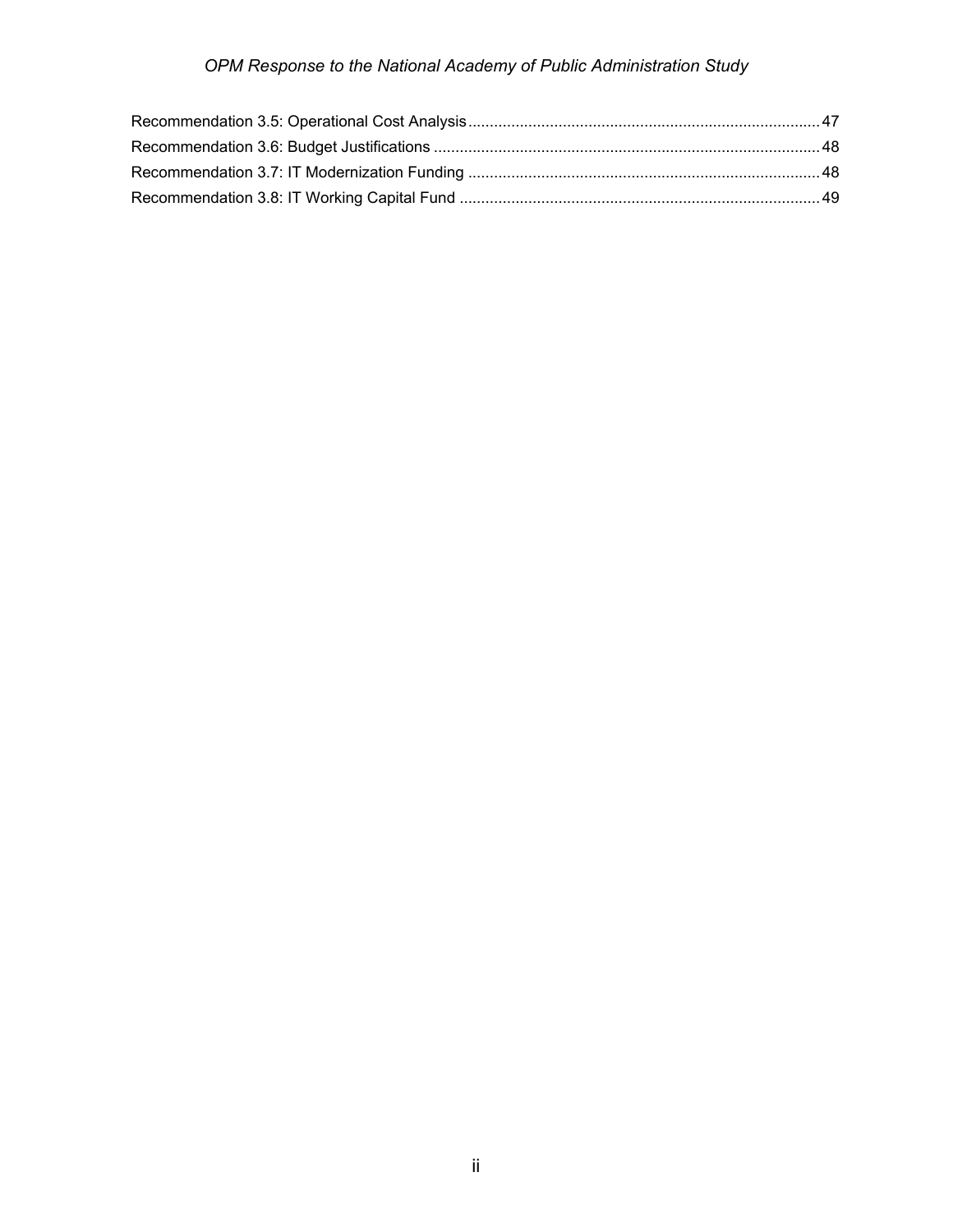## *OPM Response to the National Academy of Public Administration Study*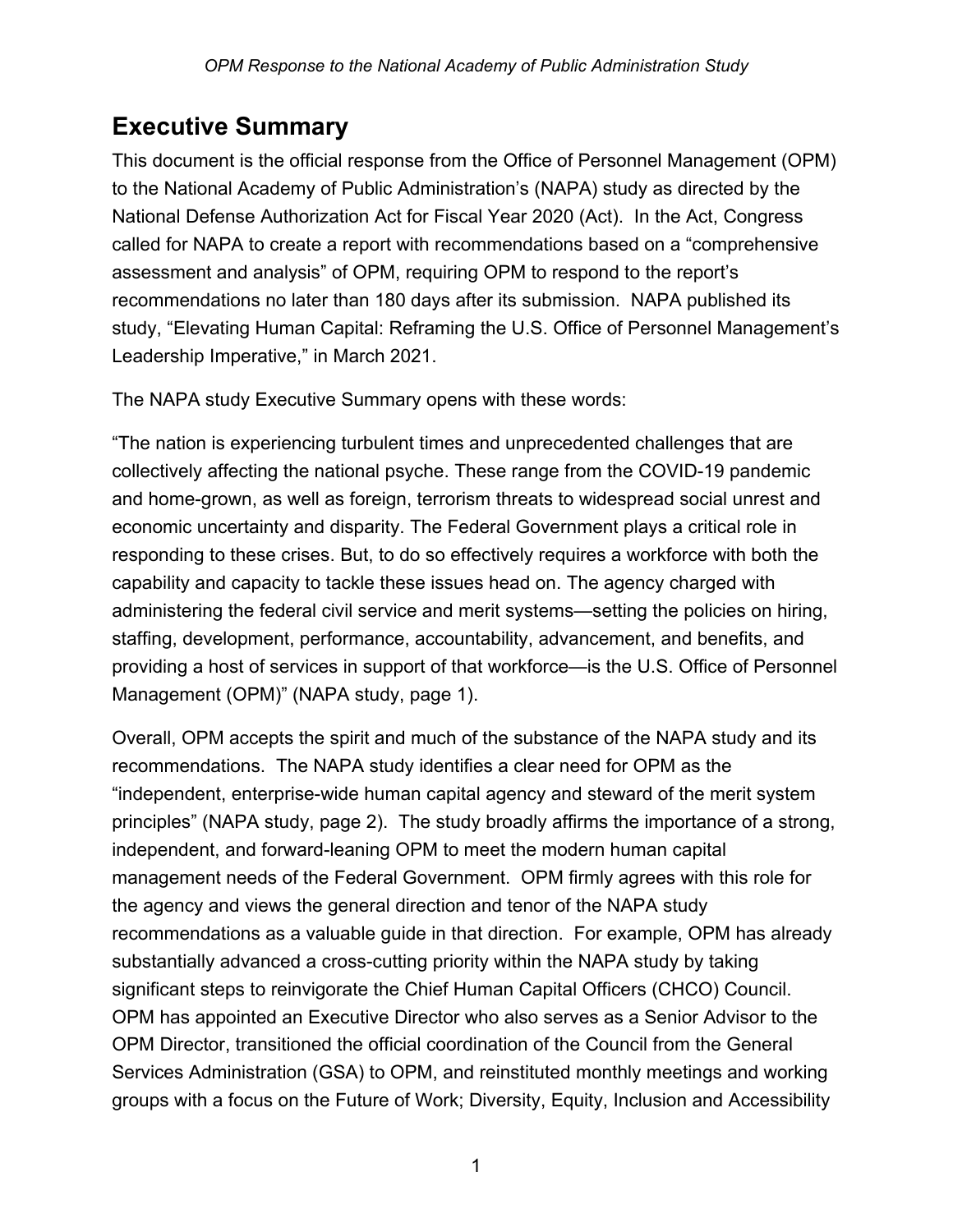# <span id="page-5-0"></span>**Executive Summary**

This document is the official response from the Office of Personnel Management (OPM) to the National Academy of Public Administration's (NAPA) study as directed by the National Defense Authorization Act for Fiscal Year 2020 (Act). In the Act, Congress called for NAPA to create a report with recommendations based on a "comprehensive assessment and analysis" of OPM, requiring OPM to respond to the report's recommendations no later than 180 days after its submission. NAPA published its study, "Elevating Human Capital: Reframing the U.S. Office of Personnel Management's Leadership Imperative," in March 2021.

The NAPA study Executive Summary opens with these words:

"The nation is experiencing turbulent times and unprecedented challenges that are collectively affecting the national psyche. These range from the COVID-19 pandemic and home-grown, as well as foreign, terrorism threats to widespread social unrest and economic uncertainty and disparity. The Federal Government plays a critical role in responding to these crises. But, to do so effectively requires a workforce with both the capability and capacity to tackle these issues head on. The agency charged with administering the federal civil service and merit systems—setting the policies on hiring, staffing, development, performance, accountability, advancement, and benefits, and providing a host of services in support of that workforce—is the U.S. Office of Personnel Management (OPM)" (NAPA study, page 1).

Overall, OPM accepts the spirit and much of the substance of the NAPA study and its recommendations. The NAPA study identifies a clear need for OPM as the "independent, enterprise-wide human capital agency and steward of the merit system principles" (NAPA study, page 2). The study broadly affirms the importance of a strong, independent, and forward-leaning OPM to meet the modern human capital management needs of the Federal Government. OPM firmly agrees with this role for the agency and views the general direction and tenor of the NAPA study recommendations as a valuable guide in that direction. For example, OPM has already substantially advanced a cross-cutting priority within the NAPA study by taking significant steps to reinvigorate the Chief Human Capital Officers (CHCO) Council. OPM has appointed an Executive Director who also serves as a Senior Advisor to the OPM Director, transitioned the official coordination of the Council from the General Services Administration (GSA) to OPM, and reinstituted monthly meetings and working groups with a focus on the Future of Work; Diversity, Equity, Inclusion and Accessibility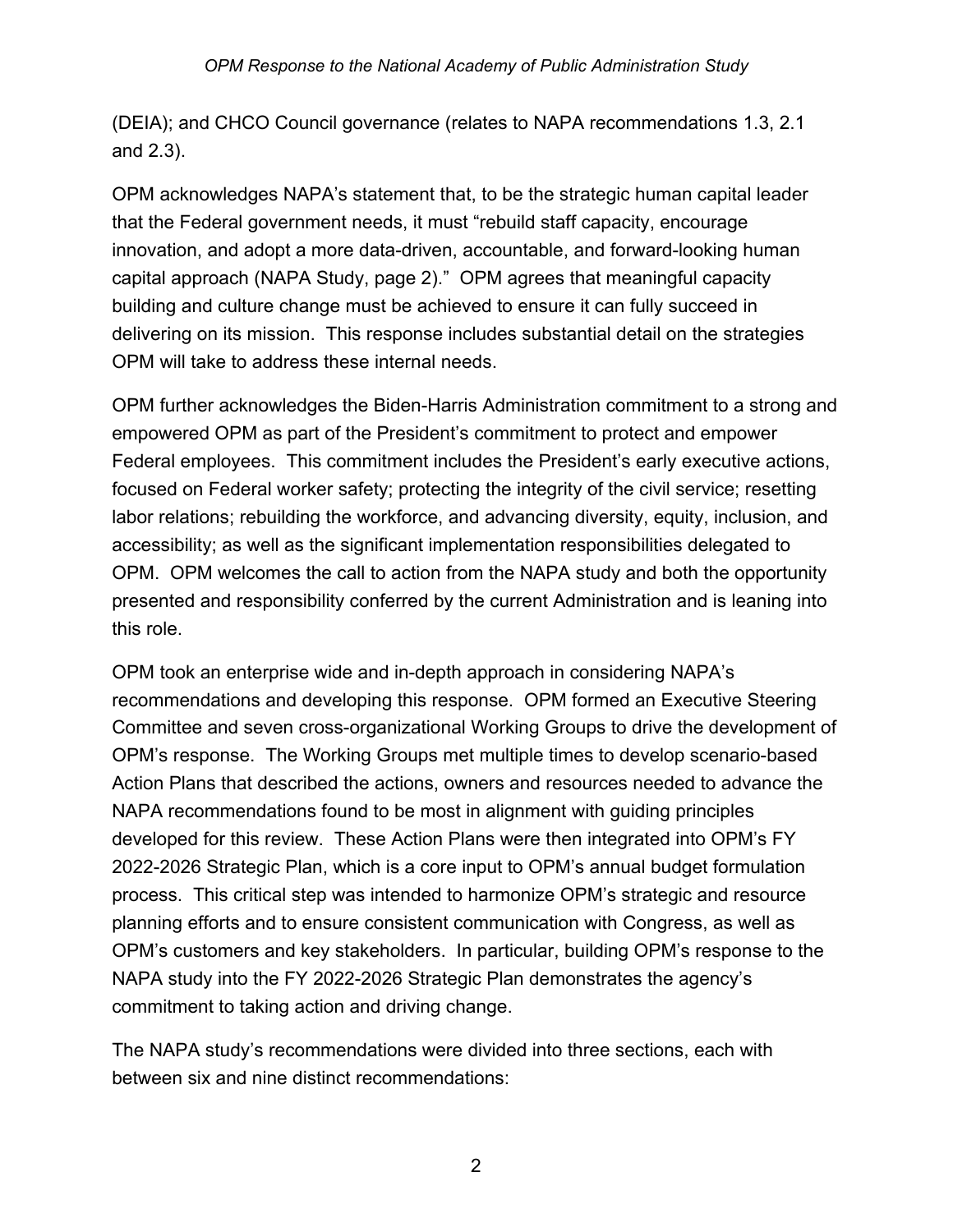(DEIA); and CHCO Council governance (relates to NAPA recommendations 1.3, 2.1 and 2.3).

OPM acknowledges NAPA's statement that, to be the strategic human capital leader that the Federal government needs, it must "rebuild staff capacity, encourage innovation, and adopt a more data-driven, accountable, and forward-looking human capital approach (NAPA Study, page 2)." OPM agrees that meaningful capacity building and culture change must be achieved to ensure it can fully succeed in delivering on its mission. This response includes substantial detail on the strategies OPM will take to address these internal needs.

OPM further acknowledges the Biden-Harris Administration commitment to a strong and empowered OPM as part of the President's commitment to protect and empower Federal employees. This commitment includes the President's early executive actions, focused on Federal worker safety; protecting the integrity of the civil service; resetting labor relations; rebuilding the workforce, and advancing diversity, equity, inclusion, and accessibility; as well as the significant implementation responsibilities delegated to OPM. OPM welcomes the call to action from the NAPA study and both the opportunity presented and responsibility conferred by the current Administration and is leaning into this role.

OPM took an enterprise wide and in-depth approach in considering NAPA's recommendations and developing this response. OPM formed an Executive Steering Committee and seven cross-organizational Working Groups to drive the development of OPM's response. The Working Groups met multiple times to develop scenario-based Action Plans that described the actions, owners and resources needed to advance the NAPA recommendations found to be most in alignment with guiding principles developed for this review. These Action Plans were then integrated into OPM's FY 2022-2026 Strategic Plan, which is a core input to OPM's annual budget formulation process. This critical step was intended to harmonize OPM's strategic and resource planning efforts and to ensure consistent communication with Congress, as well as OPM's customers and key stakeholders. In particular, building OPM's response to the NAPA study into the FY 2022-2026 Strategic Plan demonstrates the agency's commitment to taking action and driving change.

The NAPA study's recommendations were divided into three sections, each with between six and nine distinct recommendations: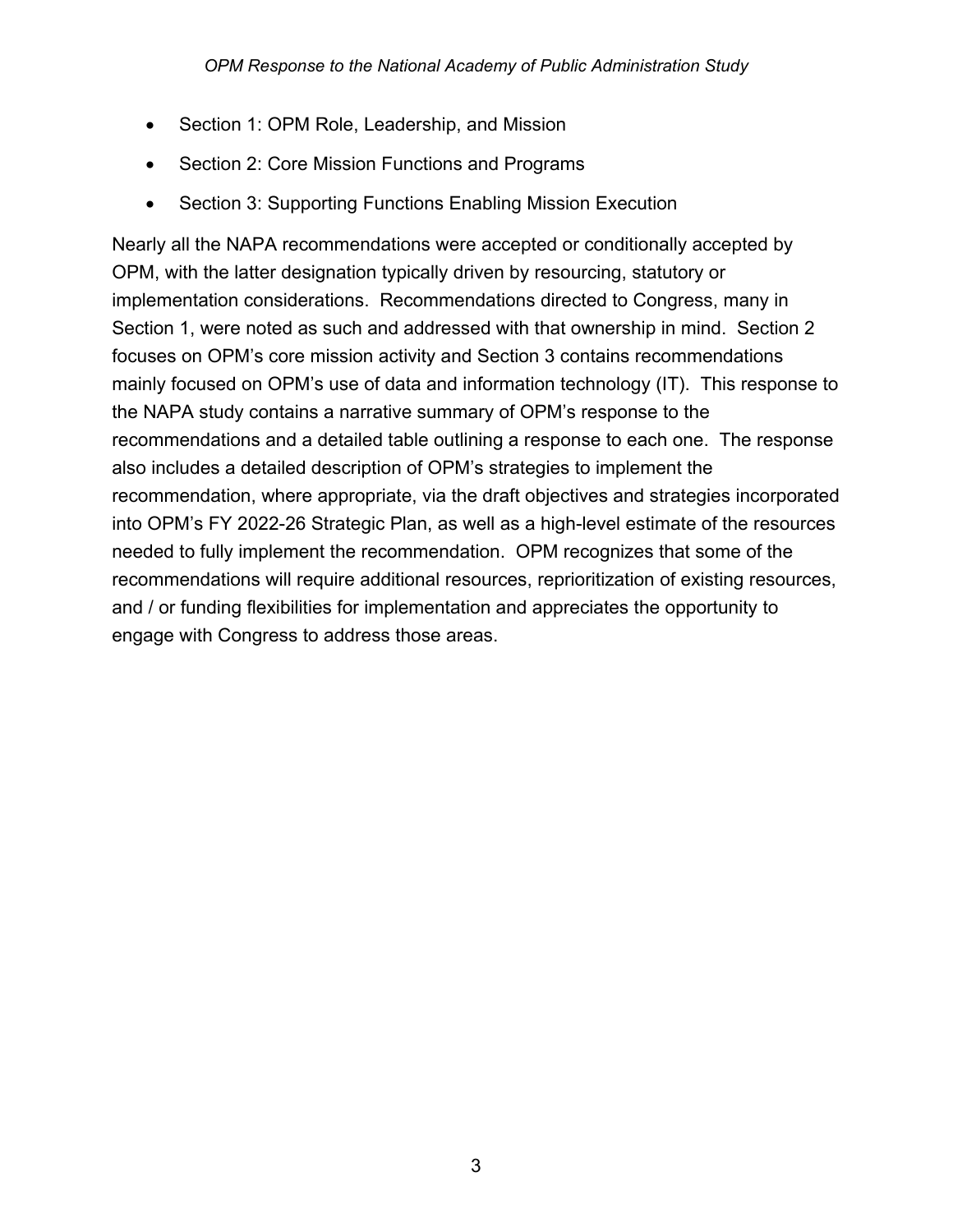- Section 1: OPM Role, Leadership, and Mission
- Section 2: Core Mission Functions and Programs
- Section 3: Supporting Functions Enabling Mission Execution

Nearly all the NAPA recommendations were accepted or conditionally accepted by OPM, with the latter designation typically driven by resourcing, statutory or implementation considerations. Recommendations directed to Congress, many in Section 1, were noted as such and addressed with that ownership in mind. Section 2 focuses on OPM's core mission activity and Section 3 contains recommendations mainly focused on OPM's use of data and information technology (IT). This response to the NAPA study contains a narrative summary of OPM's response to the recommendations and a detailed table outlining a response to each one. The response also includes a detailed description of OPM's strategies to implement the recommendation, where appropriate, via the draft objectives and strategies incorporated into OPM's FY 2022-26 Strategic Plan, as well as a high-level estimate of the resources needed to fully implement the recommendation. OPM recognizes that some of the recommendations will require additional resources, reprioritization of existing resources, and / or funding flexibilities for implementation and appreciates the opportunity to engage with Congress to address those areas.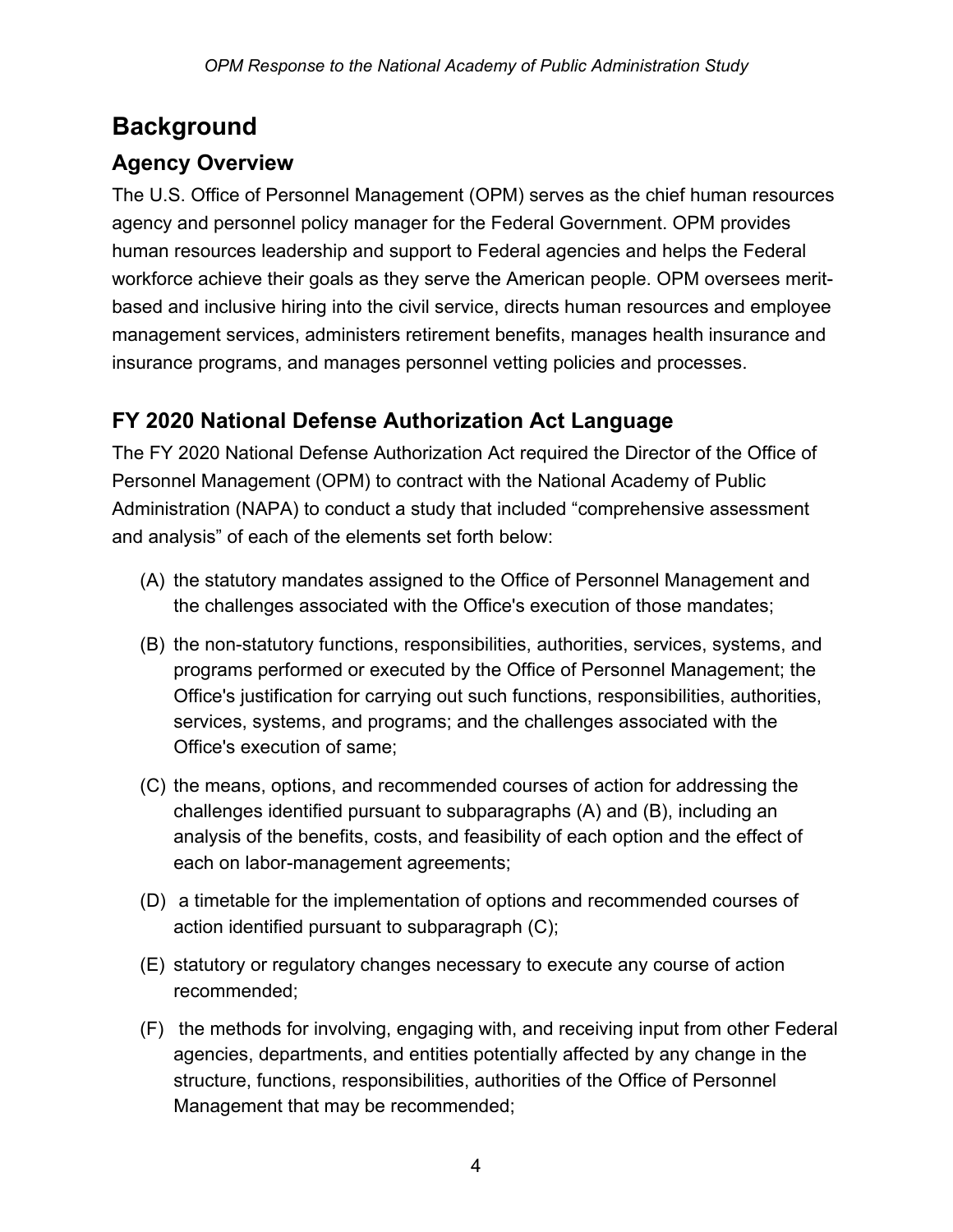# <span id="page-8-0"></span>**Background**

## <span id="page-8-1"></span>**Agency Overview**

The U.S. Office of Personnel Management (OPM) serves as the chief human resources agency and personnel policy manager for the Federal Government. OPM provides human resources leadership and support to Federal agencies and helps the Federal workforce achieve their goals as they serve the American people. OPM oversees meritbased and inclusive hiring into the civil service, directs human resources and employee management services, administers retirement benefits, manages health insurance and insurance programs, and manages personnel vetting policies and processes.

## <span id="page-8-2"></span>**FY 2020 National Defense Authorization Act Language**

The FY 2020 National Defense Authorization Act required the Director of the Office of Personnel Management (OPM) to contract with the National Academy of Public Administration (NAPA) to conduct a study that included "comprehensive assessment and analysis" of each of the elements set forth below:

- (A) the statutory mandates assigned to the Office of Personnel Management and the challenges associated with the Office's execution of those mandates;
- (B) the non-statutory functions, responsibilities, authorities, services, systems, and programs performed or executed by the Office of Personnel Management; the Office's justification for carrying out such functions, responsibilities, authorities, services, systems, and programs; and the challenges associated with the Office's execution of same;
- (C) the means, options, and recommended courses of action for addressing the challenges identified pursuant to subparagraphs (A) and (B), including an analysis of the benefits, costs, and feasibility of each option and the effect of each on labor-management agreements;
- (D) a timetable for the implementation of options and recommended courses of action identified pursuant to subparagraph (C);
- (E) statutory or regulatory changes necessary to execute any course of action recommended;
- (F) the methods for involving, engaging with, and receiving input from other Federal agencies, departments, and entities potentially affected by any change in the structure, functions, responsibilities, authorities of the Office of Personnel Management that may be recommended;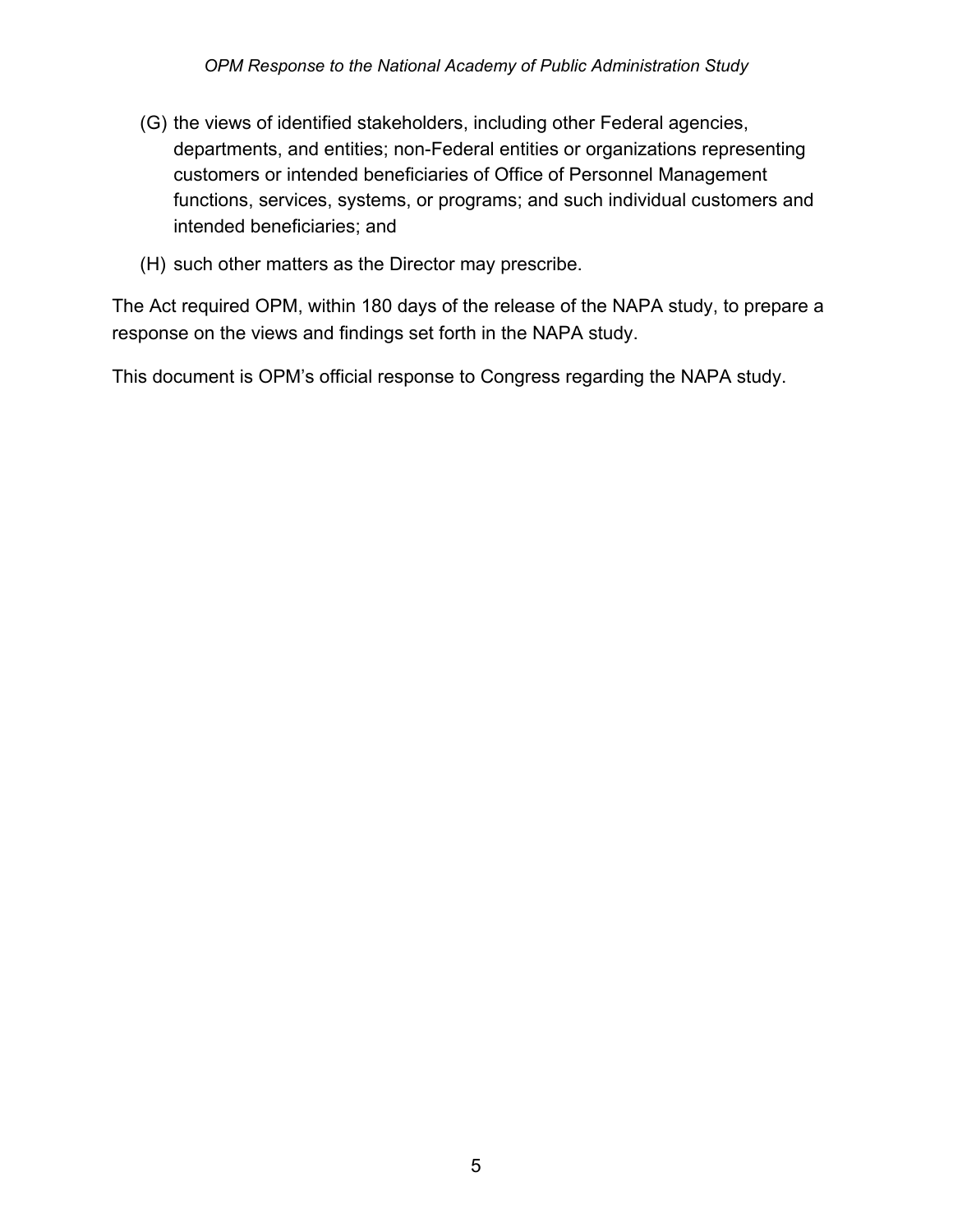- (G) the views of identified stakeholders, including other Federal agencies, departments, and entities; non-Federal entities or organizations representing customers or intended beneficiaries of Office of Personnel Management functions, services, systems, or programs; and such individual customers and intended beneficiaries; and
- (H) such other matters as the Director may prescribe.

The Act required OPM, within 180 days of the release of the NAPA study, to prepare a response on the views and findings set forth in the NAPA study.

This document is OPM's official response to Congress regarding the NAPA study.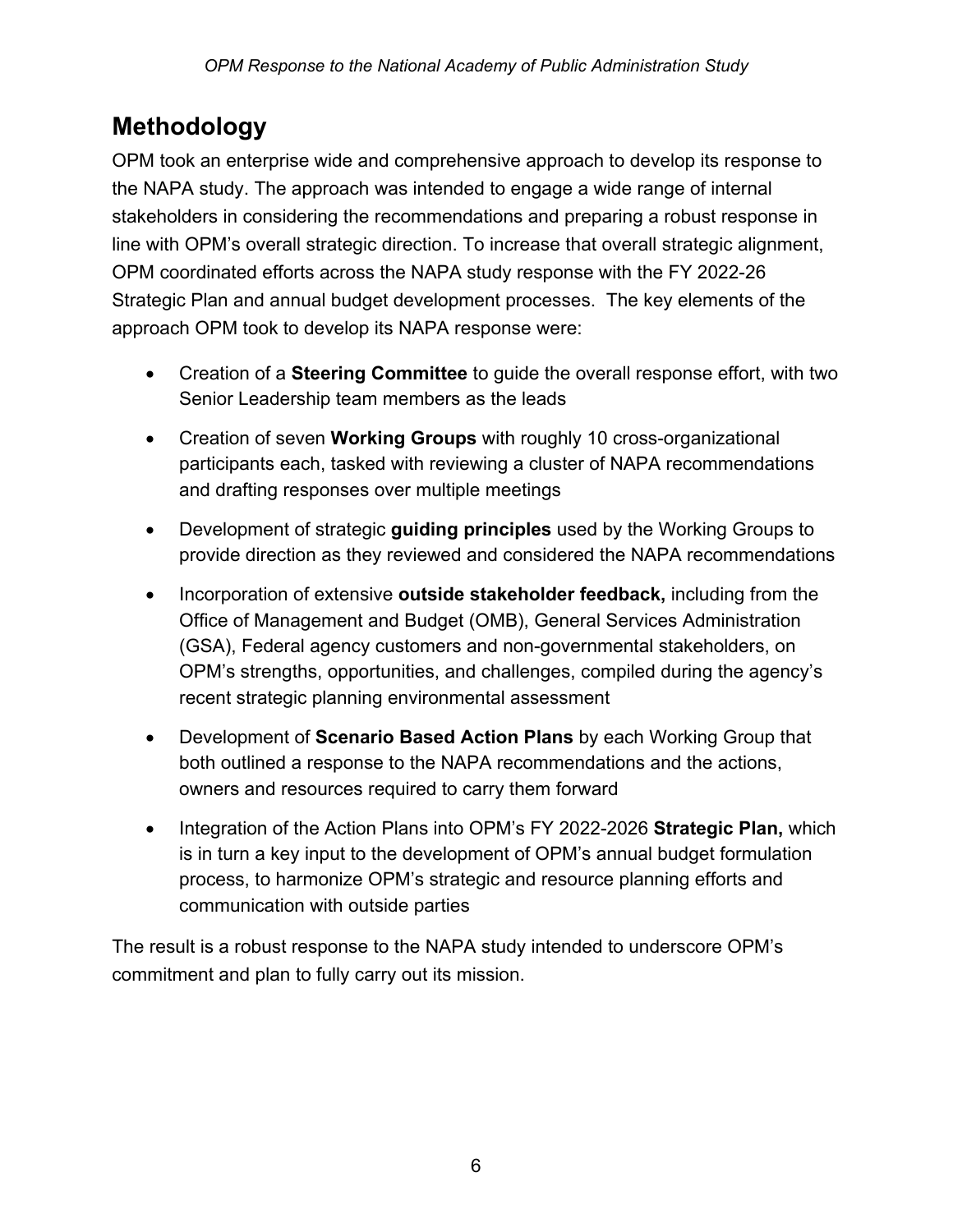# <span id="page-10-0"></span>**Methodology**

OPM took an enterprise wide and comprehensive approach to develop its response to the NAPA study. The approach was intended to engage a wide range of internal stakeholders in considering the recommendations and preparing a robust response in line with OPM's overall strategic direction. To increase that overall strategic alignment, OPM coordinated efforts across the NAPA study response with the FY 2022-26 Strategic Plan and annual budget development processes. The key elements of the approach OPM took to develop its NAPA response were:

- Creation of a **Steering Committee** to guide the overall response effort, with two Senior Leadership team members as the leads
- Creation of seven **Working Groups** with roughly 10 cross-organizational participants each, tasked with reviewing a cluster of NAPA recommendations and drafting responses over multiple meetings
- Development of strategic **guiding principles** used by the Working Groups to provide direction as they reviewed and considered the NAPA recommendations
- Incorporation of extensive **outside stakeholder feedback,** including from the Office of Management and Budget (OMB), General Services Administration (GSA), Federal agency customers and non-governmental stakeholders, on OPM's strengths, opportunities, and challenges, compiled during the agency's recent strategic planning environmental assessment
- Development of **Scenario Based Action Plans** by each Working Group that both outlined a response to the NAPA recommendations and the actions, owners and resources required to carry them forward
- Integration of the Action Plans into OPM's FY 2022-2026 **Strategic Plan,** which is in turn a key input to the development of OPM's annual budget formulation process, to harmonize OPM's strategic and resource planning efforts and communication with outside parties

The result is a robust response to the NAPA study intended to underscore OPM's commitment and plan to fully carry out its mission.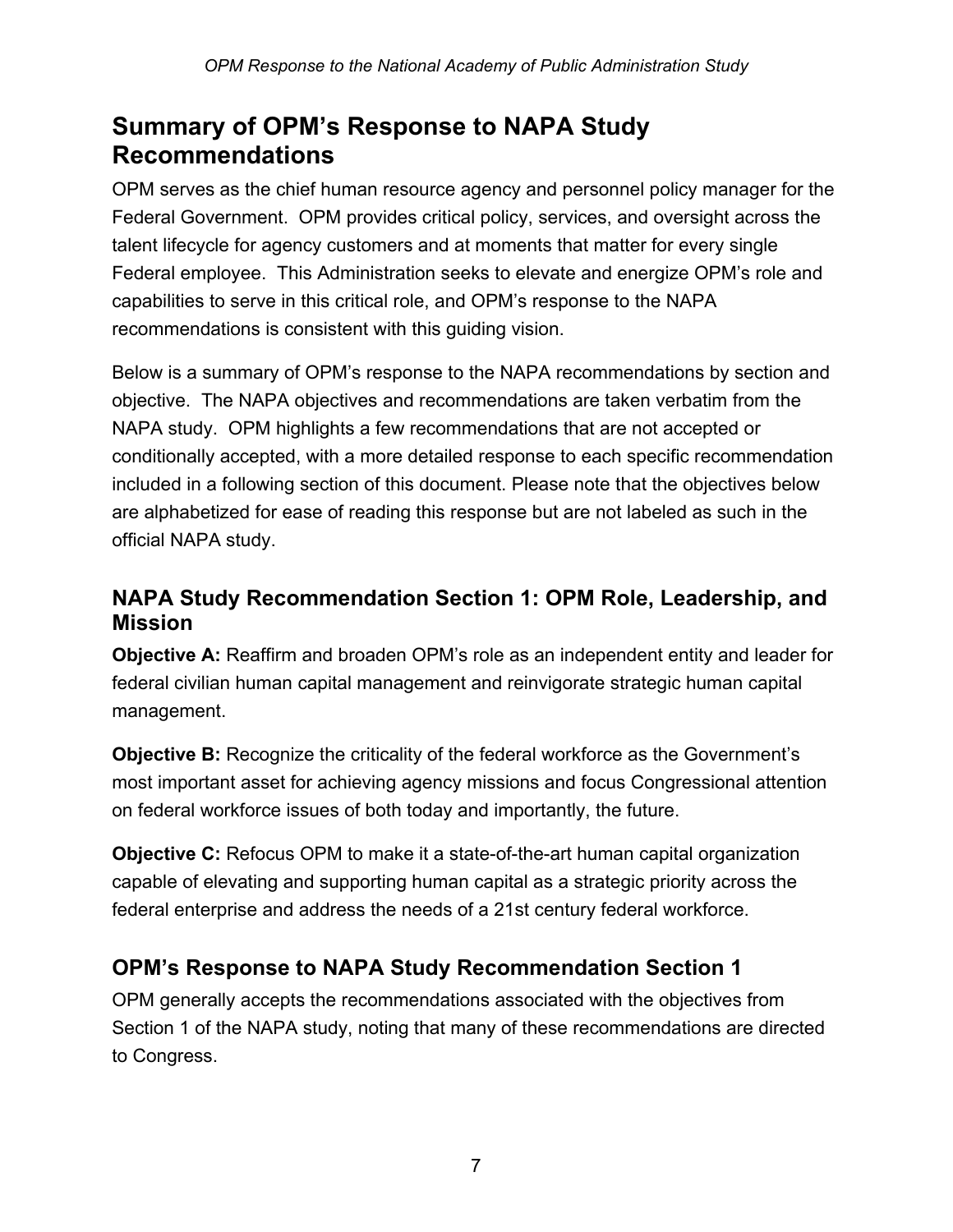# <span id="page-11-0"></span>**Summary of OPM's Response to NAPA Study Recommendations**

OPM serves as the chief human resource agency and personnel policy manager for the Federal Government. OPM provides critical policy, services, and oversight across the talent lifecycle for agency customers and at moments that matter for every single Federal employee. This Administration seeks to elevate and energize OPM's role and capabilities to serve in this critical role, and OPM's response to the NAPA recommendations is consistent with this guiding vision.

Below is a summary of OPM's response to the NAPA recommendations by section and objective. The NAPA objectives and recommendations are taken verbatim from the NAPA study. OPM highlights a few recommendations that are not accepted or conditionally accepted, with a more detailed response to each specific recommendation included in a following section of this document. Please note that the objectives below are alphabetized for ease of reading this response but are not labeled as such in the official NAPA study.

## <span id="page-11-1"></span>**NAPA Study Recommendation Section 1: OPM Role, Leadership, and Mission**

**Objective A:** Reaffirm and broaden OPM's role as an independent entity and leader for federal civilian human capital management and reinvigorate strategic human capital management.

**Objective B:** Recognize the criticality of the federal workforce as the Government's most important asset for achieving agency missions and focus Congressional attention on federal workforce issues of both today and importantly, the future.

**Objective C:** Refocus OPM to make it a state-of-the-art human capital organization capable of elevating and supporting human capital as a strategic priority across the federal enterprise and address the needs of a 21st century federal workforce.

## <span id="page-11-2"></span>**OPM's Response to NAPA Study Recommendation Section 1**

OPM generally accepts the recommendations associated with the objectives from Section 1 of the NAPA study, noting that many of these recommendations are directed to Congress.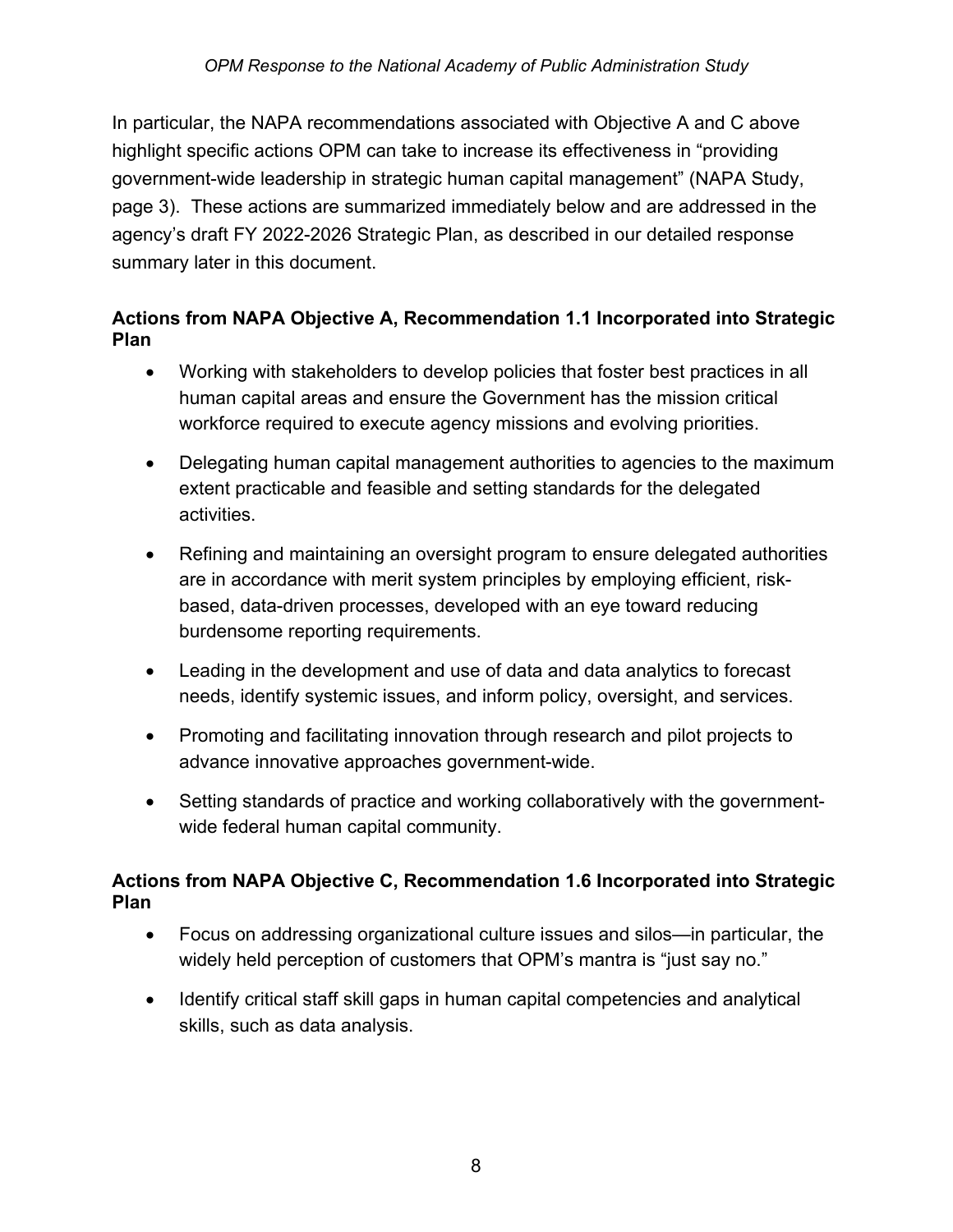In particular, the NAPA recommendations associated with Objective A and C above highlight specific actions OPM can take to increase its effectiveness in "providing government-wide leadership in strategic human capital management" (NAPA Study, page 3). These actions are summarized immediately below and are addressed in the agency's draft FY 2022-2026 Strategic Plan, as described in our detailed response summary later in this document.

#### **Actions from NAPA Objective A, Recommendation 1.1 Incorporated into Strategic Plan**

- Working with stakeholders to develop policies that foster best practices in all human capital areas and ensure the Government has the mission critical workforce required to execute agency missions and evolving priorities.
- Delegating human capital management authorities to agencies to the maximum extent practicable and feasible and setting standards for the delegated activities.
- Refining and maintaining an oversight program to ensure delegated authorities are in accordance with merit system principles by employing efficient, riskbased, data-driven processes, developed with an eye toward reducing burdensome reporting requirements.
- Leading in the development and use of data and data analytics to forecast needs, identify systemic issues, and inform policy, oversight, and services.
- Promoting and facilitating innovation through research and pilot projects to advance innovative approaches government-wide.
- Setting standards of practice and working collaboratively with the governmentwide federal human capital community.

#### **Actions from NAPA Objective C, Recommendation 1.6 Incorporated into Strategic Plan**

- Focus on addressing organizational culture issues and silos—in particular, the widely held perception of customers that OPM's mantra is "just say no."
- Identify critical staff skill gaps in human capital competencies and analytical skills, such as data analysis.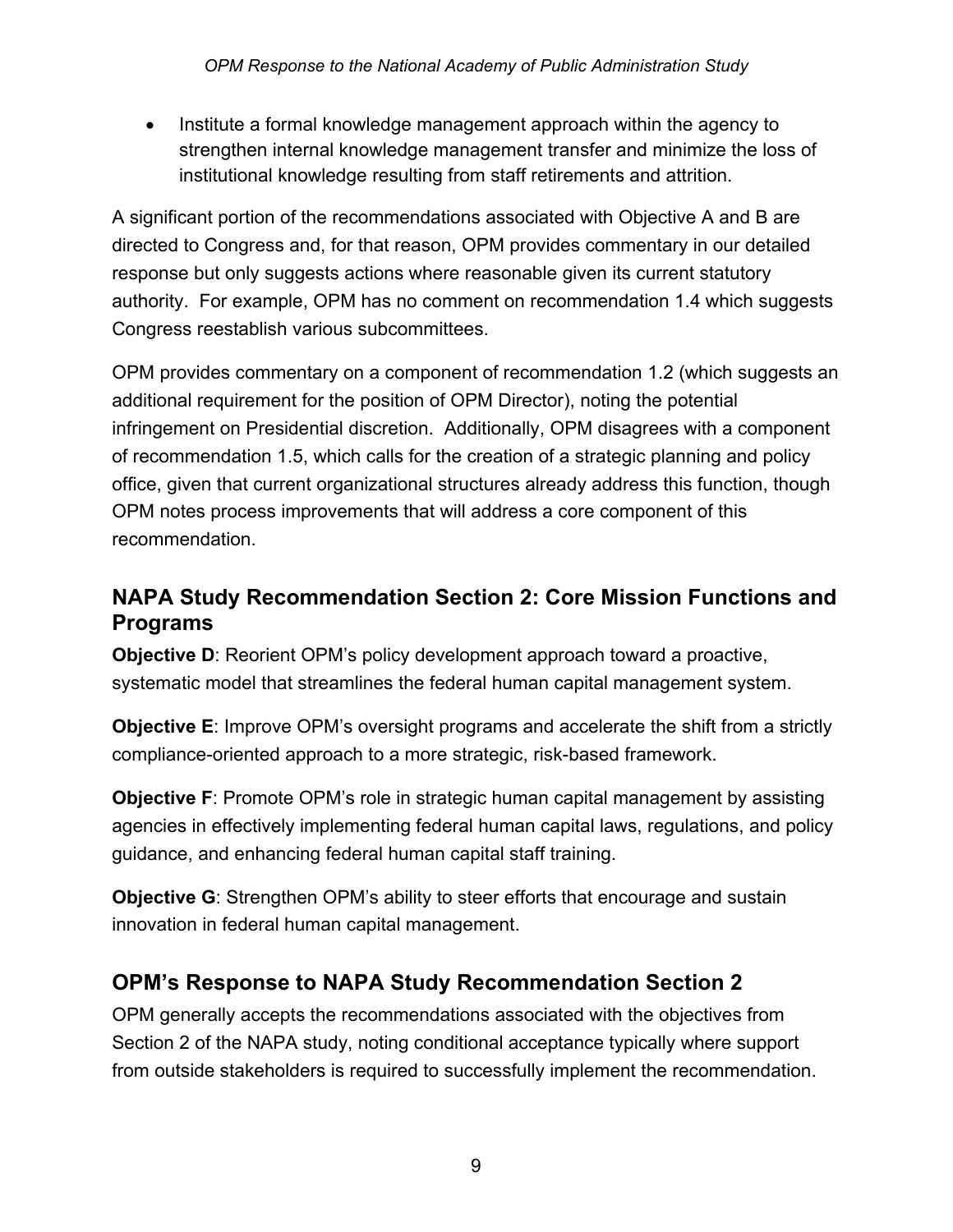• Institute a formal knowledge management approach within the agency to strengthen internal knowledge management transfer and minimize the loss of institutional knowledge resulting from staff retirements and attrition.

A significant portion of the recommendations associated with Objective A and B are directed to Congress and, for that reason, OPM provides commentary in our detailed response but only suggests actions where reasonable given its current statutory authority. For example, OPM has no comment on recommendation 1.4 which suggests Congress reestablish various subcommittees.

OPM provides commentary on a component of recommendation 1.2 (which suggests an additional requirement for the position of OPM Director), noting the potential infringement on Presidential discretion. Additionally, OPM disagrees with a component of recommendation 1.5, which calls for the creation of a strategic planning and policy office, given that current organizational structures already address this function, though OPM notes process improvements that will address a core component of this recommendation.

## <span id="page-13-0"></span>**NAPA Study Recommendation Section 2: Core Mission Functions and Programs**

**Objective D:** Reorient OPM's policy development approach toward a proactive, systematic model that streamlines the federal human capital management system.

**Objective E**: Improve OPM's oversight programs and accelerate the shift from a strictly compliance-oriented approach to a more strategic, risk-based framework.

**Objective F**: Promote OPM's role in strategic human capital management by assisting agencies in effectively implementing federal human capital laws, regulations, and policy guidance, and enhancing federal human capital staff training.

**Objective G**: Strengthen OPM's ability to steer efforts that encourage and sustain innovation in federal human capital management.

## <span id="page-13-1"></span>**OPM's Response to NAPA Study Recommendation Section 2**

OPM generally accepts the recommendations associated with the objectives from Section 2 of the NAPA study, noting conditional acceptance typically where support from outside stakeholders is required to successfully implement the recommendation.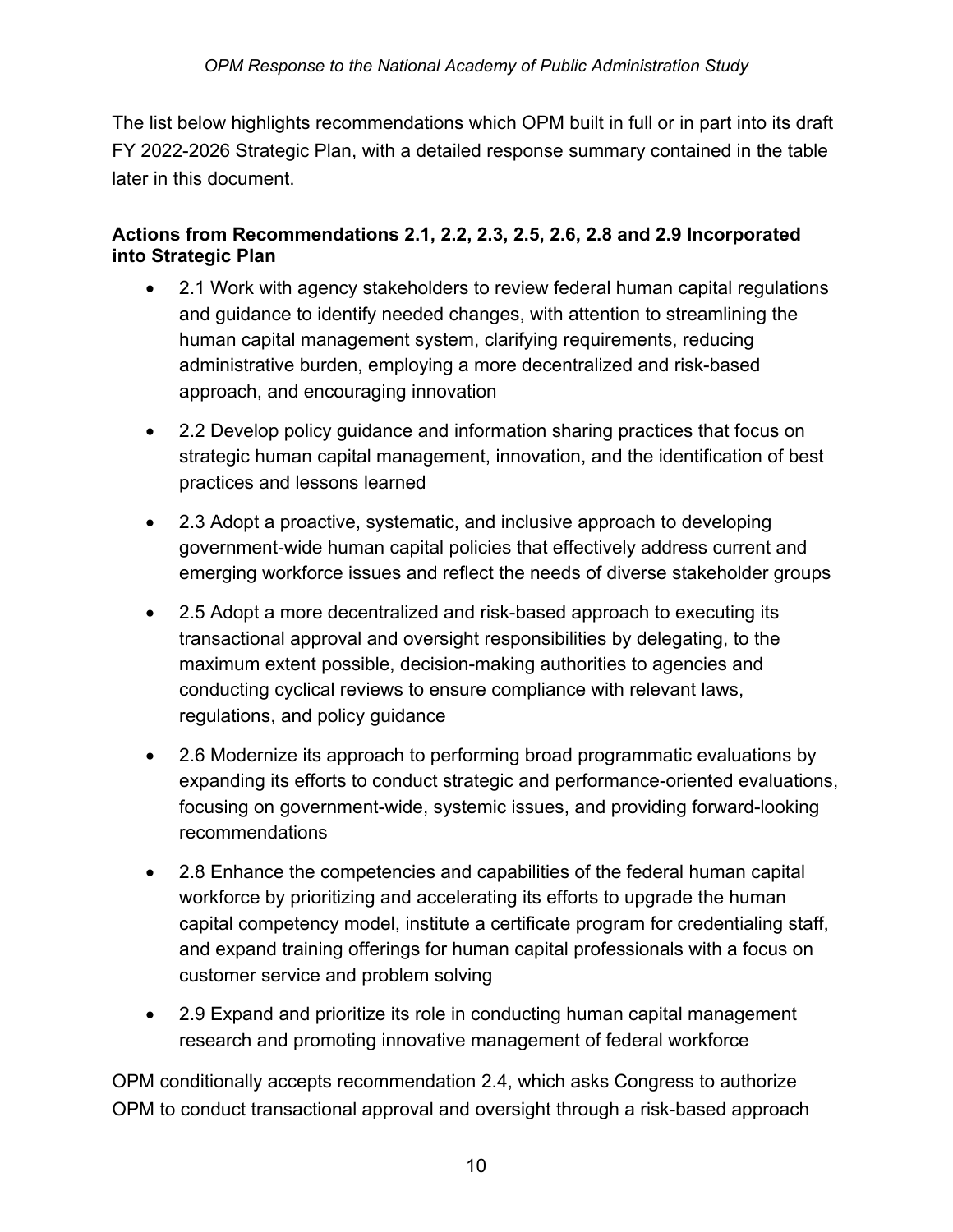The list below highlights recommendations which OPM built in full or in part into its draft FY 2022-2026 Strategic Plan, with a detailed response summary contained in the table later in this document.

#### **Actions from Recommendations 2.1, 2.2, 2.3, 2.5, 2.6, 2.8 and 2.9 Incorporated into Strategic Plan**

- 2.1 Work with agency stakeholders to review federal human capital regulations and guidance to identify needed changes, with attention to streamlining the human capital management system, clarifying requirements, reducing administrative burden, employing a more decentralized and risk-based approach, and encouraging innovation
- 2.2 Develop policy guidance and information sharing practices that focus on strategic human capital management, innovation, and the identification of best practices and lessons learned
- 2.3 Adopt a proactive, systematic, and inclusive approach to developing government-wide human capital policies that effectively address current and emerging workforce issues and reflect the needs of diverse stakeholder groups
- 2.5 Adopt a more decentralized and risk-based approach to executing its transactional approval and oversight responsibilities by delegating, to the maximum extent possible, decision-making authorities to agencies and conducting cyclical reviews to ensure compliance with relevant laws, regulations, and policy guidance
- 2.6 Modernize its approach to performing broad programmatic evaluations by expanding its efforts to conduct strategic and performance-oriented evaluations, focusing on government-wide, systemic issues, and providing forward-looking recommendations
- 2.8 Enhance the competencies and capabilities of the federal human capital workforce by prioritizing and accelerating its efforts to upgrade the human capital competency model, institute a certificate program for credentialing staff, and expand training offerings for human capital professionals with a focus on customer service and problem solving
- 2.9 Expand and prioritize its role in conducting human capital management research and promoting innovative management of federal workforce

OPM conditionally accepts recommendation 2.4, which asks Congress to authorize OPM to conduct transactional approval and oversight through a risk-based approach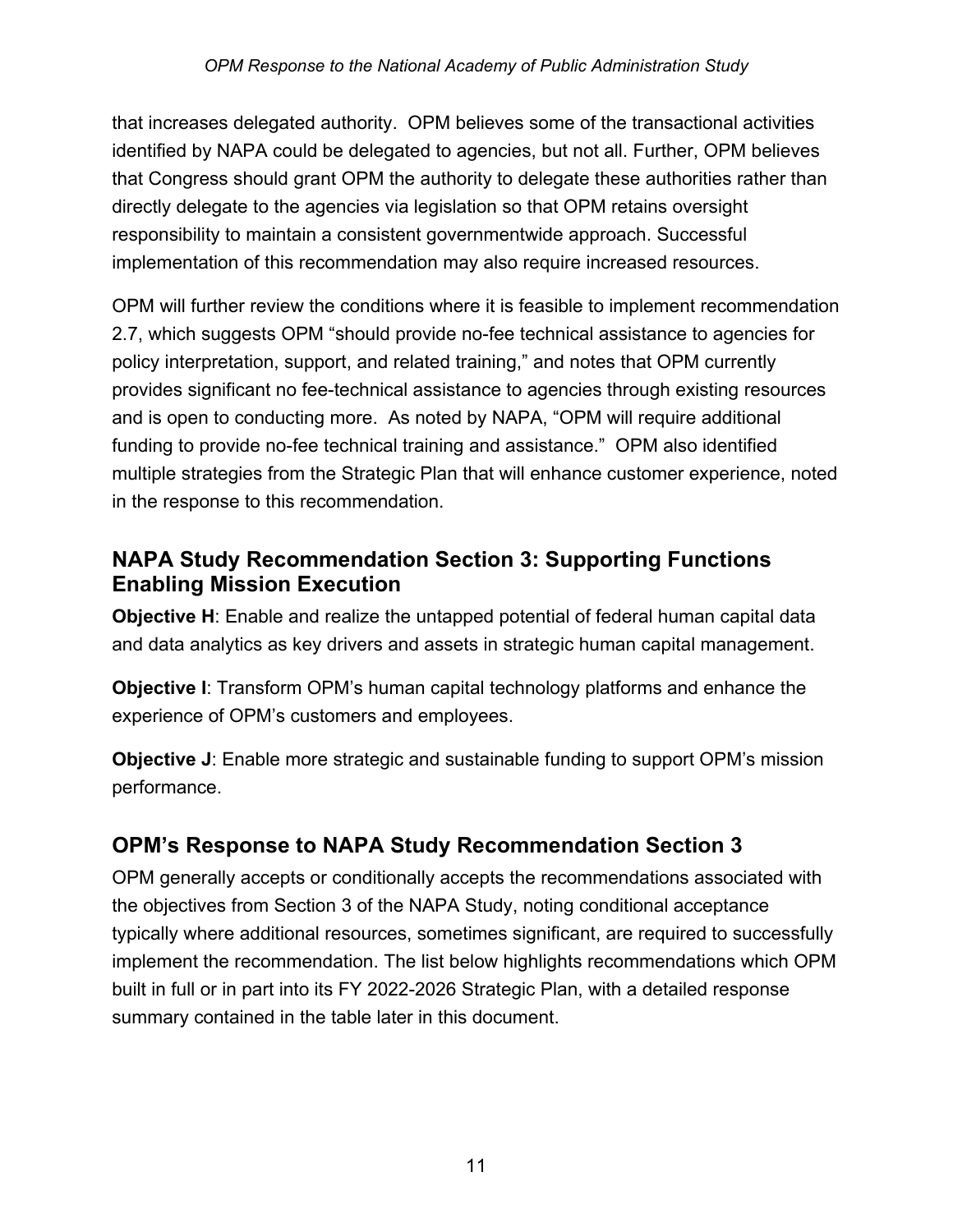that increases delegated authority. OPM believes some of the transactional activities identified by NAPA could be delegated to agencies, but not all. Further, OPM believes that Congress should grant OPM the authority to delegate these authorities rather than directly delegate to the agencies via legislation so that OPM retains oversight responsibility to maintain a consistent governmentwide approach. Successful implementation of this recommendation may also require increased resources.

OPM will further review the conditions where it is feasible to implement recommendation 2.7, which suggests OPM "should provide no-fee technical assistance to agencies for policy interpretation, support, and related training," and notes that OPM currently provides significant no fee-technical assistance to agencies through existing resources and is open to conducting more. As noted by NAPA, "OPM will require additional funding to provide no-fee technical training and assistance." OPM also identified multiple strategies from the Strategic Plan that will enhance customer experience, noted in the response to this recommendation.

## <span id="page-15-0"></span>**NAPA Study Recommendation Section 3: Supporting Functions Enabling Mission Execution**

**Objective H**: Enable and realize the untapped potential of federal human capital data and data analytics as key drivers and assets in strategic human capital management.

**Objective I**: Transform OPM's human capital technology platforms and enhance the experience of OPM's customers and employees.

**Objective J**: Enable more strategic and sustainable funding to support OPM's mission performance.

## <span id="page-15-1"></span>**OPM's Response to NAPA Study Recommendation Section 3**

OPM generally accepts or conditionally accepts the recommendations associated with the objectives from Section 3 of the NAPA Study, noting conditional acceptance typically where additional resources, sometimes significant, are required to successfully implement the recommendation. The list below highlights recommendations which OPM built in full or in part into its FY 2022-2026 Strategic Plan, with a detailed response summary contained in the table later in this document.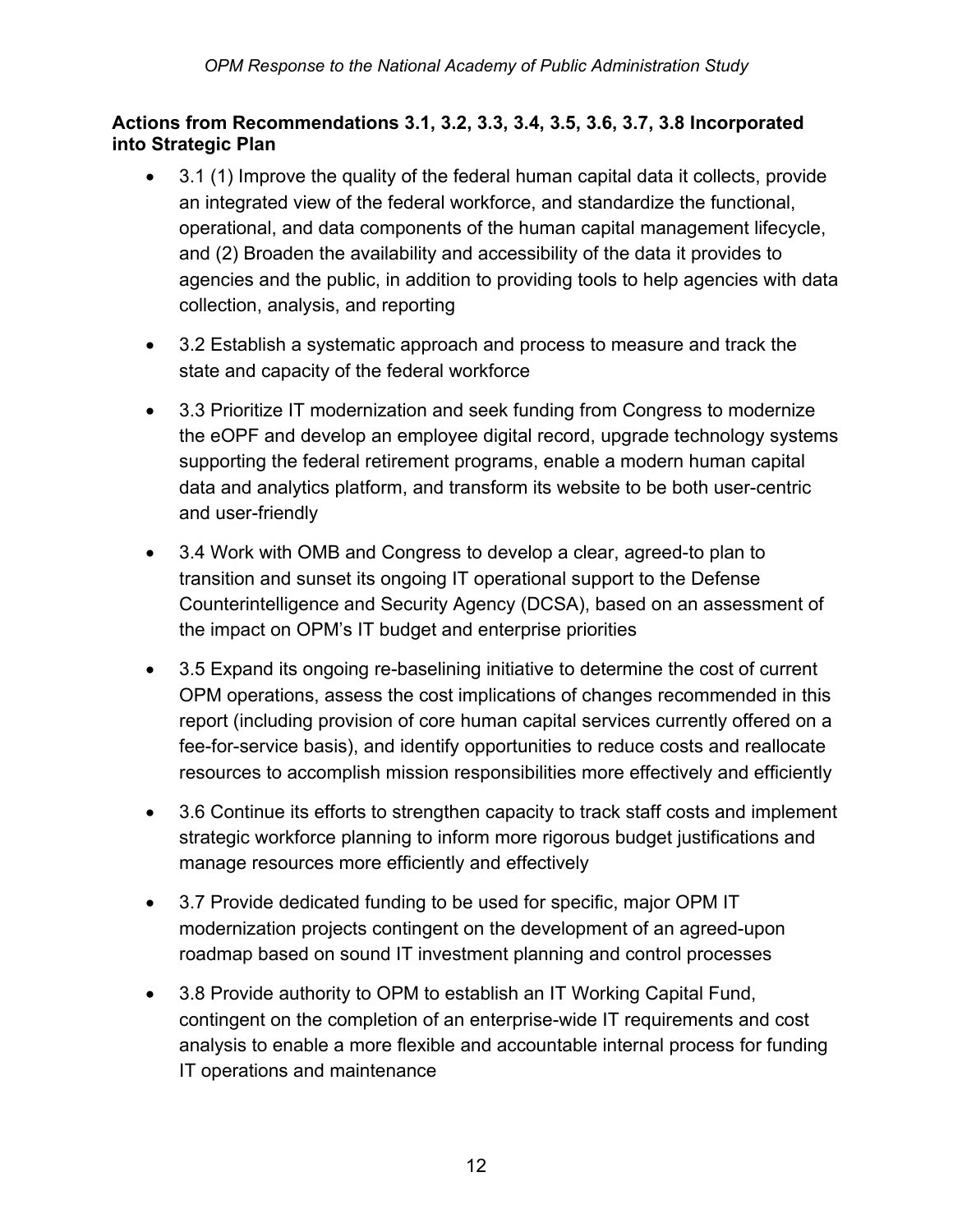## **Actions from Recommendations 3.1, 3.2, 3.3, 3.4, 3.5, 3.6, 3.7, 3.8 Incorporated into Strategic Plan**

- 3.1 (1) Improve the quality of the federal human capital data it collects, provide an integrated view of the federal workforce, and standardize the functional, operational, and data components of the human capital management lifecycle, and (2) Broaden the availability and accessibility of the data it provides to agencies and the public, in addition to providing tools to help agencies with data collection, analysis, and reporting
- 3.2 Establish a systematic approach and process to measure and track the state and capacity of the federal workforce
- 3.3 Prioritize IT modernization and seek funding from Congress to modernize the eOPF and develop an employee digital record, upgrade technology systems supporting the federal retirement programs, enable a modern human capital data and analytics platform, and transform its website to be both user-centric and user-friendly
- 3.4 Work with OMB and Congress to develop a clear, agreed-to plan to transition and sunset its ongoing IT operational support to the Defense Counterintelligence and Security Agency (DCSA), based on an assessment of the impact on OPM's IT budget and enterprise priorities
- 3.5 Expand its ongoing re-baselining initiative to determine the cost of current OPM operations, assess the cost implications of changes recommended in this report (including provision of core human capital services currently offered on a fee-for-service basis), and identify opportunities to reduce costs and reallocate resources to accomplish mission responsibilities more effectively and efficiently
- 3.6 Continue its efforts to strengthen capacity to track staff costs and implement strategic workforce planning to inform more rigorous budget justifications and manage resources more efficiently and effectively
- 3.7 Provide dedicated funding to be used for specific, major OPM IT modernization projects contingent on the development of an agreed-upon roadmap based on sound IT investment planning and control processes
- 3.8 Provide authority to OPM to establish an IT Working Capital Fund, contingent on the completion of an enterprise-wide IT requirements and cost analysis to enable a more flexible and accountable internal process for funding IT operations and maintenance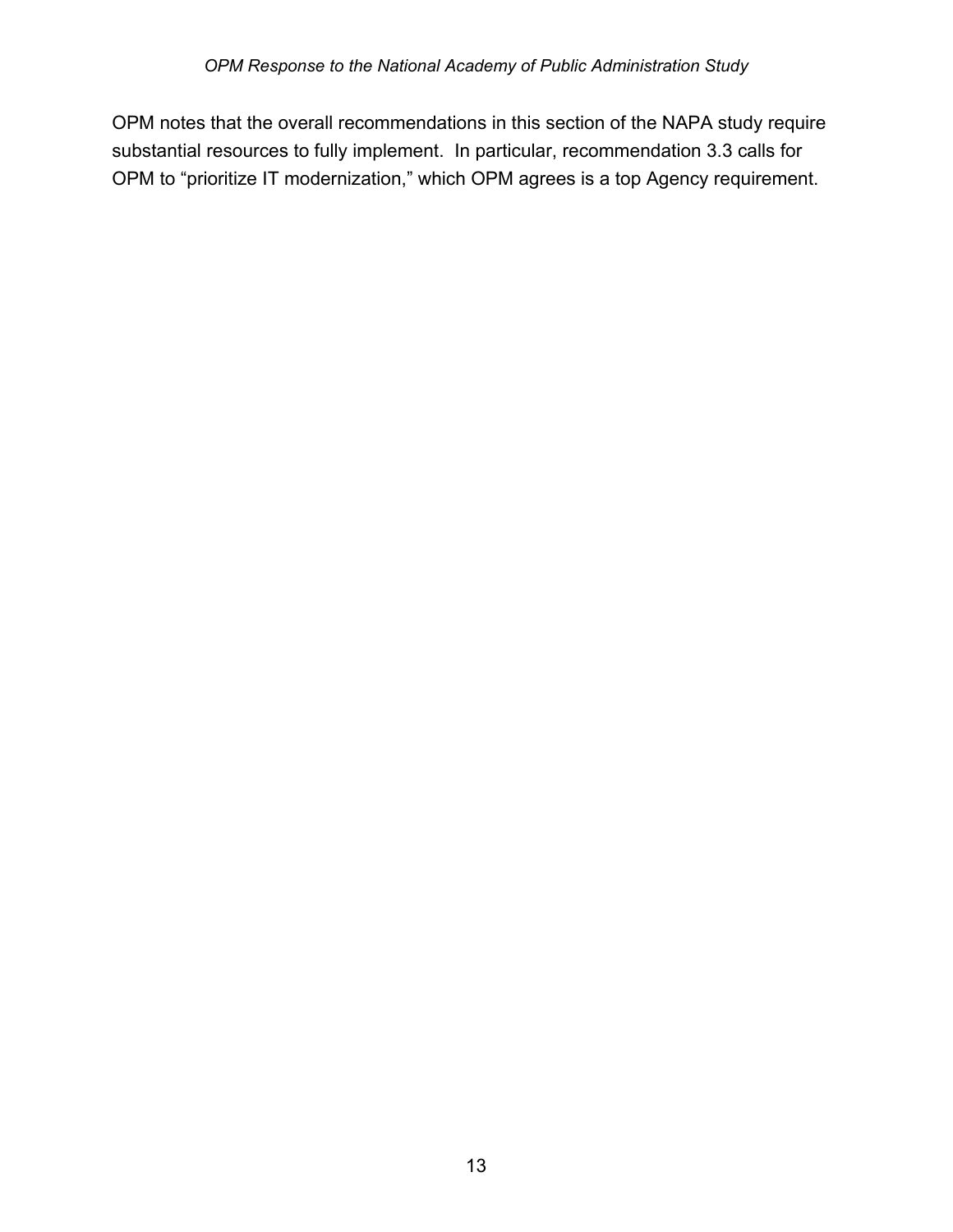OPM notes that the overall recommendations in this section of the NAPA study require substantial resources to fully implement. In particular, recommendation 3.3 calls for OPM to "prioritize IT modernization," which OPM agrees is a top Agency requirement.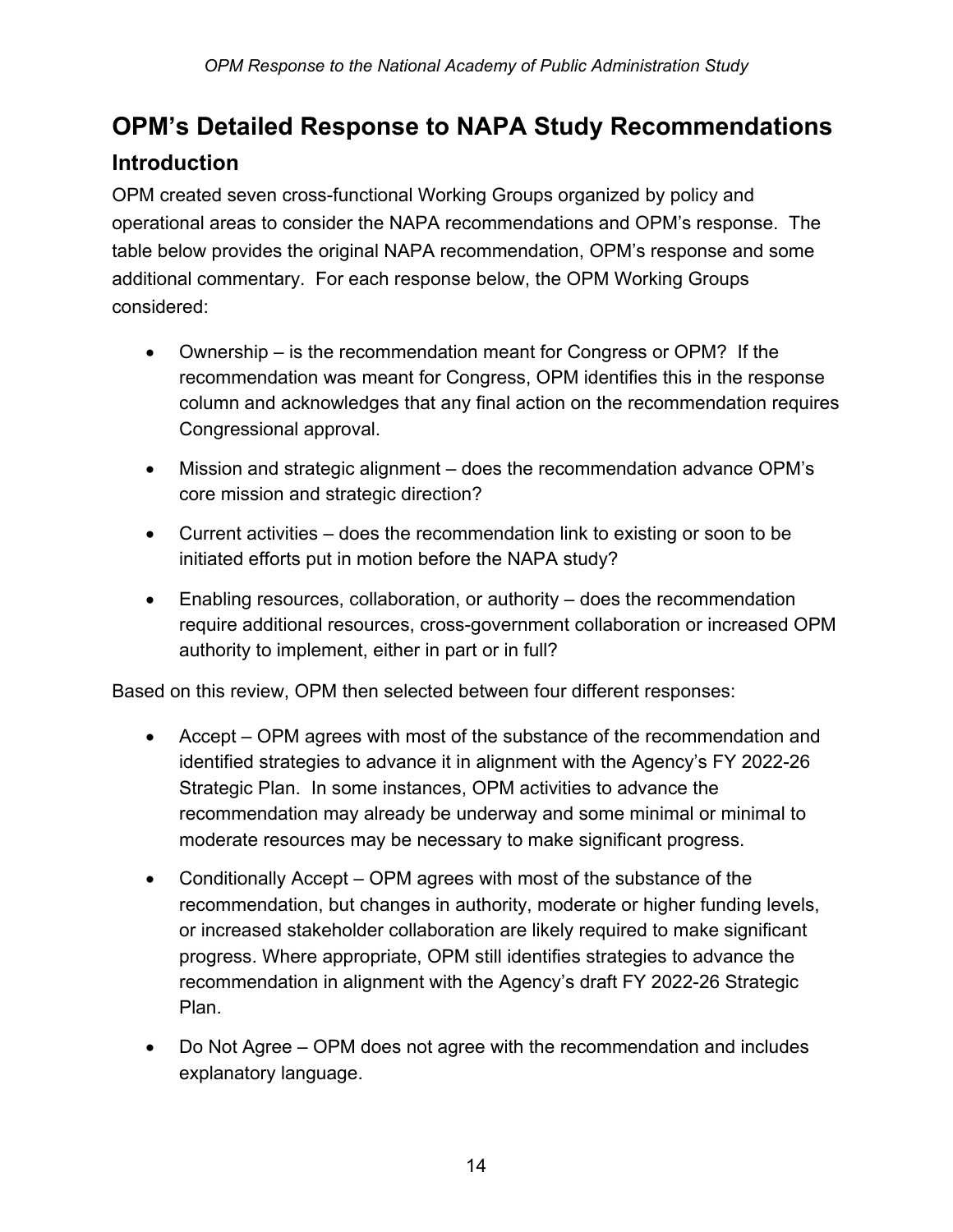# <span id="page-18-0"></span>**OPM's Detailed Response to NAPA Study Recommendations Introduction**

<span id="page-18-1"></span>OPM created seven cross-functional Working Groups organized by policy and operational areas to consider the NAPA recommendations and OPM's response. The table below provides the original NAPA recommendation, OPM's response and some additional commentary. For each response below, the OPM Working Groups considered:

- Ownership is the recommendation meant for Congress or OPM? If the recommendation was meant for Congress, OPM identifies this in the response column and acknowledges that any final action on the recommendation requires Congressional approval.
- Mission and strategic alignment does the recommendation advance OPM's core mission and strategic direction?
- Current activities does the recommendation link to existing or soon to be initiated efforts put in motion before the NAPA study?
- Enabling resources, collaboration, or authority does the recommendation require additional resources, cross-government collaboration or increased OPM authority to implement, either in part or in full?

Based on this review, OPM then selected between four different responses:

- Accept OPM agrees with most of the substance of the recommendation and identified strategies to advance it in alignment with the Agency's FY 2022-26 Strategic Plan. In some instances, OPM activities to advance the recommendation may already be underway and some minimal or minimal to moderate resources may be necessary to make significant progress.
- Conditionally Accept OPM agrees with most of the substance of the recommendation, but changes in authority, moderate or higher funding levels, or increased stakeholder collaboration are likely required to make significant progress. Where appropriate, OPM still identifies strategies to advance the recommendation in alignment with the Agency's draft FY 2022-26 Strategic Plan.
- Do Not Agree OPM does not agree with the recommendation and includes explanatory language.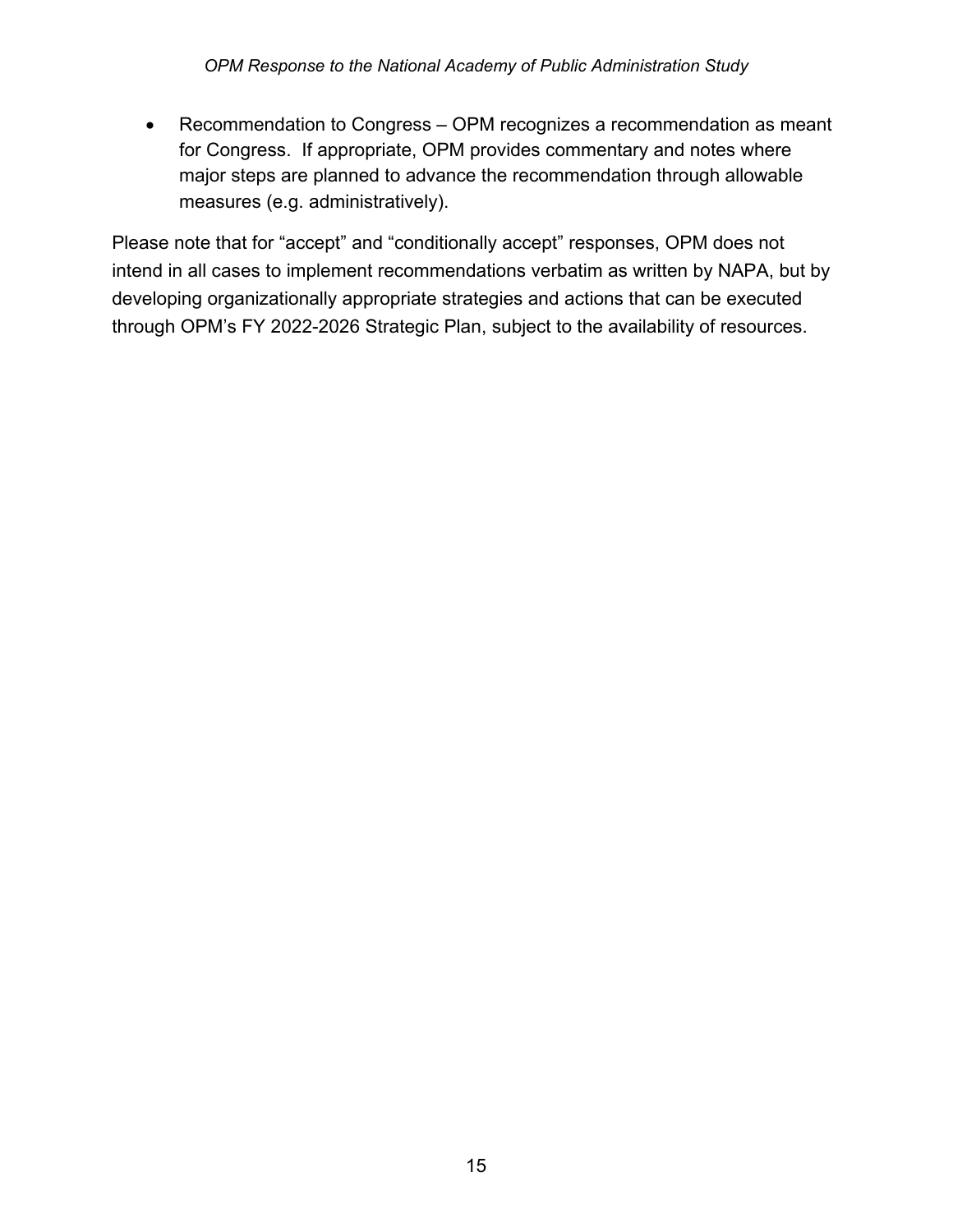• Recommendation to Congress – OPM recognizes a recommendation as meant for Congress. If appropriate, OPM provides commentary and notes where major steps are planned to advance the recommendation through allowable measures (e.g. administratively).

Please note that for "accept" and "conditionally accept" responses, OPM does not intend in all cases to implement recommendations verbatim as written by NAPA, but by developing organizationally appropriate strategies and actions that can be executed through OPM's FY 2022-2026 Strategic Plan, subject to the availability of resources.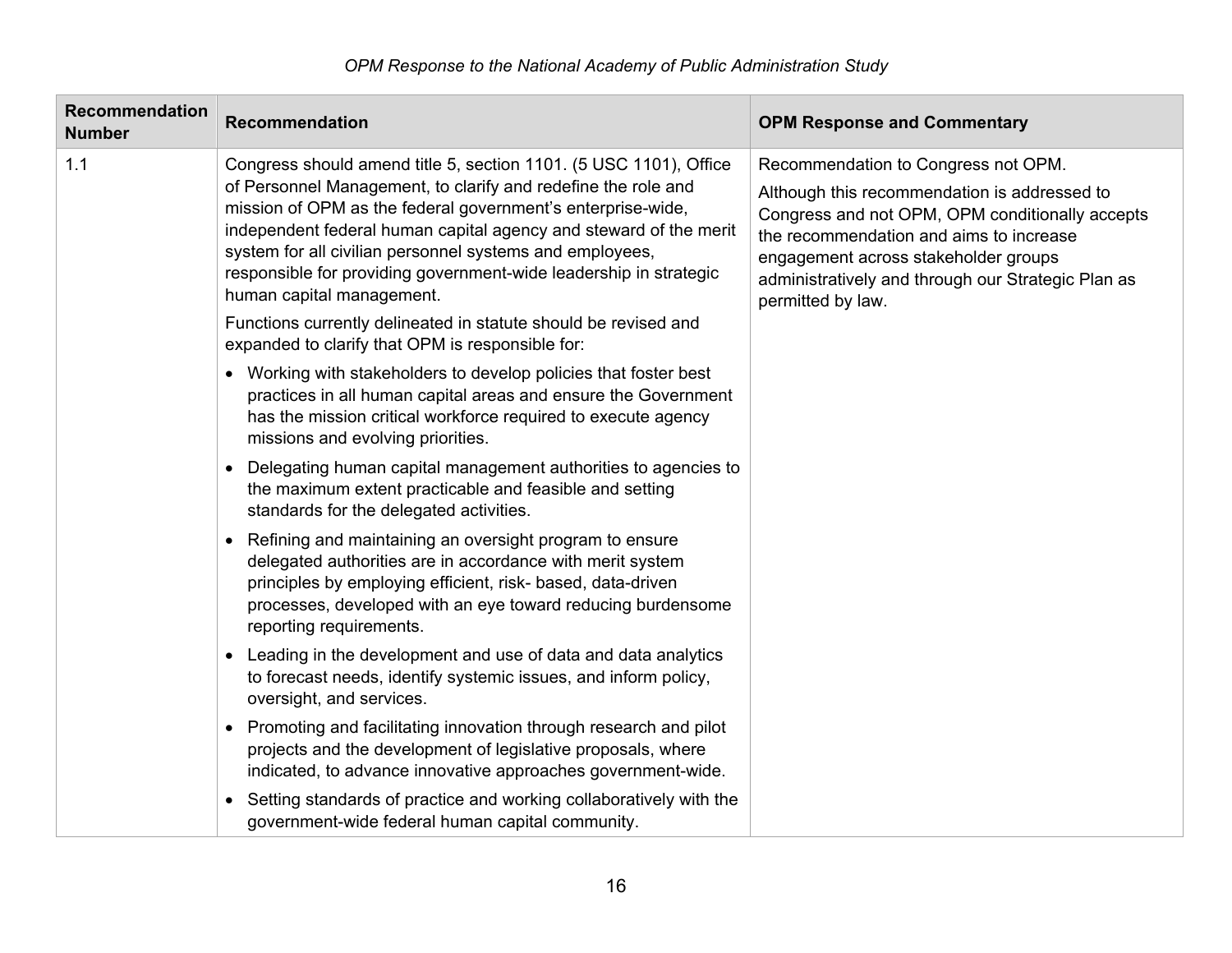| <b>Recommendation</b><br><b>Number</b> | <b>Recommendation</b>                                                                                                                                                                                                                                                                                                                                                                                                                | <b>OPM Response and Commentary</b>                                                                                                                                                                                                                                                                   |
|----------------------------------------|--------------------------------------------------------------------------------------------------------------------------------------------------------------------------------------------------------------------------------------------------------------------------------------------------------------------------------------------------------------------------------------------------------------------------------------|------------------------------------------------------------------------------------------------------------------------------------------------------------------------------------------------------------------------------------------------------------------------------------------------------|
| 1.1                                    | Congress should amend title 5, section 1101. (5 USC 1101), Office<br>of Personnel Management, to clarify and redefine the role and<br>mission of OPM as the federal government's enterprise-wide,<br>independent federal human capital agency and steward of the merit<br>system for all civilian personnel systems and employees,<br>responsible for providing government-wide leadership in strategic<br>human capital management. | Recommendation to Congress not OPM.<br>Although this recommendation is addressed to<br>Congress and not OPM, OPM conditionally accepts<br>the recommendation and aims to increase<br>engagement across stakeholder groups<br>administratively and through our Strategic Plan as<br>permitted by law. |
|                                        | Functions currently delineated in statute should be revised and<br>expanded to clarify that OPM is responsible for:                                                                                                                                                                                                                                                                                                                  |                                                                                                                                                                                                                                                                                                      |
|                                        | • Working with stakeholders to develop policies that foster best<br>practices in all human capital areas and ensure the Government<br>has the mission critical workforce required to execute agency<br>missions and evolving priorities.                                                                                                                                                                                             |                                                                                                                                                                                                                                                                                                      |
|                                        | Delegating human capital management authorities to agencies to<br>$\bullet$<br>the maximum extent practicable and feasible and setting<br>standards for the delegated activities.                                                                                                                                                                                                                                                    |                                                                                                                                                                                                                                                                                                      |
|                                        | Refining and maintaining an oversight program to ensure<br>$\bullet$<br>delegated authorities are in accordance with merit system<br>principles by employing efficient, risk- based, data-driven<br>processes, developed with an eye toward reducing burdensome<br>reporting requirements.                                                                                                                                           |                                                                                                                                                                                                                                                                                                      |
|                                        | Leading in the development and use of data and data analytics<br>$\bullet$<br>to forecast needs, identify systemic issues, and inform policy,<br>oversight, and services.                                                                                                                                                                                                                                                            |                                                                                                                                                                                                                                                                                                      |
|                                        | Promoting and facilitating innovation through research and pilot<br>$\bullet$<br>projects and the development of legislative proposals, where<br>indicated, to advance innovative approaches government-wide.                                                                                                                                                                                                                        |                                                                                                                                                                                                                                                                                                      |
|                                        | Setting standards of practice and working collaboratively with the<br>$\bullet$<br>government-wide federal human capital community.                                                                                                                                                                                                                                                                                                  |                                                                                                                                                                                                                                                                                                      |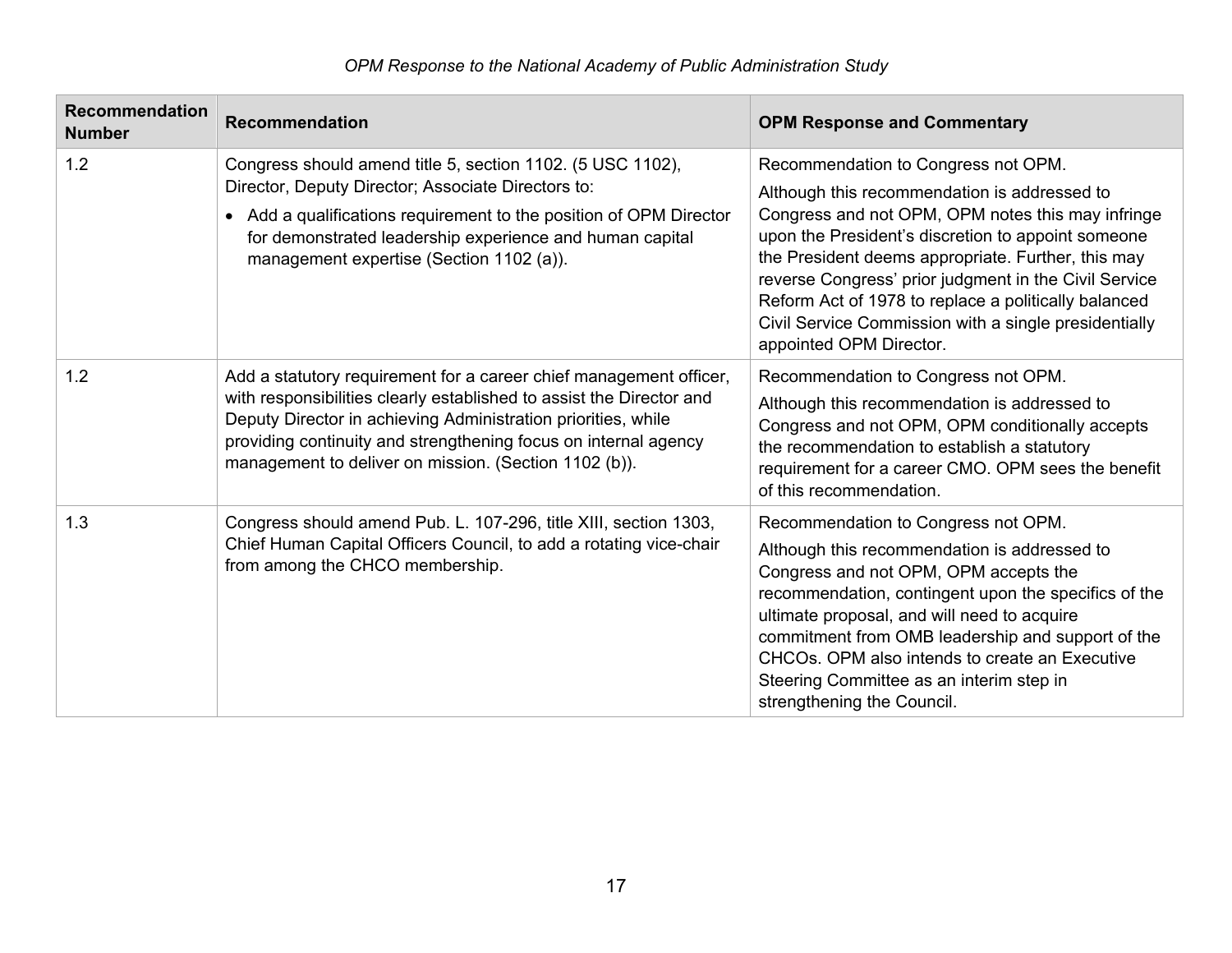## *OPM Response to the National Academy of Public Administration Study*

| <b>Recommendation</b><br><b>Number</b> | <b>Recommendation</b>                                                                                                                                                                                                                                                                                                                   | <b>OPM Response and Commentary</b>                                                                                                                                                                                                                                                                                                                                                                                                                        |
|----------------------------------------|-----------------------------------------------------------------------------------------------------------------------------------------------------------------------------------------------------------------------------------------------------------------------------------------------------------------------------------------|-----------------------------------------------------------------------------------------------------------------------------------------------------------------------------------------------------------------------------------------------------------------------------------------------------------------------------------------------------------------------------------------------------------------------------------------------------------|
| 1.2                                    | Congress should amend title 5, section 1102. (5 USC 1102),<br>Director, Deputy Director; Associate Directors to:<br>• Add a qualifications requirement to the position of OPM Director<br>for demonstrated leadership experience and human capital<br>management expertise (Section 1102 (a)).                                          | Recommendation to Congress not OPM.<br>Although this recommendation is addressed to<br>Congress and not OPM, OPM notes this may infringe<br>upon the President's discretion to appoint someone<br>the President deems appropriate. Further, this may<br>reverse Congress' prior judgment in the Civil Service<br>Reform Act of 1978 to replace a politically balanced<br>Civil Service Commission with a single presidentially<br>appointed OPM Director. |
| 1.2                                    | Add a statutory requirement for a career chief management officer,<br>with responsibilities clearly established to assist the Director and<br>Deputy Director in achieving Administration priorities, while<br>providing continuity and strengthening focus on internal agency<br>management to deliver on mission. (Section 1102 (b)). | Recommendation to Congress not OPM.<br>Although this recommendation is addressed to<br>Congress and not OPM, OPM conditionally accepts<br>the recommendation to establish a statutory<br>requirement for a career CMO. OPM sees the benefit<br>of this recommendation.                                                                                                                                                                                    |
| 1.3                                    | Congress should amend Pub. L. 107-296, title XIII, section 1303,<br>Chief Human Capital Officers Council, to add a rotating vice-chair<br>from among the CHCO membership.                                                                                                                                                               | Recommendation to Congress not OPM.<br>Although this recommendation is addressed to<br>Congress and not OPM, OPM accepts the<br>recommendation, contingent upon the specifics of the<br>ultimate proposal, and will need to acquire<br>commitment from OMB leadership and support of the<br>CHCOs. OPM also intends to create an Executive<br>Steering Committee as an interim step in<br>strengthening the Council.                                      |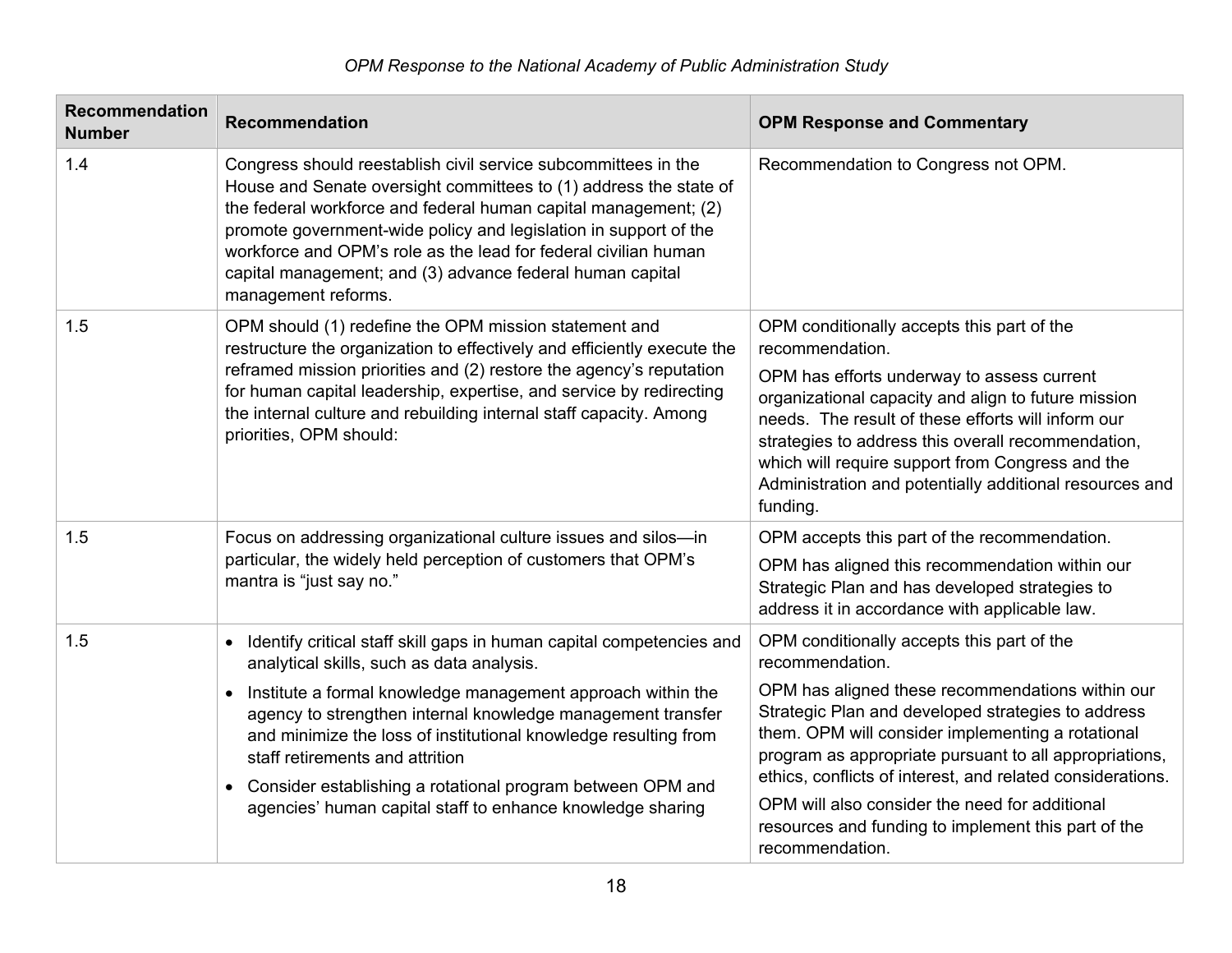| <b>Recommendation</b><br><b>Number</b> | <b>Recommendation</b>                                                                                                                                                                                                                                                                                                                                                                                                                                                                                         | <b>OPM Response and Commentary</b>                                                                                                                                                                                                                                                                                                                                                                                                                                               |
|----------------------------------------|---------------------------------------------------------------------------------------------------------------------------------------------------------------------------------------------------------------------------------------------------------------------------------------------------------------------------------------------------------------------------------------------------------------------------------------------------------------------------------------------------------------|----------------------------------------------------------------------------------------------------------------------------------------------------------------------------------------------------------------------------------------------------------------------------------------------------------------------------------------------------------------------------------------------------------------------------------------------------------------------------------|
| 1.4                                    | Congress should reestablish civil service subcommittees in the<br>House and Senate oversight committees to (1) address the state of<br>the federal workforce and federal human capital management; (2)<br>promote government-wide policy and legislation in support of the<br>workforce and OPM's role as the lead for federal civilian human<br>capital management; and (3) advance federal human capital<br>management reforms.                                                                             | Recommendation to Congress not OPM.                                                                                                                                                                                                                                                                                                                                                                                                                                              |
| 1.5                                    | OPM should (1) redefine the OPM mission statement and<br>restructure the organization to effectively and efficiently execute the<br>reframed mission priorities and (2) restore the agency's reputation<br>for human capital leadership, expertise, and service by redirecting<br>the internal culture and rebuilding internal staff capacity. Among<br>priorities, OPM should:                                                                                                                               | OPM conditionally accepts this part of the<br>recommendation.<br>OPM has efforts underway to assess current<br>organizational capacity and align to future mission<br>needs. The result of these efforts will inform our<br>strategies to address this overall recommendation,<br>which will require support from Congress and the<br>Administration and potentially additional resources and<br>funding.                                                                        |
| 1.5                                    | Focus on addressing organizational culture issues and silos-in<br>particular, the widely held perception of customers that OPM's<br>mantra is "just say no."                                                                                                                                                                                                                                                                                                                                                  | OPM accepts this part of the recommendation.<br>OPM has aligned this recommendation within our<br>Strategic Plan and has developed strategies to<br>address it in accordance with applicable law.                                                                                                                                                                                                                                                                                |
| 1.5                                    | Identify critical staff skill gaps in human capital competencies and<br>$\bullet$<br>analytical skills, such as data analysis.<br>• Institute a formal knowledge management approach within the<br>agency to strengthen internal knowledge management transfer<br>and minimize the loss of institutional knowledge resulting from<br>staff retirements and attrition<br>Consider establishing a rotational program between OPM and<br>$\bullet$<br>agencies' human capital staff to enhance knowledge sharing | OPM conditionally accepts this part of the<br>recommendation.<br>OPM has aligned these recommendations within our<br>Strategic Plan and developed strategies to address<br>them. OPM will consider implementing a rotational<br>program as appropriate pursuant to all appropriations,<br>ethics, conflicts of interest, and related considerations.<br>OPM will also consider the need for additional<br>resources and funding to implement this part of the<br>recommendation. |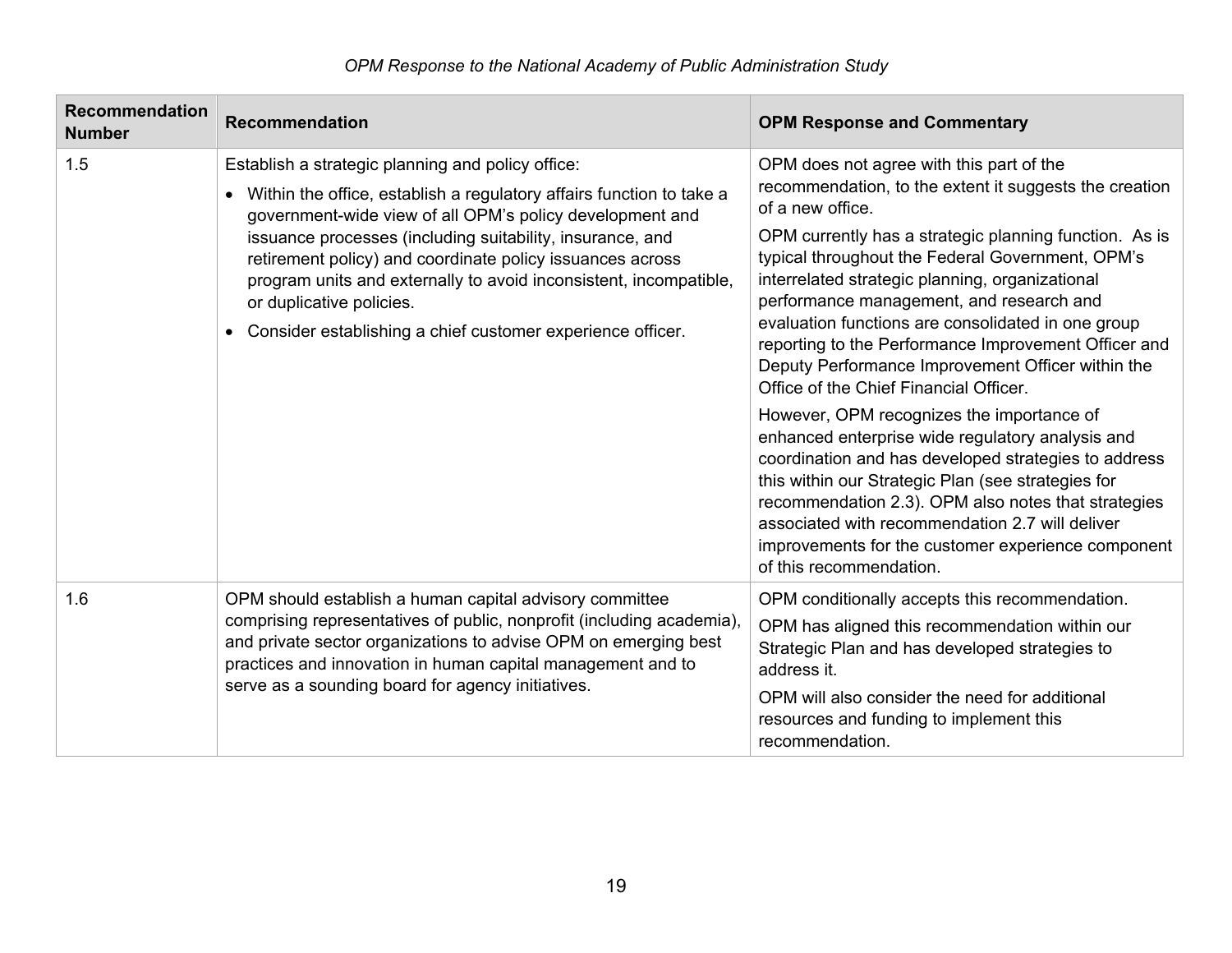| <b>Recommendation</b><br><b>Number</b> | <b>Recommendation</b>                                                                                                                                                                                                                                                                                                                                                                                                                                                                                    | <b>OPM Response and Commentary</b>                                                                                                                                                                                                                                                                                                                                                                     |
|----------------------------------------|----------------------------------------------------------------------------------------------------------------------------------------------------------------------------------------------------------------------------------------------------------------------------------------------------------------------------------------------------------------------------------------------------------------------------------------------------------------------------------------------------------|--------------------------------------------------------------------------------------------------------------------------------------------------------------------------------------------------------------------------------------------------------------------------------------------------------------------------------------------------------------------------------------------------------|
| 1.5                                    | Establish a strategic planning and policy office:<br>Within the office, establish a regulatory affairs function to take a<br>$\bullet$<br>government-wide view of all OPM's policy development and<br>issuance processes (including suitability, insurance, and<br>retirement policy) and coordinate policy issuances across<br>program units and externally to avoid inconsistent, incompatible,<br>or duplicative policies.<br>Consider establishing a chief customer experience officer.<br>$\bullet$ | OPM does not agree with this part of the<br>recommendation, to the extent it suggests the creation<br>of a new office.                                                                                                                                                                                                                                                                                 |
|                                        |                                                                                                                                                                                                                                                                                                                                                                                                                                                                                                          | OPM currently has a strategic planning function. As is<br>typical throughout the Federal Government, OPM's<br>interrelated strategic planning, organizational<br>performance management, and research and                                                                                                                                                                                              |
|                                        |                                                                                                                                                                                                                                                                                                                                                                                                                                                                                                          | evaluation functions are consolidated in one group<br>reporting to the Performance Improvement Officer and<br>Deputy Performance Improvement Officer within the<br>Office of the Chief Financial Officer.                                                                                                                                                                                              |
|                                        |                                                                                                                                                                                                                                                                                                                                                                                                                                                                                                          | However, OPM recognizes the importance of<br>enhanced enterprise wide regulatory analysis and<br>coordination and has developed strategies to address<br>this within our Strategic Plan (see strategies for<br>recommendation 2.3). OPM also notes that strategies<br>associated with recommendation 2.7 will deliver<br>improvements for the customer experience component<br>of this recommendation. |
| 1.6                                    | OPM should establish a human capital advisory committee<br>comprising representatives of public, nonprofit (including academia),<br>and private sector organizations to advise OPM on emerging best<br>practices and innovation in human capital management and to<br>serve as a sounding board for agency initiatives.                                                                                                                                                                                  | OPM conditionally accepts this recommendation.                                                                                                                                                                                                                                                                                                                                                         |
|                                        |                                                                                                                                                                                                                                                                                                                                                                                                                                                                                                          | OPM has aligned this recommendation within our<br>Strategic Plan and has developed strategies to<br>address it.                                                                                                                                                                                                                                                                                        |
|                                        |                                                                                                                                                                                                                                                                                                                                                                                                                                                                                                          | OPM will also consider the need for additional<br>resources and funding to implement this<br>recommendation.                                                                                                                                                                                                                                                                                           |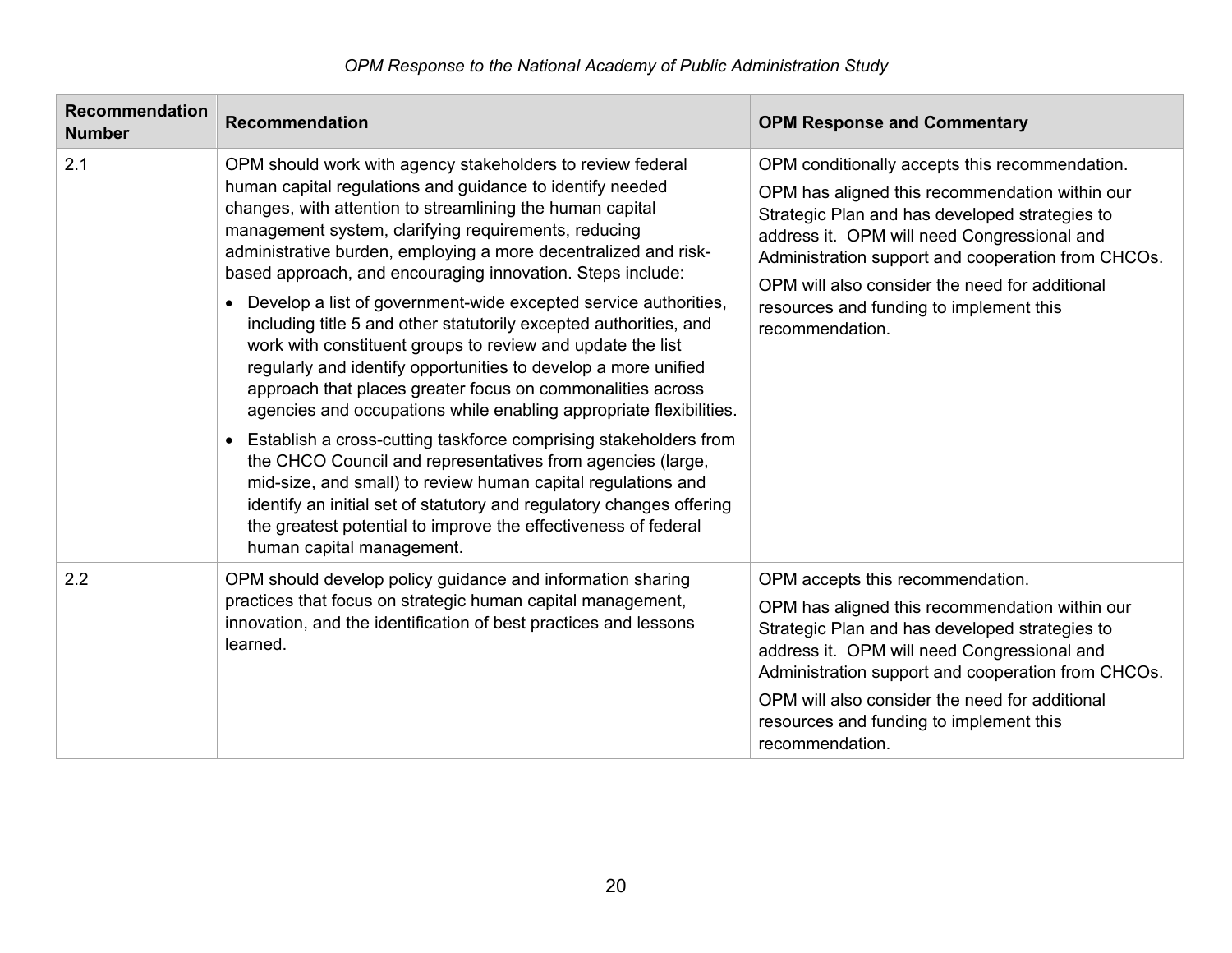| <b>Recommendation</b><br><b>Number</b> | <b>Recommendation</b>                                                                                                                                                                                                                                                                                                                                                                                                                                                                                                                                                                                                                                                                                                                                                                                                                                                                                                                                                                                                                                                                                                                                                           | <b>OPM Response and Commentary</b>                                                                                                                                                                                                                                                                                                                                      |
|----------------------------------------|---------------------------------------------------------------------------------------------------------------------------------------------------------------------------------------------------------------------------------------------------------------------------------------------------------------------------------------------------------------------------------------------------------------------------------------------------------------------------------------------------------------------------------------------------------------------------------------------------------------------------------------------------------------------------------------------------------------------------------------------------------------------------------------------------------------------------------------------------------------------------------------------------------------------------------------------------------------------------------------------------------------------------------------------------------------------------------------------------------------------------------------------------------------------------------|-------------------------------------------------------------------------------------------------------------------------------------------------------------------------------------------------------------------------------------------------------------------------------------------------------------------------------------------------------------------------|
| 2.1                                    | OPM should work with agency stakeholders to review federal<br>human capital regulations and guidance to identify needed<br>changes, with attention to streamlining the human capital<br>management system, clarifying requirements, reducing<br>administrative burden, employing a more decentralized and risk-<br>based approach, and encouraging innovation. Steps include:<br>Develop a list of government-wide excepted service authorities,<br>including title 5 and other statutorily excepted authorities, and<br>work with constituent groups to review and update the list<br>regularly and identify opportunities to develop a more unified<br>approach that places greater focus on commonalities across<br>agencies and occupations while enabling appropriate flexibilities.<br>Establish a cross-cutting taskforce comprising stakeholders from<br>$\bullet$<br>the CHCO Council and representatives from agencies (large,<br>mid-size, and small) to review human capital regulations and<br>identify an initial set of statutory and regulatory changes offering<br>the greatest potential to improve the effectiveness of federal<br>human capital management. | OPM conditionally accepts this recommendation.<br>OPM has aligned this recommendation within our<br>Strategic Plan and has developed strategies to<br>address it. OPM will need Congressional and<br>Administration support and cooperation from CHCOs.<br>OPM will also consider the need for additional<br>resources and funding to implement this<br>recommendation. |
| 2.2                                    | OPM should develop policy guidance and information sharing<br>practices that focus on strategic human capital management,<br>innovation, and the identification of best practices and lessons<br>learned.                                                                                                                                                                                                                                                                                                                                                                                                                                                                                                                                                                                                                                                                                                                                                                                                                                                                                                                                                                       | OPM accepts this recommendation.<br>OPM has aligned this recommendation within our<br>Strategic Plan and has developed strategies to<br>address it. OPM will need Congressional and<br>Administration support and cooperation from CHCOs.<br>OPM will also consider the need for additional<br>resources and funding to implement this<br>recommendation.               |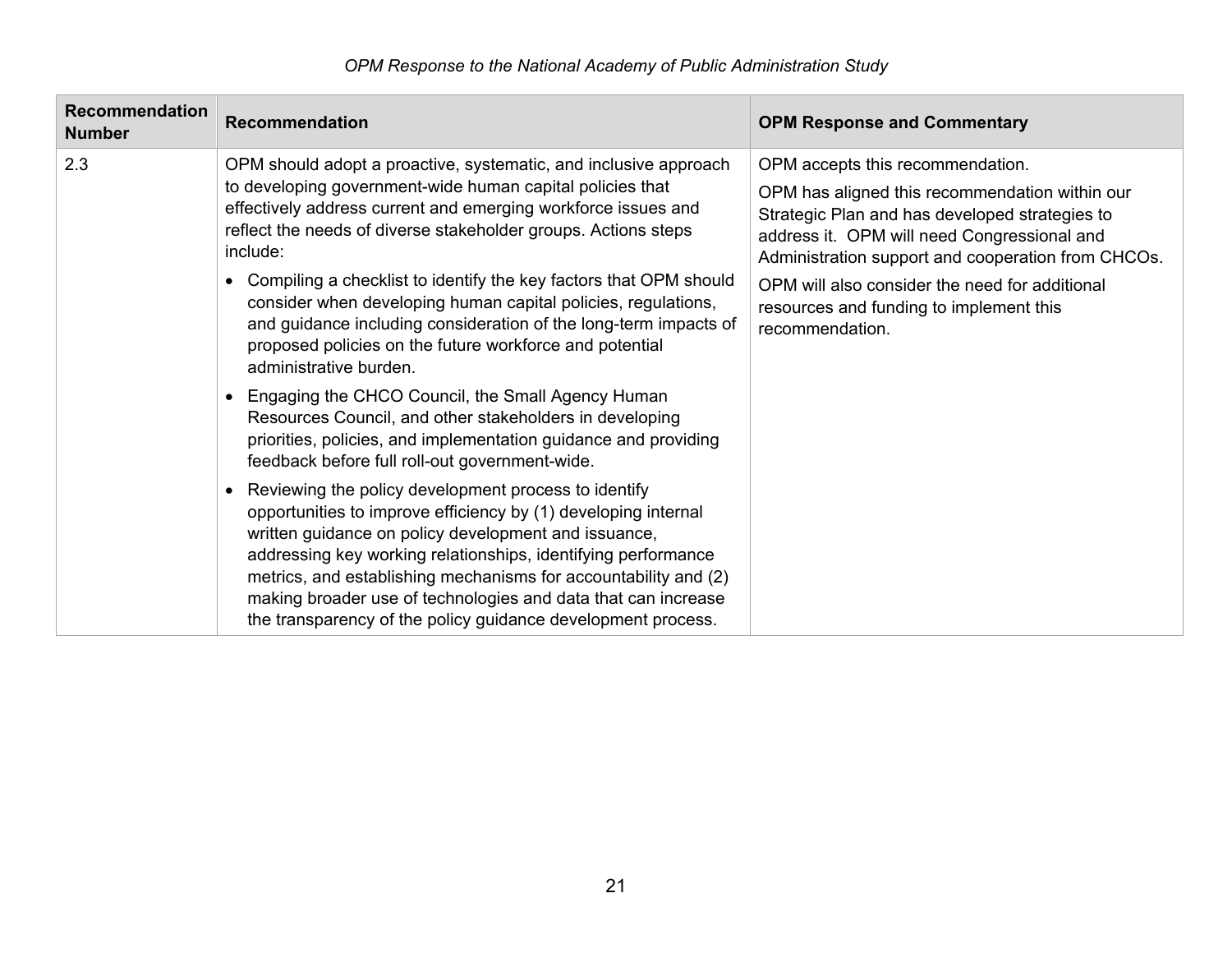| <b>Recommendation</b><br><b>Number</b> | <b>Recommendation</b>                                                                                                                                                                                                                                                                                                                                                                                                                               | <b>OPM Response and Commentary</b>                                                                                                                                                                                                        |
|----------------------------------------|-----------------------------------------------------------------------------------------------------------------------------------------------------------------------------------------------------------------------------------------------------------------------------------------------------------------------------------------------------------------------------------------------------------------------------------------------------|-------------------------------------------------------------------------------------------------------------------------------------------------------------------------------------------------------------------------------------------|
| 2.3                                    | OPM should adopt a proactive, systematic, and inclusive approach<br>to developing government-wide human capital policies that<br>effectively address current and emerging workforce issues and<br>reflect the needs of diverse stakeholder groups. Actions steps<br>include:                                                                                                                                                                        | OPM accepts this recommendation.<br>OPM has aligned this recommendation within our<br>Strategic Plan and has developed strategies to<br>address it. OPM will need Congressional and<br>Administration support and cooperation from CHCOs. |
|                                        | Compiling a checklist to identify the key factors that OPM should<br>consider when developing human capital policies, regulations,<br>and guidance including consideration of the long-term impacts of<br>proposed policies on the future workforce and potential<br>administrative burden.                                                                                                                                                         | OPM will also consider the need for additional<br>resources and funding to implement this<br>recommendation.                                                                                                                              |
|                                        | Engaging the CHCO Council, the Small Agency Human<br>Resources Council, and other stakeholders in developing<br>priorities, policies, and implementation guidance and providing<br>feedback before full roll-out government-wide.                                                                                                                                                                                                                   |                                                                                                                                                                                                                                           |
|                                        | Reviewing the policy development process to identify<br>opportunities to improve efficiency by (1) developing internal<br>written guidance on policy development and issuance,<br>addressing key working relationships, identifying performance<br>metrics, and establishing mechanisms for accountability and (2)<br>making broader use of technologies and data that can increase<br>the transparency of the policy guidance development process. |                                                                                                                                                                                                                                           |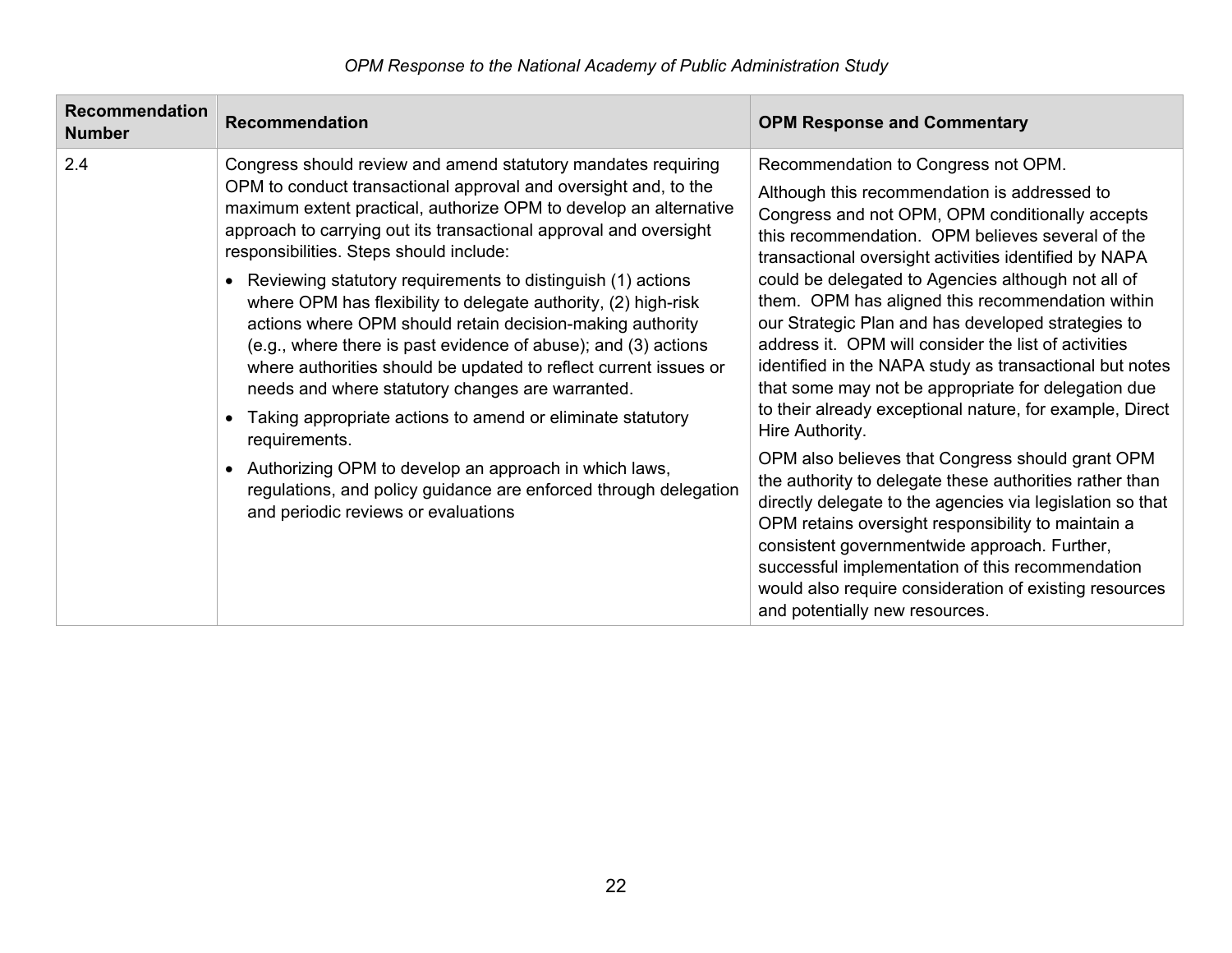| <b>Recommendation</b><br><b>Number</b> | <b>Recommendation</b>                                                                                                                                                                                                                                                                                                                                                                                                                                                                                                                                                                                                                                                                                                                                                                                                                                                                                                                                            | <b>OPM Response and Commentary</b>                                                                                                                                                                                                                                                                                                                                                                                                                                                                                                                                                                                                                                                                                                                                                                                                                                                                                                                                                                                                                                                                             |
|----------------------------------------|------------------------------------------------------------------------------------------------------------------------------------------------------------------------------------------------------------------------------------------------------------------------------------------------------------------------------------------------------------------------------------------------------------------------------------------------------------------------------------------------------------------------------------------------------------------------------------------------------------------------------------------------------------------------------------------------------------------------------------------------------------------------------------------------------------------------------------------------------------------------------------------------------------------------------------------------------------------|----------------------------------------------------------------------------------------------------------------------------------------------------------------------------------------------------------------------------------------------------------------------------------------------------------------------------------------------------------------------------------------------------------------------------------------------------------------------------------------------------------------------------------------------------------------------------------------------------------------------------------------------------------------------------------------------------------------------------------------------------------------------------------------------------------------------------------------------------------------------------------------------------------------------------------------------------------------------------------------------------------------------------------------------------------------------------------------------------------------|
| 2.4                                    | Congress should review and amend statutory mandates requiring<br>OPM to conduct transactional approval and oversight and, to the<br>maximum extent practical, authorize OPM to develop an alternative<br>approach to carrying out its transactional approval and oversight<br>responsibilities. Steps should include:<br>Reviewing statutory requirements to distinguish (1) actions<br>where OPM has flexibility to delegate authority, (2) high-risk<br>actions where OPM should retain decision-making authority<br>(e.g., where there is past evidence of abuse); and (3) actions<br>where authorities should be updated to reflect current issues or<br>needs and where statutory changes are warranted.<br>Taking appropriate actions to amend or eliminate statutory<br>requirements.<br>Authorizing OPM to develop an approach in which laws,<br>regulations, and policy guidance are enforced through delegation<br>and periodic reviews or evaluations | Recommendation to Congress not OPM.<br>Although this recommendation is addressed to<br>Congress and not OPM, OPM conditionally accepts<br>this recommendation. OPM believes several of the<br>transactional oversight activities identified by NAPA<br>could be delegated to Agencies although not all of<br>them. OPM has aligned this recommendation within<br>our Strategic Plan and has developed strategies to<br>address it. OPM will consider the list of activities<br>identified in the NAPA study as transactional but notes<br>that some may not be appropriate for delegation due<br>to their already exceptional nature, for example, Direct<br>Hire Authority.<br>OPM also believes that Congress should grant OPM<br>the authority to delegate these authorities rather than<br>directly delegate to the agencies via legislation so that<br>OPM retains oversight responsibility to maintain a<br>consistent governmentwide approach. Further,<br>successful implementation of this recommendation<br>would also require consideration of existing resources<br>and potentially new resources. |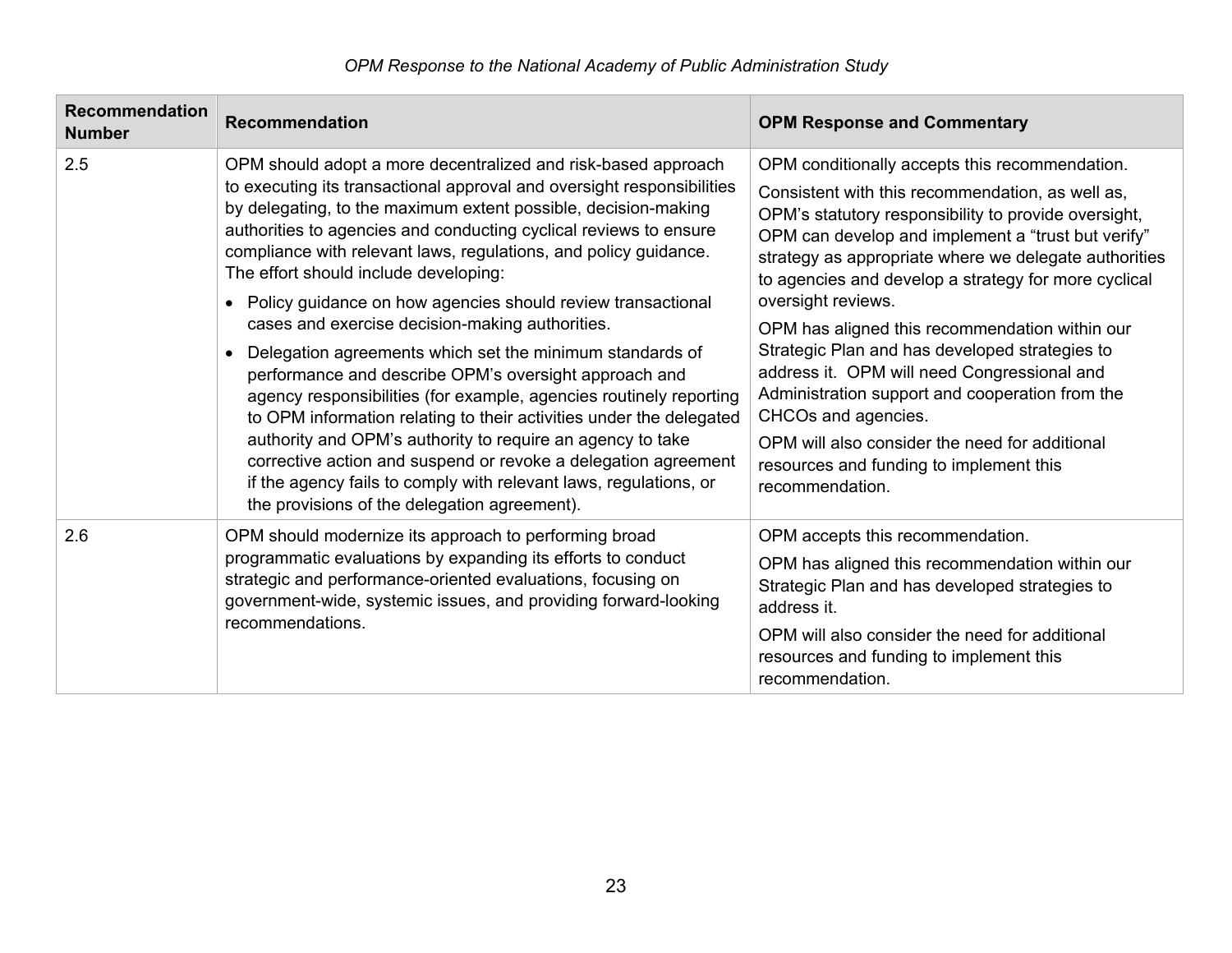| <b>Recommendation</b><br><b>Number</b> | <b>Recommendation</b>                                                                                                                                                                                                                                                                                                                                                                                                                                                                                                                                                  | <b>OPM Response and Commentary</b>                                                                                                                                                                                                                                                                                                                      |
|----------------------------------------|------------------------------------------------------------------------------------------------------------------------------------------------------------------------------------------------------------------------------------------------------------------------------------------------------------------------------------------------------------------------------------------------------------------------------------------------------------------------------------------------------------------------------------------------------------------------|---------------------------------------------------------------------------------------------------------------------------------------------------------------------------------------------------------------------------------------------------------------------------------------------------------------------------------------------------------|
| 2.5                                    | OPM should adopt a more decentralized and risk-based approach<br>to executing its transactional approval and oversight responsibilities<br>by delegating, to the maximum extent possible, decision-making<br>authorities to agencies and conducting cyclical reviews to ensure<br>compliance with relevant laws, regulations, and policy guidance.<br>The effort should include developing:<br>Policy guidance on how agencies should review transactional                                                                                                             | OPM conditionally accepts this recommendation.<br>Consistent with this recommendation, as well as,<br>OPM's statutory responsibility to provide oversight,<br>OPM can develop and implement a "trust but verify"<br>strategy as appropriate where we delegate authorities<br>to agencies and develop a strategy for more cyclical<br>oversight reviews. |
|                                        | cases and exercise decision-making authorities.<br>Delegation agreements which set the minimum standards of<br>performance and describe OPM's oversight approach and<br>agency responsibilities (for example, agencies routinely reporting<br>to OPM information relating to their activities under the delegated<br>authority and OPM's authority to require an agency to take<br>corrective action and suspend or revoke a delegation agreement<br>if the agency fails to comply with relevant laws, regulations, or<br>the provisions of the delegation agreement). | OPM has aligned this recommendation within our<br>Strategic Plan and has developed strategies to<br>address it. OPM will need Congressional and<br>Administration support and cooperation from the<br>CHCOs and agencies.<br>OPM will also consider the need for additional<br>resources and funding to implement this<br>recommendation.               |
| 2.6                                    | OPM should modernize its approach to performing broad<br>programmatic evaluations by expanding its efforts to conduct<br>strategic and performance-oriented evaluations, focusing on<br>government-wide, systemic issues, and providing forward-looking<br>recommendations.                                                                                                                                                                                                                                                                                            | OPM accepts this recommendation.<br>OPM has aligned this recommendation within our<br>Strategic Plan and has developed strategies to<br>address it.<br>OPM will also consider the need for additional<br>resources and funding to implement this<br>recommendation.                                                                                     |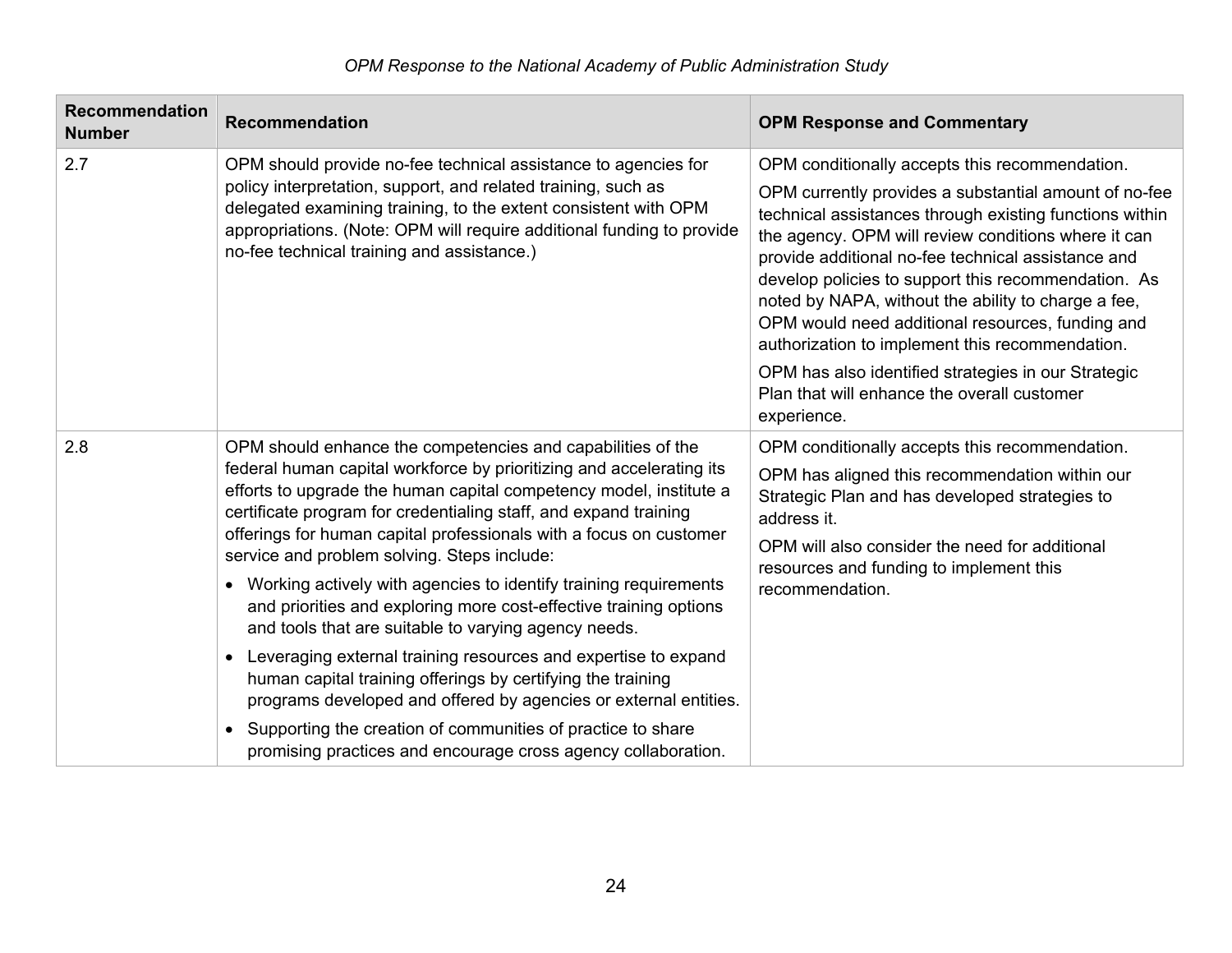| <b>Recommendation</b><br><b>Number</b> | <b>Recommendation</b>                                                                                                                                                                                                                                                                                                                                                                              | <b>OPM Response and Commentary</b>                                                                                                                                                                                                                                                                                                                                                                                                                                                                   |
|----------------------------------------|----------------------------------------------------------------------------------------------------------------------------------------------------------------------------------------------------------------------------------------------------------------------------------------------------------------------------------------------------------------------------------------------------|------------------------------------------------------------------------------------------------------------------------------------------------------------------------------------------------------------------------------------------------------------------------------------------------------------------------------------------------------------------------------------------------------------------------------------------------------------------------------------------------------|
| 2.7                                    | OPM should provide no-fee technical assistance to agencies for<br>policy interpretation, support, and related training, such as<br>delegated examining training, to the extent consistent with OPM<br>appropriations. (Note: OPM will require additional funding to provide<br>no-fee technical training and assistance.)                                                                          | OPM conditionally accepts this recommendation.<br>OPM currently provides a substantial amount of no-fee<br>technical assistances through existing functions within<br>the agency. OPM will review conditions where it can<br>provide additional no-fee technical assistance and<br>develop policies to support this recommendation. As<br>noted by NAPA, without the ability to charge a fee,<br>OPM would need additional resources, funding and<br>authorization to implement this recommendation. |
|                                        |                                                                                                                                                                                                                                                                                                                                                                                                    | OPM has also identified strategies in our Strategic<br>Plan that will enhance the overall customer<br>experience.                                                                                                                                                                                                                                                                                                                                                                                    |
| 2.8                                    | OPM should enhance the competencies and capabilities of the<br>federal human capital workforce by prioritizing and accelerating its<br>efforts to upgrade the human capital competency model, institute a<br>certificate program for credentialing staff, and expand training<br>offerings for human capital professionals with a focus on customer<br>service and problem solving. Steps include: | OPM conditionally accepts this recommendation.<br>OPM has aligned this recommendation within our<br>Strategic Plan and has developed strategies to<br>address it.<br>OPM will also consider the need for additional<br>resources and funding to implement this<br>recommendation.                                                                                                                                                                                                                    |
|                                        | Working actively with agencies to identify training requirements<br>and priorities and exploring more cost-effective training options<br>and tools that are suitable to varying agency needs.                                                                                                                                                                                                      |                                                                                                                                                                                                                                                                                                                                                                                                                                                                                                      |
|                                        | Leveraging external training resources and expertise to expand<br>human capital training offerings by certifying the training<br>programs developed and offered by agencies or external entities.                                                                                                                                                                                                  |                                                                                                                                                                                                                                                                                                                                                                                                                                                                                                      |
|                                        | Supporting the creation of communities of practice to share<br>$\bullet$<br>promising practices and encourage cross agency collaboration.                                                                                                                                                                                                                                                          |                                                                                                                                                                                                                                                                                                                                                                                                                                                                                                      |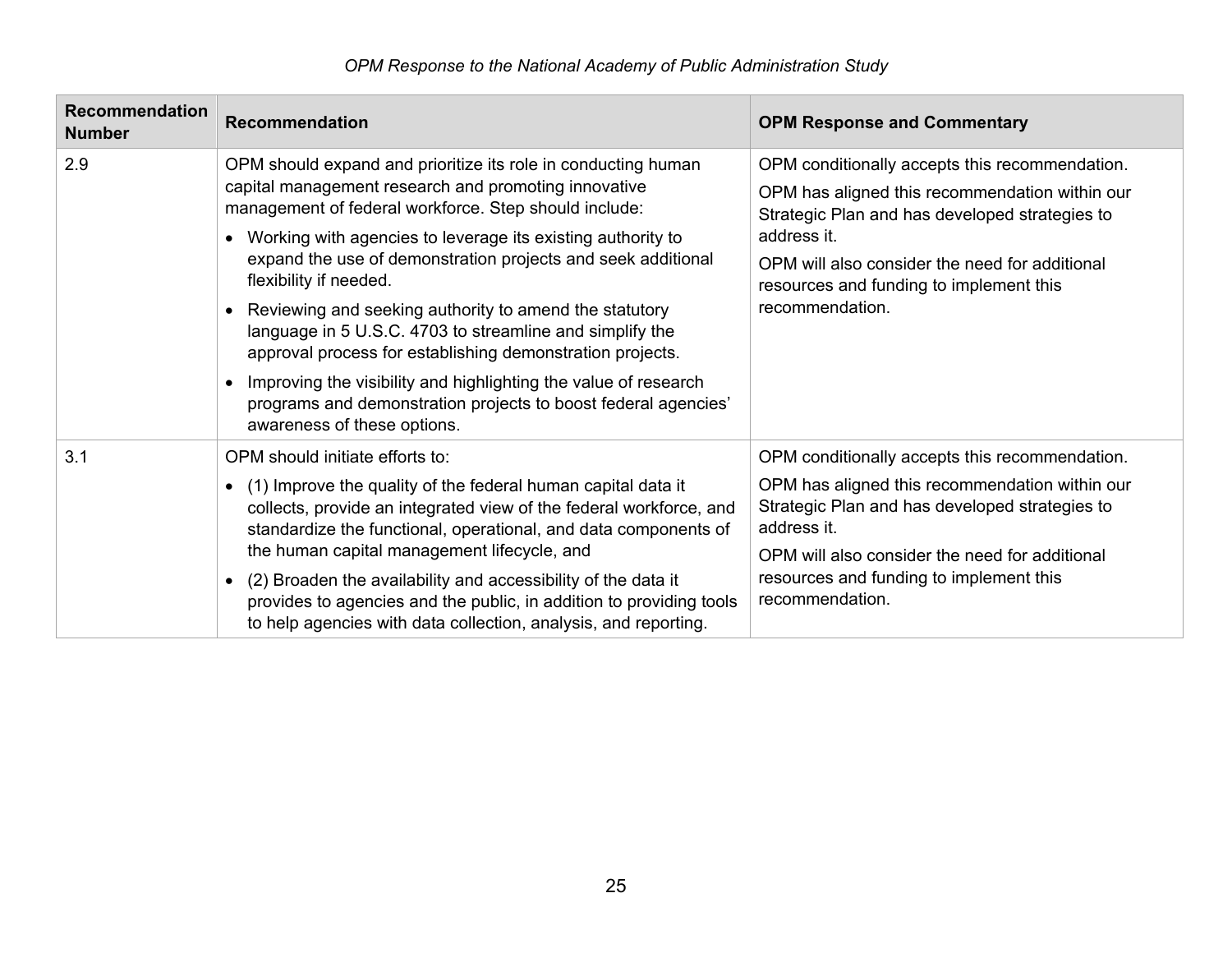| Recommendation<br><b>Number</b>                                                                                                                                                                                                                                                                                                          | <b>Recommendation</b>                                                                                                                                                                                                                                | <b>OPM Response and Commentary</b>                                                                                                                 |
|------------------------------------------------------------------------------------------------------------------------------------------------------------------------------------------------------------------------------------------------------------------------------------------------------------------------------------------|------------------------------------------------------------------------------------------------------------------------------------------------------------------------------------------------------------------------------------------------------|----------------------------------------------------------------------------------------------------------------------------------------------------|
| 2.9                                                                                                                                                                                                                                                                                                                                      | OPM should expand and prioritize its role in conducting human<br>capital management research and promoting innovative<br>management of federal workforce. Step should include:                                                                       | OPM conditionally accepts this recommendation.<br>OPM has aligned this recommendation within our<br>Strategic Plan and has developed strategies to |
| Working with agencies to leverage its existing authority to<br>expand the use of demonstration projects and seek additional<br>flexibility if needed.<br>Reviewing and seeking authority to amend the statutory<br>language in 5 U.S.C. 4703 to streamline and simplify the<br>approval process for establishing demonstration projects. | address it.<br>OPM will also consider the need for additional<br>resources and funding to implement this                                                                                                                                             |                                                                                                                                                    |
|                                                                                                                                                                                                                                                                                                                                          | recommendation.                                                                                                                                                                                                                                      |                                                                                                                                                    |
|                                                                                                                                                                                                                                                                                                                                          | Improving the visibility and highlighting the value of research<br>programs and demonstration projects to boost federal agencies'<br>awareness of these options.                                                                                     |                                                                                                                                                    |
| 3.1                                                                                                                                                                                                                                                                                                                                      | OPM should initiate efforts to:                                                                                                                                                                                                                      | OPM conditionally accepts this recommendation.                                                                                                     |
|                                                                                                                                                                                                                                                                                                                                          | (1) Improve the quality of the federal human capital data it<br>collects, provide an integrated view of the federal workforce, and<br>standardize the functional, operational, and data components of<br>the human capital management lifecycle, and | OPM has aligned this recommendation within our<br>Strategic Plan and has developed strategies to<br>address it.                                    |
|                                                                                                                                                                                                                                                                                                                                          | (2) Broaden the availability and accessibility of the data it<br>provides to agencies and the public, in addition to providing tools<br>to help agencies with data collection, analysis, and reporting.                                              | OPM will also consider the need for additional<br>resources and funding to implement this<br>recommendation.                                       |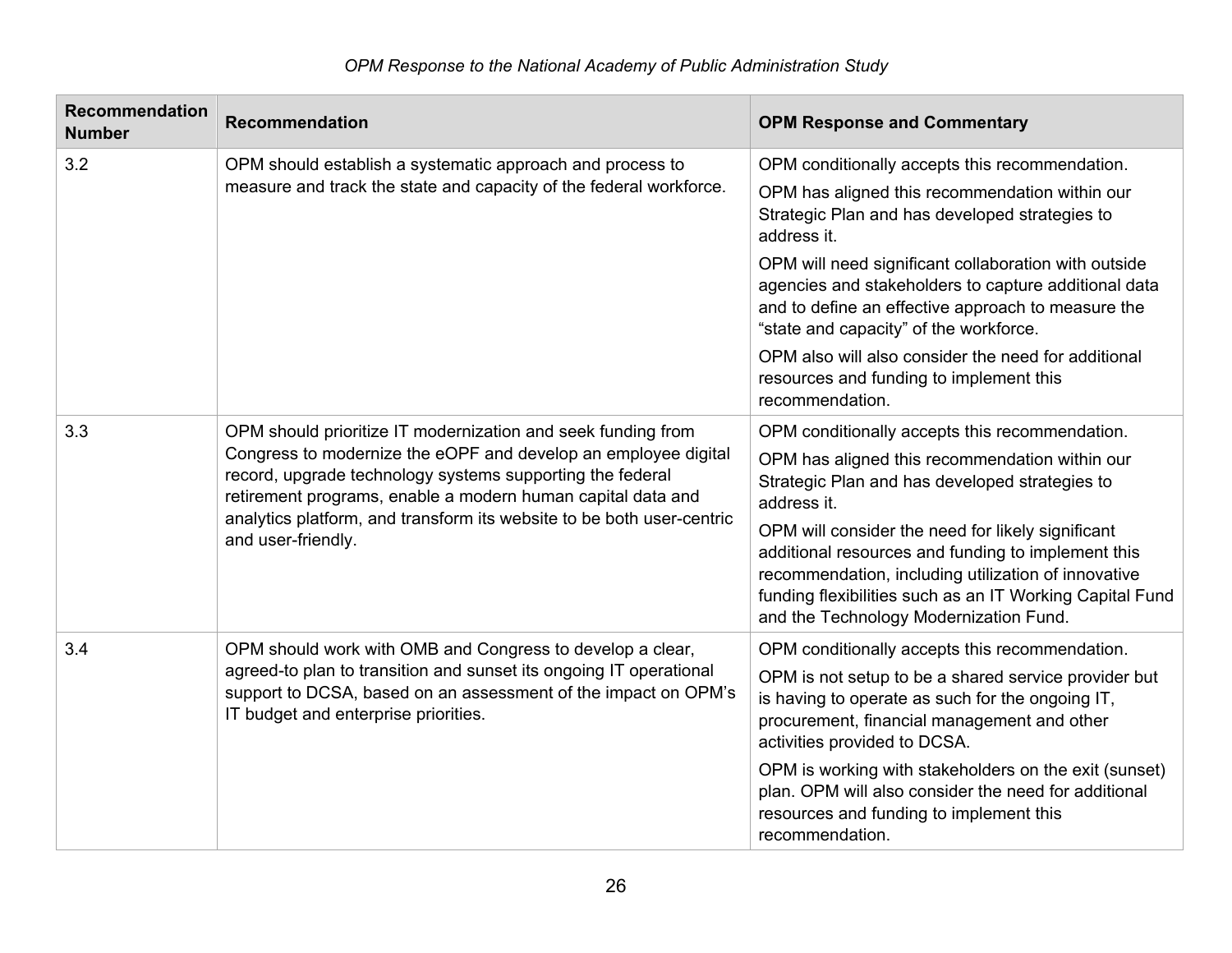| <b>Recommendation</b><br><b>Number</b> | <b>Recommendation</b>                                                                                                                                                                                                                                                                                                                                     | <b>OPM Response and Commentary</b>                                                                                                                                                                                                                                   |
|----------------------------------------|-----------------------------------------------------------------------------------------------------------------------------------------------------------------------------------------------------------------------------------------------------------------------------------------------------------------------------------------------------------|----------------------------------------------------------------------------------------------------------------------------------------------------------------------------------------------------------------------------------------------------------------------|
| 3.2                                    | OPM should establish a systematic approach and process to<br>measure and track the state and capacity of the federal workforce.                                                                                                                                                                                                                           | OPM conditionally accepts this recommendation.<br>OPM has aligned this recommendation within our<br>Strategic Plan and has developed strategies to<br>address it.                                                                                                    |
|                                        |                                                                                                                                                                                                                                                                                                                                                           | OPM will need significant collaboration with outside<br>agencies and stakeholders to capture additional data<br>and to define an effective approach to measure the<br>"state and capacity" of the workforce.                                                         |
|                                        |                                                                                                                                                                                                                                                                                                                                                           | OPM also will also consider the need for additional<br>resources and funding to implement this<br>recommendation.                                                                                                                                                    |
| 3.3                                    | OPM should prioritize IT modernization and seek funding from<br>Congress to modernize the eOPF and develop an employee digital<br>record, upgrade technology systems supporting the federal<br>retirement programs, enable a modern human capital data and<br>analytics platform, and transform its website to be both user-centric<br>and user-friendly. | OPM conditionally accepts this recommendation.                                                                                                                                                                                                                       |
|                                        |                                                                                                                                                                                                                                                                                                                                                           | OPM has aligned this recommendation within our<br>Strategic Plan and has developed strategies to<br>address it.                                                                                                                                                      |
|                                        |                                                                                                                                                                                                                                                                                                                                                           | OPM will consider the need for likely significant<br>additional resources and funding to implement this<br>recommendation, including utilization of innovative<br>funding flexibilities such as an IT Working Capital Fund<br>and the Technology Modernization Fund. |
| 3.4                                    | OPM should work with OMB and Congress to develop a clear,<br>agreed-to plan to transition and sunset its ongoing IT operational<br>support to DCSA, based on an assessment of the impact on OPM's<br>IT budget and enterprise priorities.                                                                                                                 | OPM conditionally accepts this recommendation.                                                                                                                                                                                                                       |
|                                        |                                                                                                                                                                                                                                                                                                                                                           | OPM is not setup to be a shared service provider but<br>is having to operate as such for the ongoing IT,<br>procurement, financial management and other<br>activities provided to DCSA.                                                                              |
|                                        |                                                                                                                                                                                                                                                                                                                                                           | OPM is working with stakeholders on the exit (sunset)<br>plan. OPM will also consider the need for additional<br>resources and funding to implement this<br>recommendation.                                                                                          |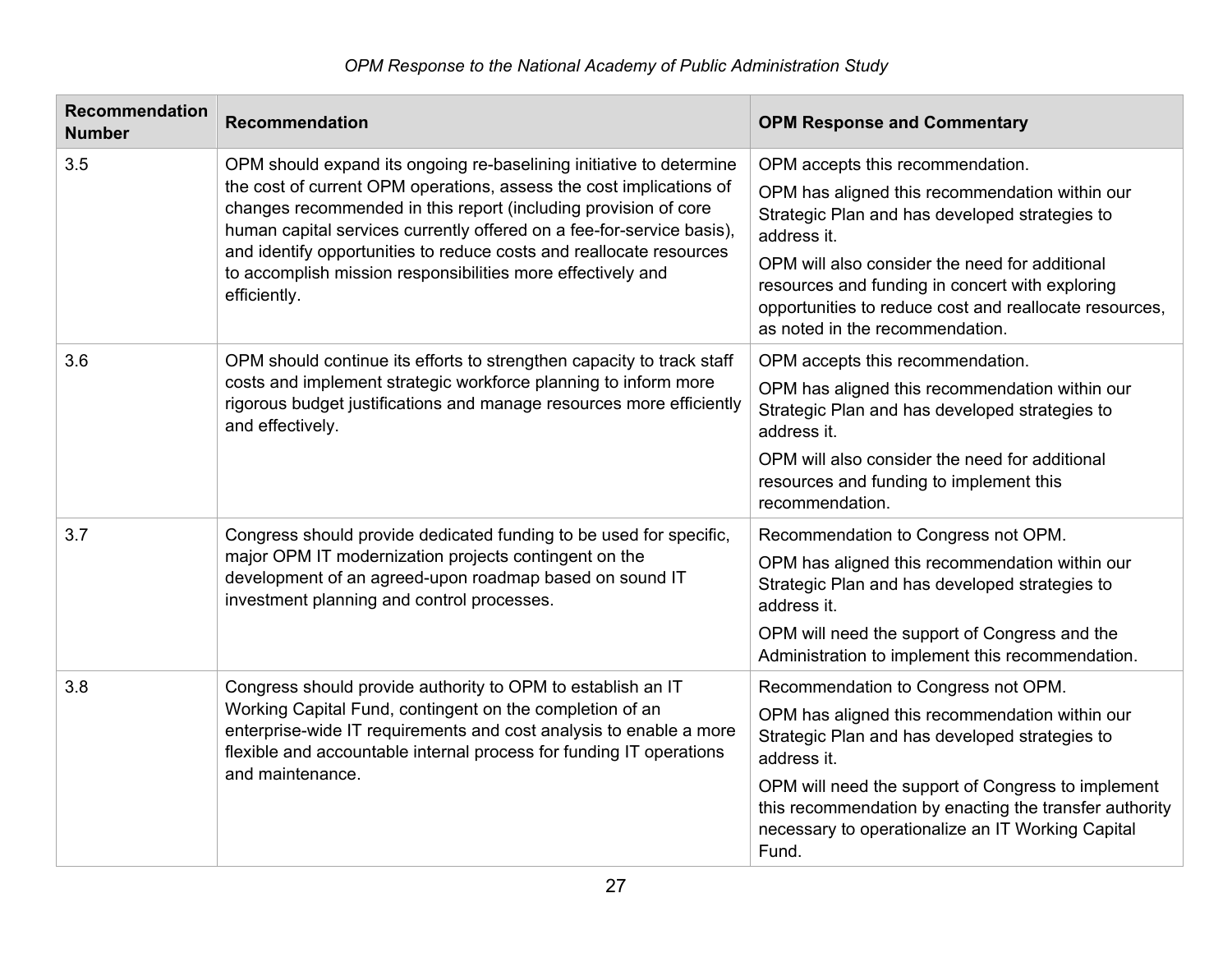| <b>Recommendation</b><br><b>Number</b> | <b>Recommendation</b>                                                                                                                                                                                                                                                                                                                                                                                                                        | <b>OPM Response and Commentary</b>                                                                                                                                                                                                                                                                                                                    |
|----------------------------------------|----------------------------------------------------------------------------------------------------------------------------------------------------------------------------------------------------------------------------------------------------------------------------------------------------------------------------------------------------------------------------------------------------------------------------------------------|-------------------------------------------------------------------------------------------------------------------------------------------------------------------------------------------------------------------------------------------------------------------------------------------------------------------------------------------------------|
| 3.5                                    | OPM should expand its ongoing re-baselining initiative to determine<br>the cost of current OPM operations, assess the cost implications of<br>changes recommended in this report (including provision of core<br>human capital services currently offered on a fee-for-service basis),<br>and identify opportunities to reduce costs and reallocate resources<br>to accomplish mission responsibilities more effectively and<br>efficiently. | OPM accepts this recommendation.<br>OPM has aligned this recommendation within our<br>Strategic Plan and has developed strategies to<br>address it.<br>OPM will also consider the need for additional<br>resources and funding in concert with exploring<br>opportunities to reduce cost and reallocate resources,<br>as noted in the recommendation. |
| 3.6                                    | OPM should continue its efforts to strengthen capacity to track staff<br>costs and implement strategic workforce planning to inform more<br>rigorous budget justifications and manage resources more efficiently<br>and effectively.                                                                                                                                                                                                         | OPM accepts this recommendation.<br>OPM has aligned this recommendation within our<br>Strategic Plan and has developed strategies to<br>address it.<br>OPM will also consider the need for additional<br>resources and funding to implement this<br>recommendation.                                                                                   |
| 3.7                                    | Congress should provide dedicated funding to be used for specific,<br>major OPM IT modernization projects contingent on the<br>development of an agreed-upon roadmap based on sound IT<br>investment planning and control processes.                                                                                                                                                                                                         | Recommendation to Congress not OPM.<br>OPM has aligned this recommendation within our<br>Strategic Plan and has developed strategies to<br>address it.<br>OPM will need the support of Congress and the<br>Administration to implement this recommendation.                                                                                           |
| 3.8                                    | Congress should provide authority to OPM to establish an IT<br>Working Capital Fund, contingent on the completion of an<br>enterprise-wide IT requirements and cost analysis to enable a more<br>flexible and accountable internal process for funding IT operations<br>and maintenance.                                                                                                                                                     | Recommendation to Congress not OPM.<br>OPM has aligned this recommendation within our<br>Strategic Plan and has developed strategies to<br>address it.<br>OPM will need the support of Congress to implement<br>this recommendation by enacting the transfer authority<br>necessary to operationalize an IT Working Capital<br>Fund.                  |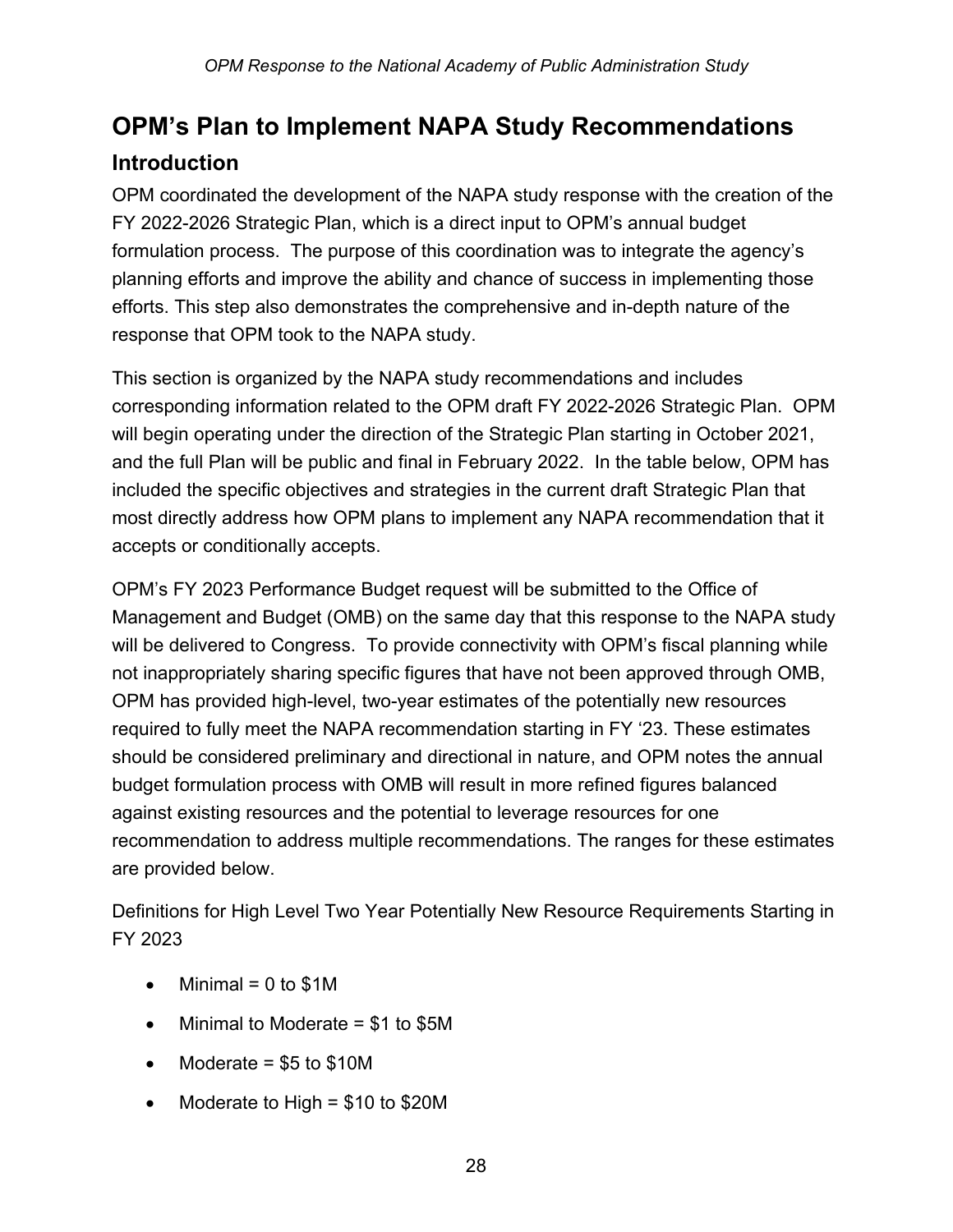# <span id="page-32-0"></span>**OPM's Plan to Implement NAPA Study Recommendations Introduction**

<span id="page-32-1"></span>OPM coordinated the development of the NAPA study response with the creation of the FY 2022-2026 Strategic Plan, which is a direct input to OPM's annual budget formulation process. The purpose of this coordination was to integrate the agency's planning efforts and improve the ability and chance of success in implementing those efforts. This step also demonstrates the comprehensive and in-depth nature of the response that OPM took to the NAPA study.

This section is organized by the NAPA study recommendations and includes corresponding information related to the OPM draft FY 2022-2026 Strategic Plan. OPM will begin operating under the direction of the Strategic Plan starting in October 2021, and the full Plan will be public and final in February 2022. In the table below, OPM has included the specific objectives and strategies in the current draft Strategic Plan that most directly address how OPM plans to implement any NAPA recommendation that it accepts or conditionally accepts.

OPM's FY 2023 Performance Budget request will be submitted to the Office of Management and Budget (OMB) on the same day that this response to the NAPA study will be delivered to Congress. To provide connectivity with OPM's fiscal planning while not inappropriately sharing specific figures that have not been approved through OMB, OPM has provided high-level, two-year estimates of the potentially new resources required to fully meet the NAPA recommendation starting in FY '23. These estimates should be considered preliminary and directional in nature, and OPM notes the annual budget formulation process with OMB will result in more refined figures balanced against existing resources and the potential to leverage resources for one recommendation to address multiple recommendations. The ranges for these estimates are provided below.

Definitions for High Level Two Year Potentially New Resource Requirements Starting in FY 2023

- $\bullet$  Minimal = 0 to \$1M
- Minimal to Moderate = \$1 to \$5M
- Moderate  $= $5$  to  $$10M$
- Moderate to High =  $$10$  to  $$20M$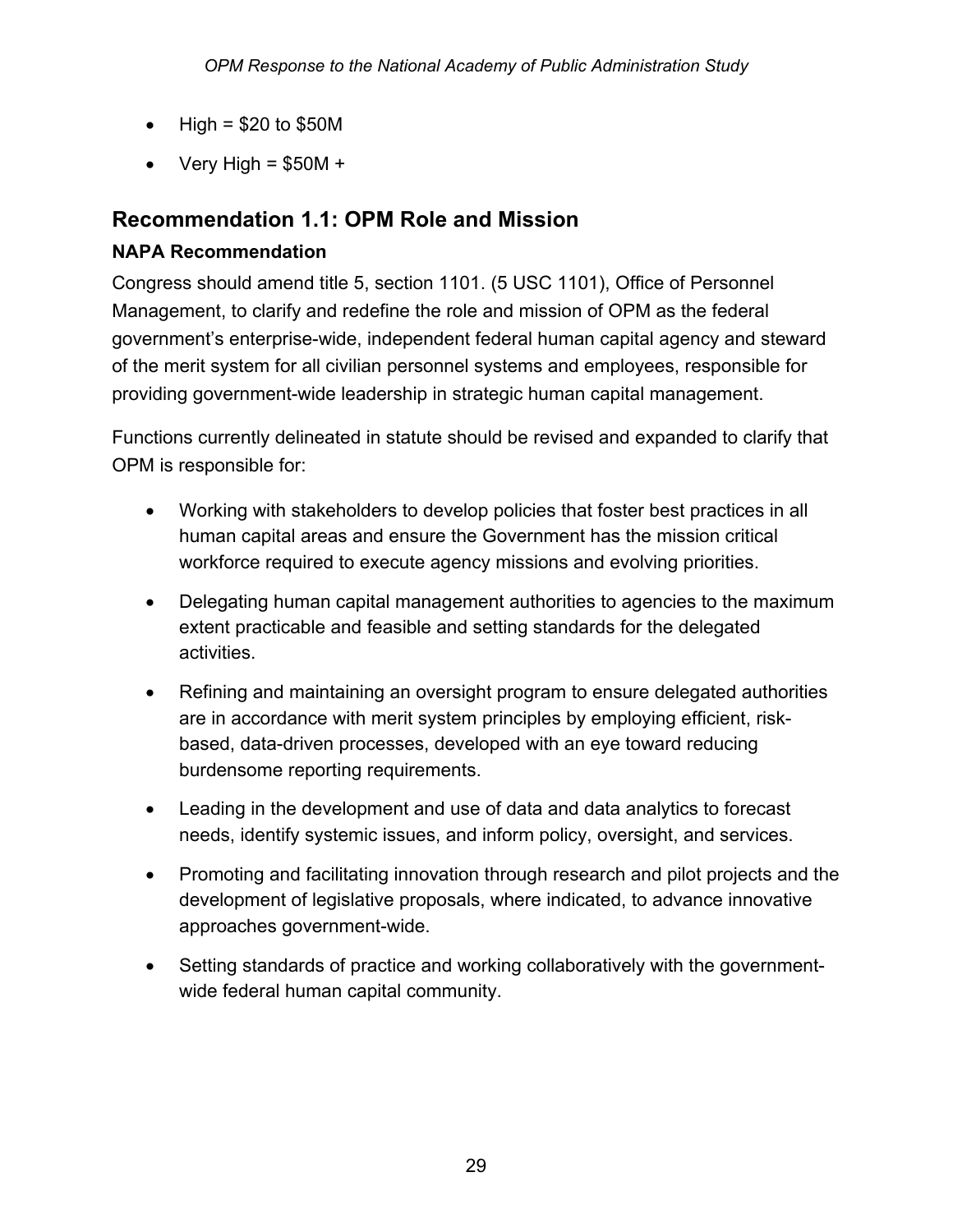- High =  $$20$  to  $$50M$
- Very High =  $$50M +$

## <span id="page-33-0"></span>**Recommendation 1.1: OPM Role and Mission**

## **NAPA Recommendation**

Congress should amend title 5, section 1101. (5 USC 1101), Office of Personnel Management, to clarify and redefine the role and mission of OPM as the federal government's enterprise-wide, independent federal human capital agency and steward of the merit system for all civilian personnel systems and employees, responsible for providing government-wide leadership in strategic human capital management.

Functions currently delineated in statute should be revised and expanded to clarify that OPM is responsible for:

- Working with stakeholders to develop policies that foster best practices in all human capital areas and ensure the Government has the mission critical workforce required to execute agency missions and evolving priorities.
- Delegating human capital management authorities to agencies to the maximum extent practicable and feasible and setting standards for the delegated activities.
- Refining and maintaining an oversight program to ensure delegated authorities are in accordance with merit system principles by employing efficient, riskbased, data-driven processes, developed with an eye toward reducing burdensome reporting requirements.
- Leading in the development and use of data and data analytics to forecast needs, identify systemic issues, and inform policy, oversight, and services.
- Promoting and facilitating innovation through research and pilot projects and the development of legislative proposals, where indicated, to advance innovative approaches government-wide.
- Setting standards of practice and working collaboratively with the governmentwide federal human capital community.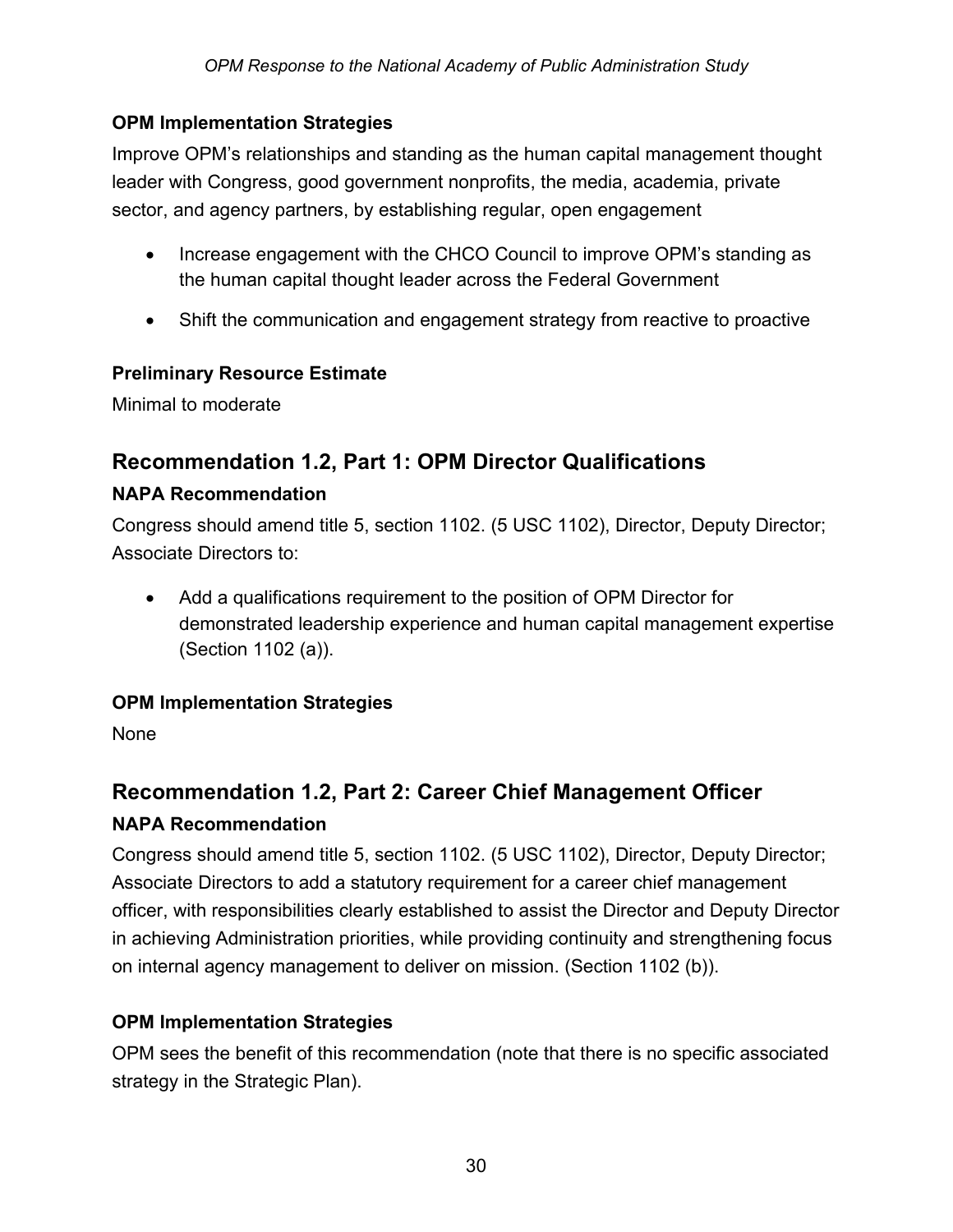#### **OPM Implementation Strategies**

Improve OPM's relationships and standing as the human capital management thought leader with Congress, good government nonprofits, the media, academia, private sector, and agency partners, by establishing regular, open engagement

- Increase engagement with the CHCO Council to improve OPM's standing as the human capital thought leader across the Federal Government
- Shift the communication and engagement strategy from reactive to proactive

#### **Preliminary Resource Estimate**

Minimal to moderate

## <span id="page-34-0"></span>**Recommendation 1.2, Part 1: OPM Director Qualifications**

#### **NAPA Recommendation**

Congress should amend title 5, section 1102. (5 USC 1102), Director, Deputy Director; Associate Directors to:

• Add a qualifications requirement to the position of OPM Director for demonstrated leadership experience and human capital management expertise (Section 1102 (a)).

#### **OPM Implementation Strategies**

None

## <span id="page-34-1"></span>**Recommendation 1.2, Part 2: Career Chief Management Officer**

#### **NAPA Recommendation**

Congress should amend title 5, section 1102. (5 USC 1102), Director, Deputy Director; Associate Directors to add a statutory requirement for a career chief management officer, with responsibilities clearly established to assist the Director and Deputy Director in achieving Administration priorities, while providing continuity and strengthening focus on internal agency management to deliver on mission. (Section 1102 (b)).

## **OPM Implementation Strategies**

OPM sees the benefit of this recommendation (note that there is no specific associated strategy in the Strategic Plan).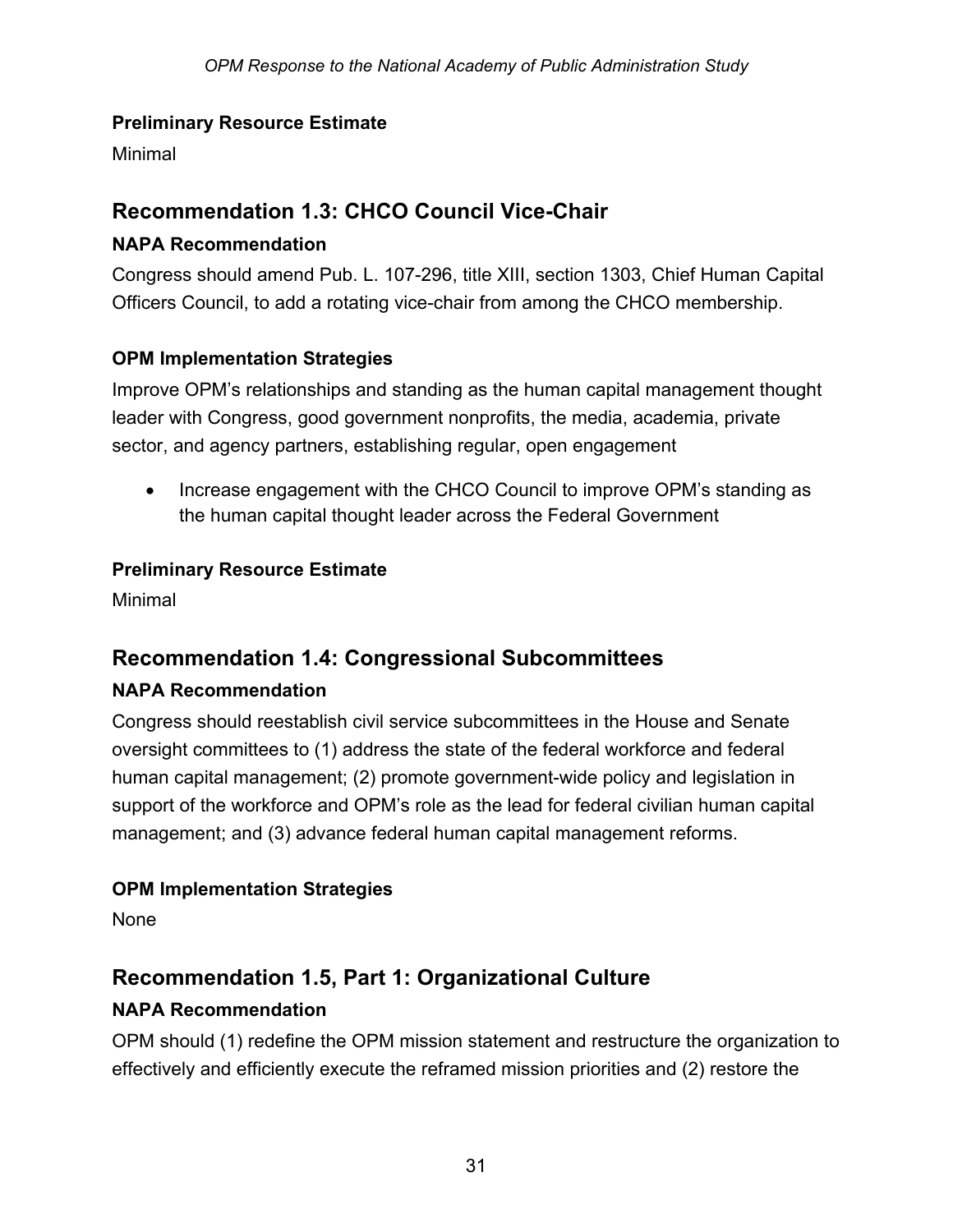Minimal

## <span id="page-35-0"></span>**Recommendation 1.3: CHCO Council Vice-Chair**

#### **NAPA Recommendation**

Congress should amend Pub. L. 107-296, title XIII, section 1303, Chief Human Capital Officers Council, to add a rotating vice-chair from among the CHCO membership.

## **OPM Implementation Strategies**

Improve OPM's relationships and standing as the human capital management thought leader with Congress, good government nonprofits, the media, academia, private sector, and agency partners, establishing regular, open engagement

• Increase engagement with the CHCO Council to improve OPM's standing as the human capital thought leader across the Federal Government

#### **Preliminary Resource Estimate**

Minimal

## <span id="page-35-1"></span>**Recommendation 1.4: Congressional Subcommittees**

## **NAPA Recommendation**

Congress should reestablish civil service subcommittees in the House and Senate oversight committees to (1) address the state of the federal workforce and federal human capital management; (2) promote government-wide policy and legislation in support of the workforce and OPM's role as the lead for federal civilian human capital management; and (3) advance federal human capital management reforms.

## **OPM Implementation Strategies**

None

## <span id="page-35-2"></span>**Recommendation 1.5, Part 1: Organizational Culture**

## **NAPA Recommendation**

OPM should (1) redefine the OPM mission statement and restructure the organization to effectively and efficiently execute the reframed mission priorities and (2) restore the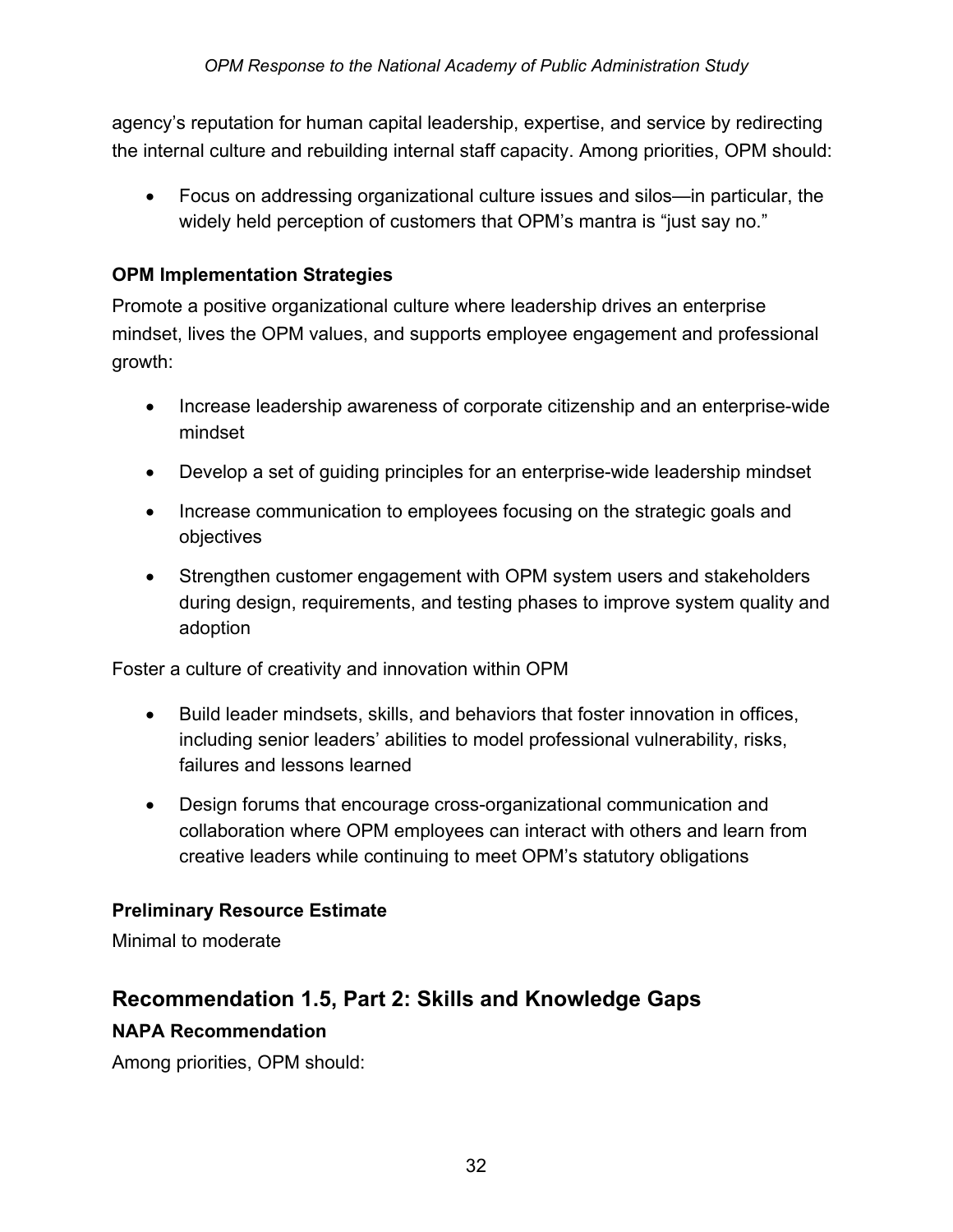agency's reputation for human capital leadership, expertise, and service by redirecting the internal culture and rebuilding internal staff capacity. Among priorities, OPM should:

• Focus on addressing organizational culture issues and silos—in particular, the widely held perception of customers that OPM's mantra is "just say no."

#### **OPM Implementation Strategies**

Promote a positive organizational culture where leadership drives an enterprise mindset, lives the OPM values, and supports employee engagement and professional growth:

- Increase leadership awareness of corporate citizenship and an enterprise-wide mindset
- Develop a set of guiding principles for an enterprise-wide leadership mindset
- Increase communication to employees focusing on the strategic goals and objectives
- Strengthen customer engagement with OPM system users and stakeholders during design, requirements, and testing phases to improve system quality and adoption

Foster a culture of creativity and innovation within OPM

- Build leader mindsets, skills, and behaviors that foster innovation in offices, including senior leaders' abilities to model professional vulnerability, risks, failures and lessons learned
- Design forums that encourage cross-organizational communication and collaboration where OPM employees can interact with others and learn from creative leaders while continuing to meet OPM's statutory obligations

## **Preliminary Resource Estimate**

Minimal to moderate

## <span id="page-36-0"></span>**Recommendation 1.5, Part 2: Skills and Knowledge Gaps NAPA Recommendation**

Among priorities, OPM should: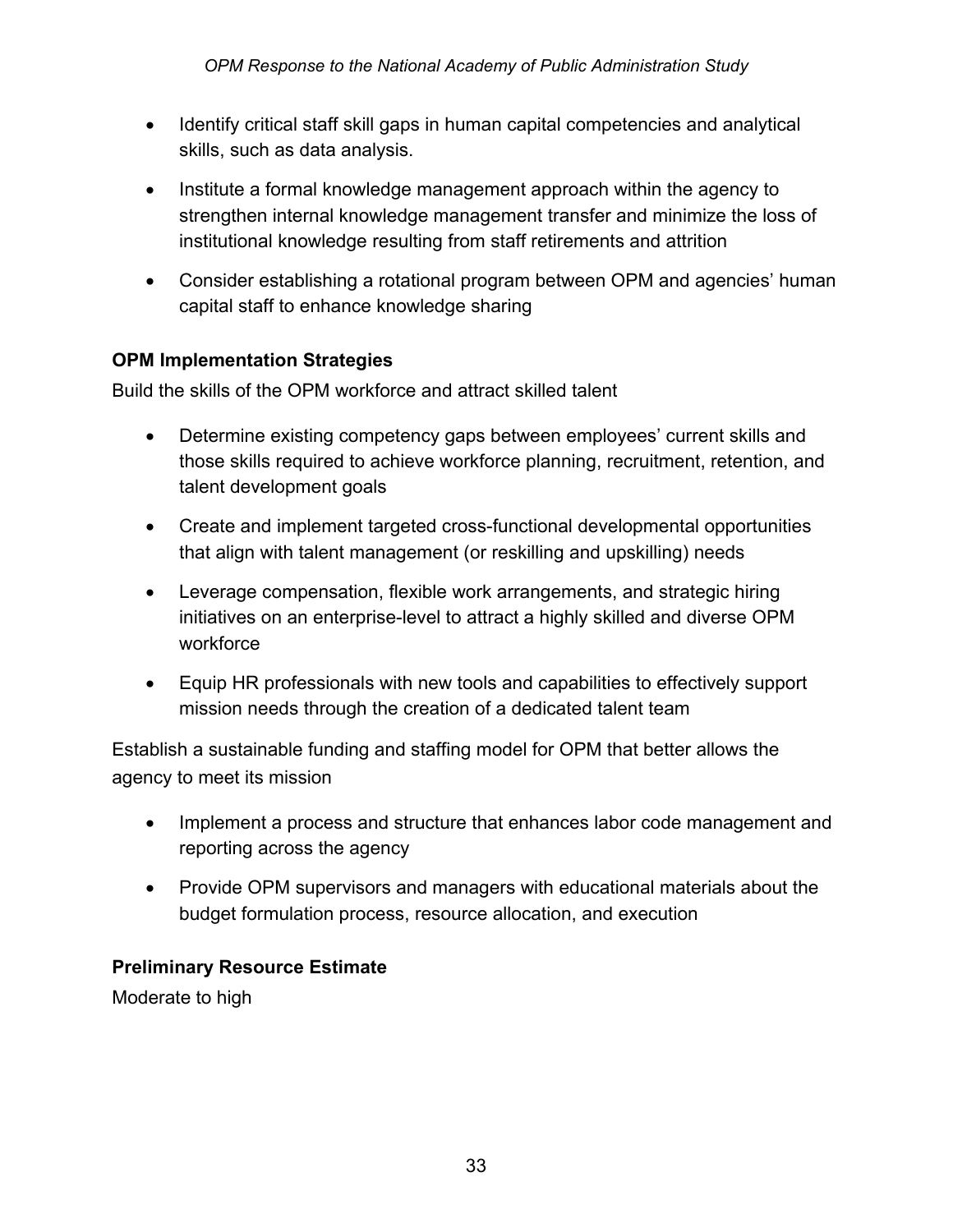- Identify critical staff skill gaps in human capital competencies and analytical skills, such as data analysis.
- Institute a formal knowledge management approach within the agency to strengthen internal knowledge management transfer and minimize the loss of institutional knowledge resulting from staff retirements and attrition
- Consider establishing a rotational program between OPM and agencies' human capital staff to enhance knowledge sharing

## **OPM Implementation Strategies**

Build the skills of the OPM workforce and attract skilled talent

- Determine existing competency gaps between employees' current skills and those skills required to achieve workforce planning, recruitment, retention, and talent development goals
- Create and implement targeted cross-functional developmental opportunities that align with talent management (or reskilling and upskilling) needs
- Leverage compensation, flexible work arrangements, and strategic hiring initiatives on an enterprise-level to attract a highly skilled and diverse OPM workforce
- Equip HR professionals with new tools and capabilities to effectively support mission needs through the creation of a dedicated talent team

Establish a sustainable funding and staffing model for OPM that better allows the agency to meet its mission

- Implement a process and structure that enhances labor code management and reporting across the agency
- Provide OPM supervisors and managers with educational materials about the budget formulation process, resource allocation, and execution

## **Preliminary Resource Estimate**

Moderate to high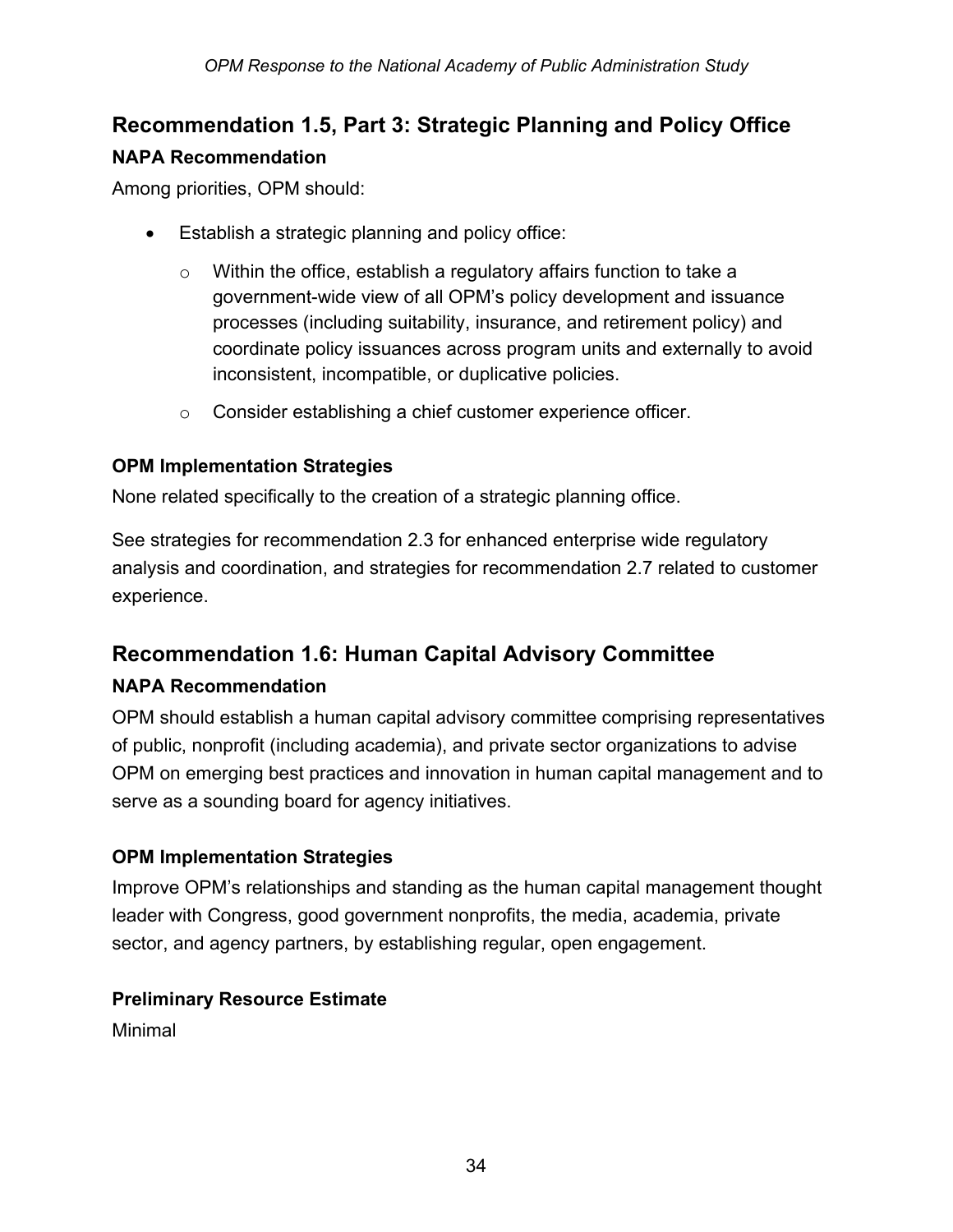## <span id="page-38-0"></span>**Recommendation 1.5, Part 3: Strategic Planning and Policy Office NAPA Recommendation**

Among priorities, OPM should:

- Establish a strategic planning and policy office:
	- o Within the office, establish a regulatory affairs function to take a government-wide view of all OPM's policy development and issuance processes (including suitability, insurance, and retirement policy) and coordinate policy issuances across program units and externally to avoid inconsistent, incompatible, or duplicative policies.
	- o Consider establishing a chief customer experience officer.

## **OPM Implementation Strategies**

None related specifically to the creation of a strategic planning office.

See strategies for recommendation 2.3 for enhanced enterprise wide regulatory analysis and coordination, and strategies for recommendation 2.7 related to customer experience.

## <span id="page-38-1"></span>**Recommendation 1.6: Human Capital Advisory Committee**

## **NAPA Recommendation**

OPM should establish a human capital advisory committee comprising representatives of public, nonprofit (including academia), and private sector organizations to advise OPM on emerging best practices and innovation in human capital management and to serve as a sounding board for agency initiatives.

## **OPM Implementation Strategies**

Improve OPM's relationships and standing as the human capital management thought leader with Congress, good government nonprofits, the media, academia, private sector, and agency partners, by establishing regular, open engagement.

## **Preliminary Resource Estimate**

Minimal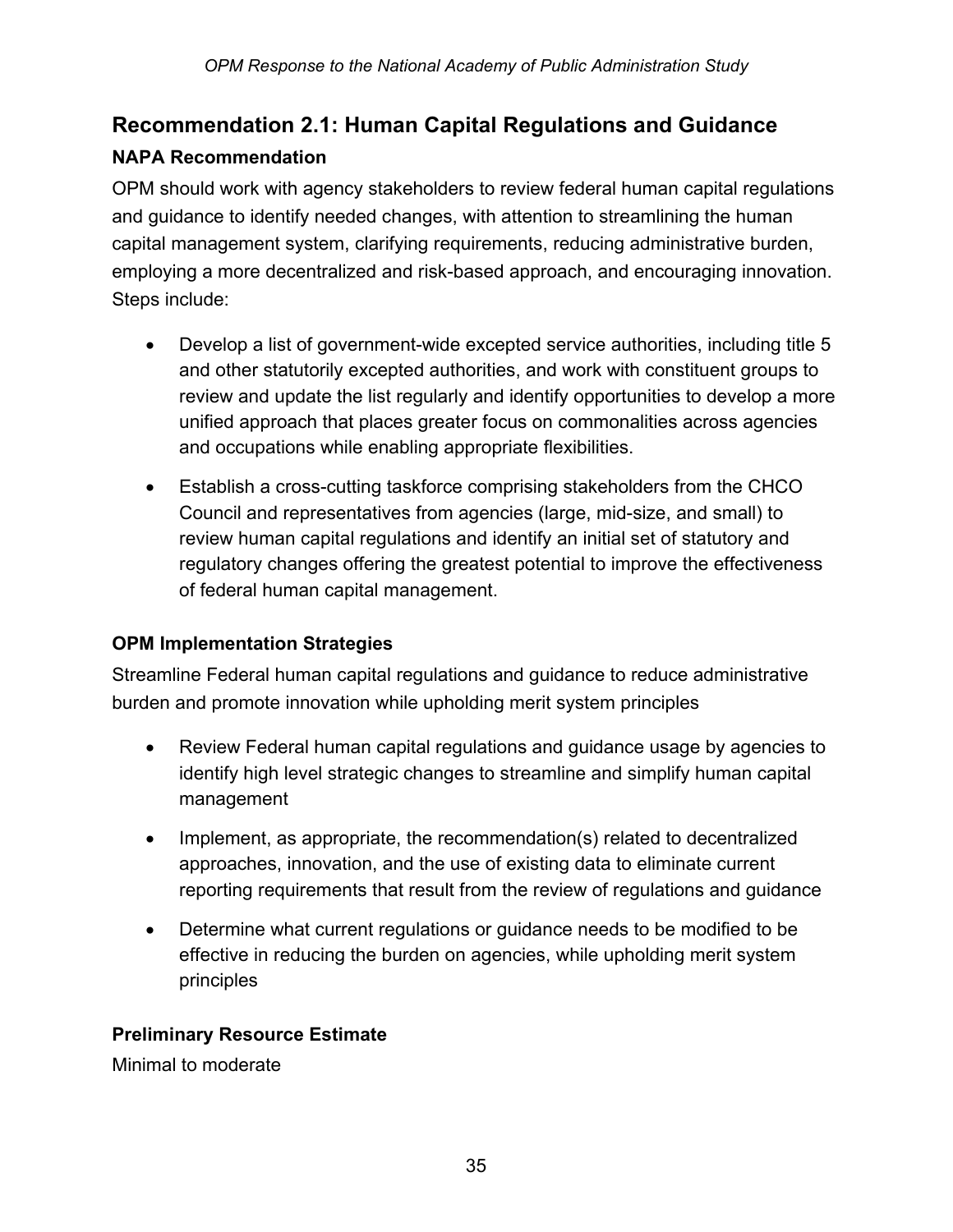## <span id="page-39-0"></span>**Recommendation 2.1: Human Capital Regulations and Guidance NAPA Recommendation**

OPM should work with agency stakeholders to review federal human capital regulations and guidance to identify needed changes, with attention to streamlining the human capital management system, clarifying requirements, reducing administrative burden, employing a more decentralized and risk-based approach, and encouraging innovation. Steps include:

- Develop a list of government-wide excepted service authorities, including title 5 and other statutorily excepted authorities, and work with constituent groups to review and update the list regularly and identify opportunities to develop a more unified approach that places greater focus on commonalities across agencies and occupations while enabling appropriate flexibilities.
- Establish a cross-cutting taskforce comprising stakeholders from the CHCO Council and representatives from agencies (large, mid-size, and small) to review human capital regulations and identify an initial set of statutory and regulatory changes offering the greatest potential to improve the effectiveness of federal human capital management.

## **OPM Implementation Strategies**

Streamline Federal human capital regulations and guidance to reduce administrative burden and promote innovation while upholding merit system principles

- Review Federal human capital regulations and guidance usage by agencies to identify high level strategic changes to streamline and simplify human capital management
- Implement, as appropriate, the recommendation(s) related to decentralized approaches, innovation, and the use of existing data to eliminate current reporting requirements that result from the review of regulations and guidance
- Determine what current regulations or guidance needs to be modified to be effective in reducing the burden on agencies, while upholding merit system principles

## **Preliminary Resource Estimate**

Minimal to moderate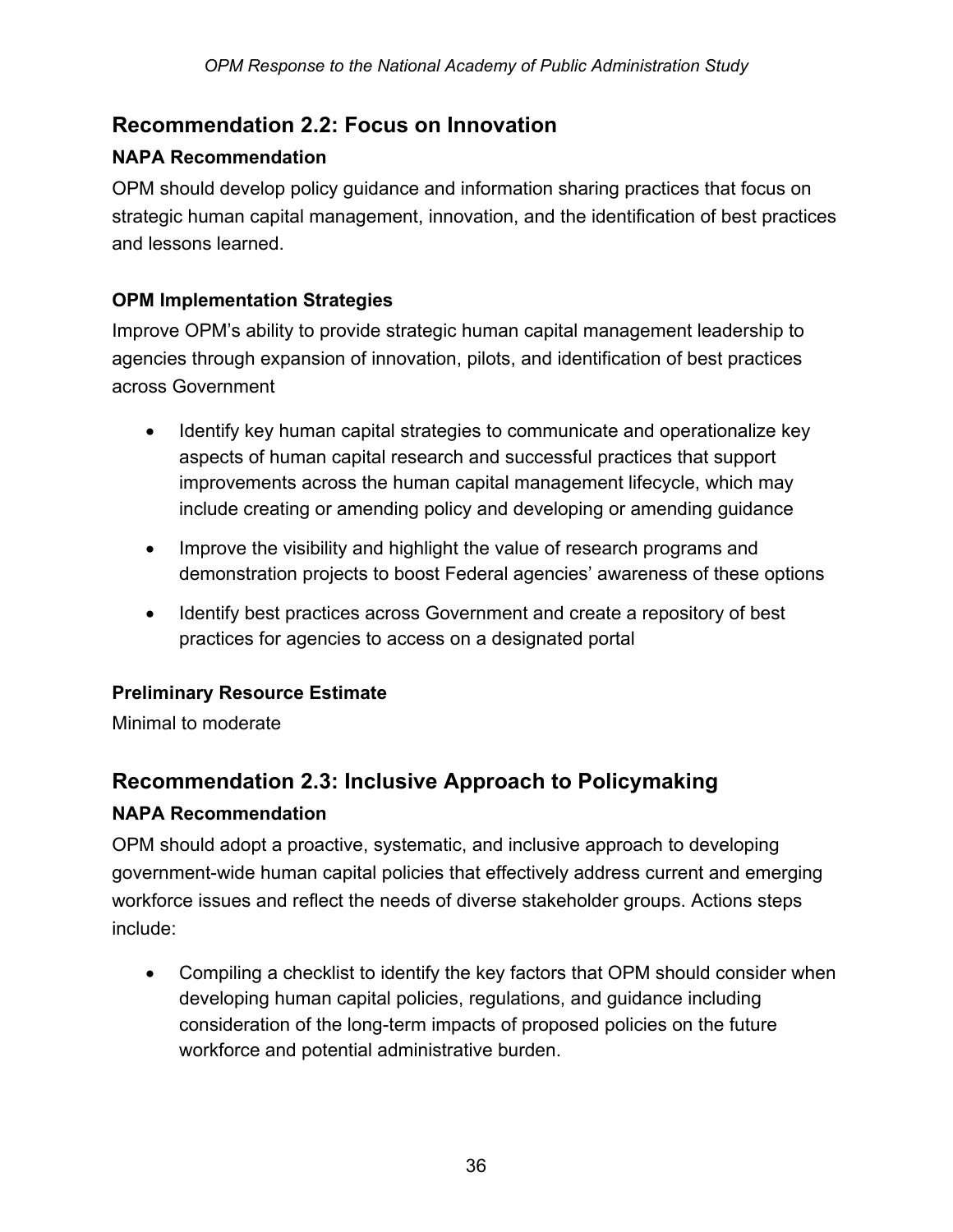## <span id="page-40-0"></span>**Recommendation 2.2: Focus on Innovation**

## **NAPA Recommendation**

OPM should develop policy guidance and information sharing practices that focus on strategic human capital management, innovation, and the identification of best practices and lessons learned.

## **OPM Implementation Strategies**

Improve OPM's ability to provide strategic human capital management leadership to agencies through expansion of innovation, pilots, and identification of best practices across Government

- Identify key human capital strategies to communicate and operationalize key aspects of human capital research and successful practices that support improvements across the human capital management lifecycle, which may include creating or amending policy and developing or amending guidance
- Improve the visibility and highlight the value of research programs and demonstration projects to boost Federal agencies' awareness of these options
- Identify best practices across Government and create a repository of best practices for agencies to access on a designated portal

## **Preliminary Resource Estimate**

Minimal to moderate

## <span id="page-40-1"></span>**Recommendation 2.3: Inclusive Approach to Policymaking**

## **NAPA Recommendation**

OPM should adopt a proactive, systematic, and inclusive approach to developing government-wide human capital policies that effectively address current and emerging workforce issues and reflect the needs of diverse stakeholder groups. Actions steps include:

• Compiling a checklist to identify the key factors that OPM should consider when developing human capital policies, regulations, and guidance including consideration of the long-term impacts of proposed policies on the future workforce and potential administrative burden.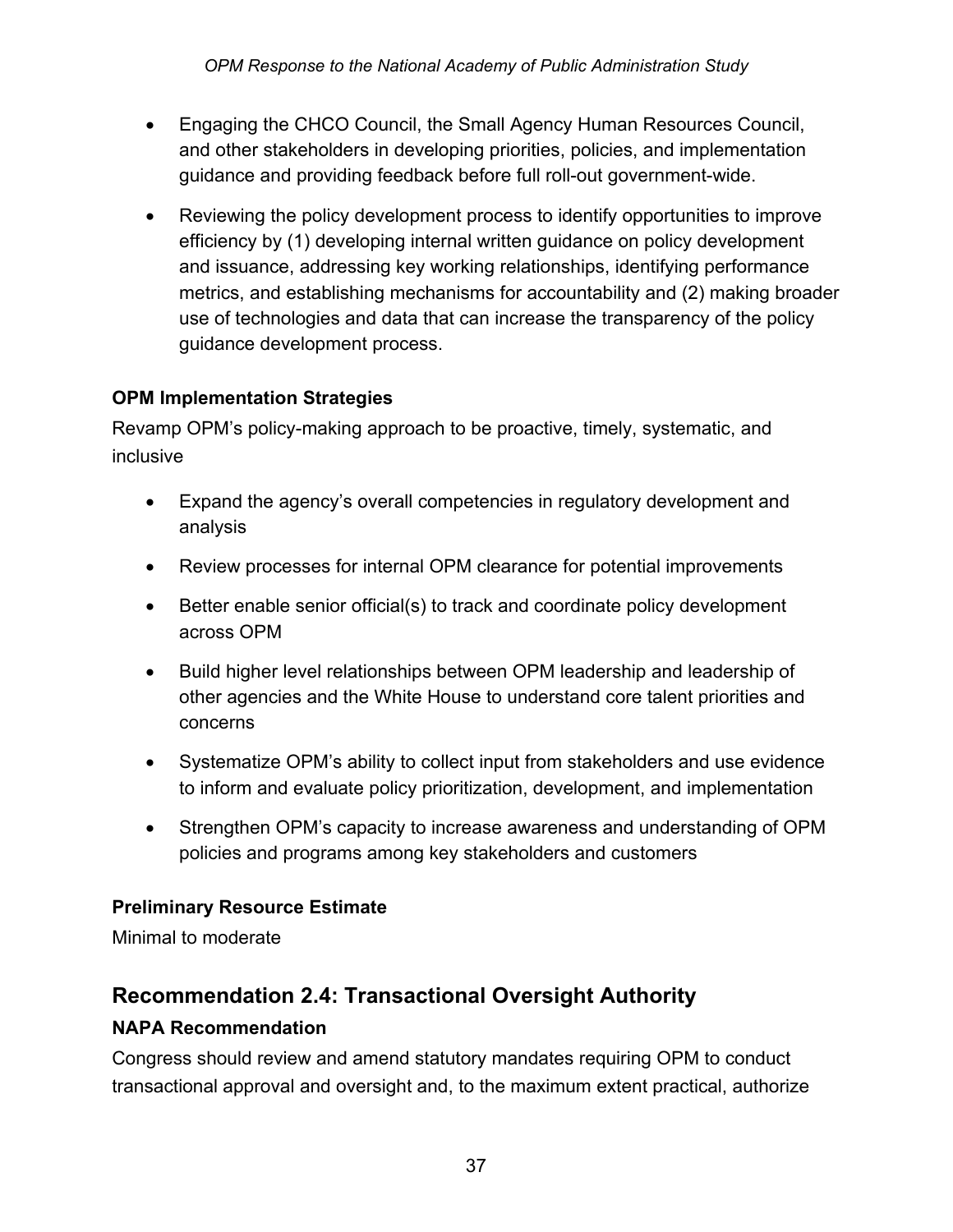- Engaging the CHCO Council, the Small Agency Human Resources Council, and other stakeholders in developing priorities, policies, and implementation guidance and providing feedback before full roll-out government-wide.
- Reviewing the policy development process to identify opportunities to improve efficiency by (1) developing internal written guidance on policy development and issuance, addressing key working relationships, identifying performance metrics, and establishing mechanisms for accountability and (2) making broader use of technologies and data that can increase the transparency of the policy guidance development process.

## **OPM Implementation Strategies**

Revamp OPM's policy-making approach to be proactive, timely, systematic, and inclusive

- Expand the agency's overall competencies in regulatory development and analysis
- Review processes for internal OPM clearance for potential improvements
- Better enable senior official(s) to track and coordinate policy development across OPM
- Build higher level relationships between OPM leadership and leadership of other agencies and the White House to understand core talent priorities and concerns
- Systematize OPM's ability to collect input from stakeholders and use evidence to inform and evaluate policy prioritization, development, and implementation
- Strengthen OPM's capacity to increase awareness and understanding of OPM policies and programs among key stakeholders and customers

## **Preliminary Resource Estimate**

Minimal to moderate

## <span id="page-41-0"></span>**Recommendation 2.4: Transactional Oversight Authority**

## **NAPA Recommendation**

Congress should review and amend statutory mandates requiring OPM to conduct transactional approval and oversight and, to the maximum extent practical, authorize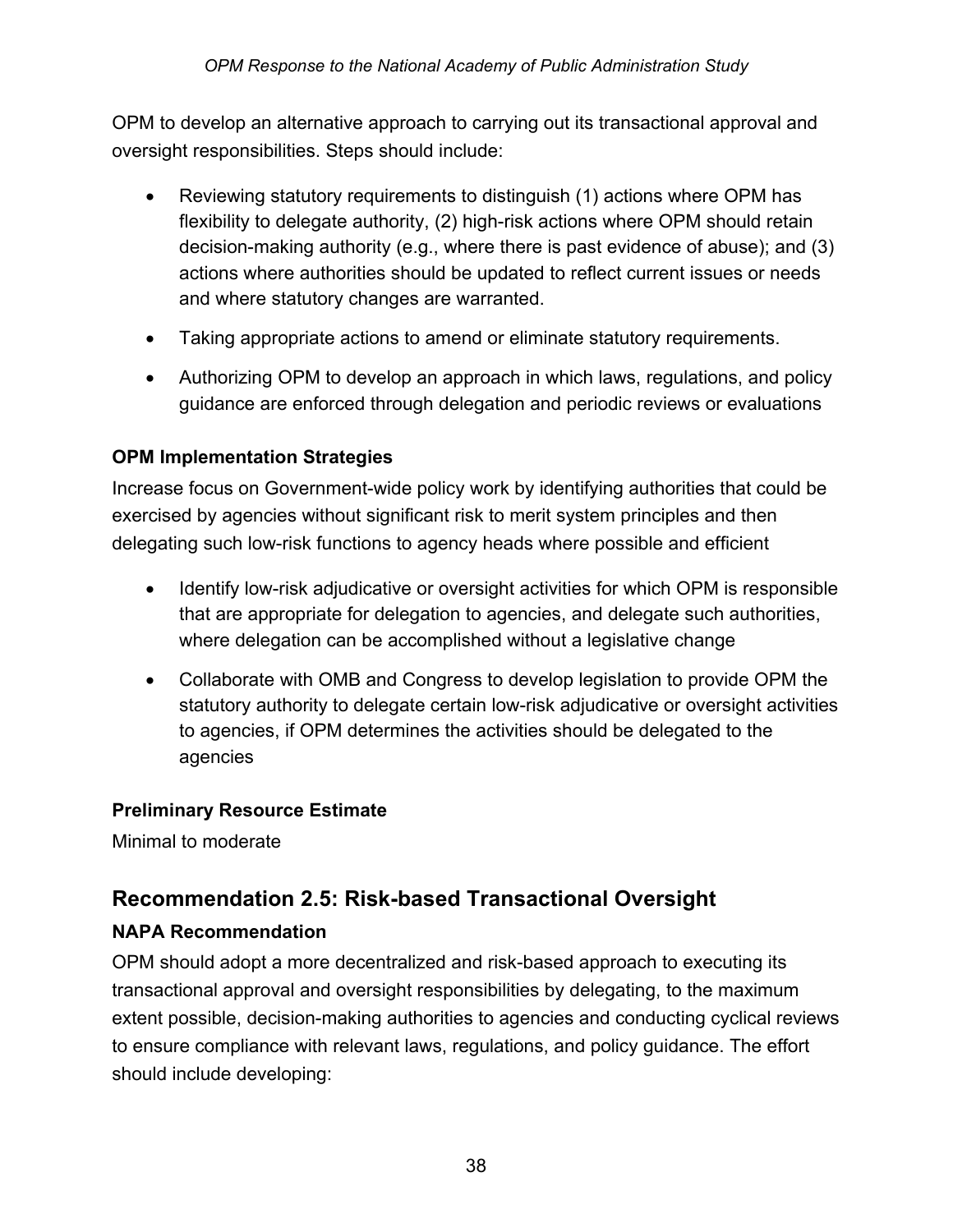OPM to develop an alternative approach to carrying out its transactional approval and oversight responsibilities. Steps should include:

- Reviewing statutory requirements to distinguish (1) actions where OPM has flexibility to delegate authority, (2) high-risk actions where OPM should retain decision-making authority (e.g., where there is past evidence of abuse); and (3) actions where authorities should be updated to reflect current issues or needs and where statutory changes are warranted.
- Taking appropriate actions to amend or eliminate statutory requirements.
- Authorizing OPM to develop an approach in which laws, regulations, and policy guidance are enforced through delegation and periodic reviews or evaluations

## **OPM Implementation Strategies**

Increase focus on Government-wide policy work by identifying authorities that could be exercised by agencies without significant risk to merit system principles and then delegating such low-risk functions to agency heads where possible and efficient

- Identify low-risk adjudicative or oversight activities for which OPM is responsible that are appropriate for delegation to agencies, and delegate such authorities, where delegation can be accomplished without a legislative change
- Collaborate with OMB and Congress to develop legislation to provide OPM the statutory authority to delegate certain low-risk adjudicative or oversight activities to agencies, if OPM determines the activities should be delegated to the agencies

## **Preliminary Resource Estimate**

Minimal to moderate

# <span id="page-42-0"></span>**Recommendation 2.5: Risk-based Transactional Oversight**

## **NAPA Recommendation**

OPM should adopt a more decentralized and risk-based approach to executing its transactional approval and oversight responsibilities by delegating, to the maximum extent possible, decision-making authorities to agencies and conducting cyclical reviews to ensure compliance with relevant laws, regulations, and policy guidance. The effort should include developing: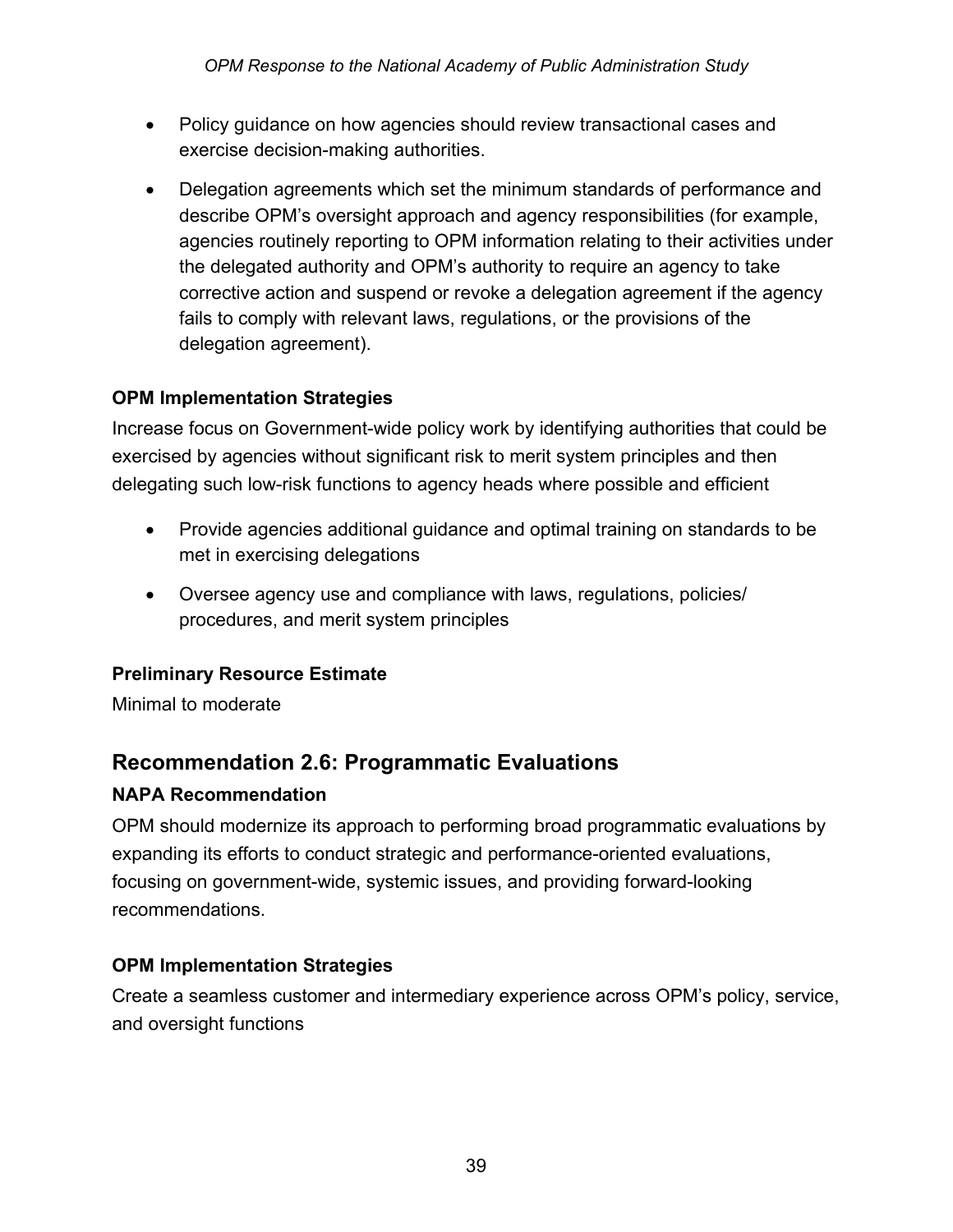- Policy guidance on how agencies should review transactional cases and exercise decision-making authorities.
- Delegation agreements which set the minimum standards of performance and describe OPM's oversight approach and agency responsibilities (for example, agencies routinely reporting to OPM information relating to their activities under the delegated authority and OPM's authority to require an agency to take corrective action and suspend or revoke a delegation agreement if the agency fails to comply with relevant laws, regulations, or the provisions of the delegation agreement).

#### **OPM Implementation Strategies**

Increase focus on Government-wide policy work by identifying authorities that could be exercised by agencies without significant risk to merit system principles and then delegating such low-risk functions to agency heads where possible and efficient

- Provide agencies additional guidance and optimal training on standards to be met in exercising delegations
- Oversee agency use and compliance with laws, regulations, policies/ procedures, and merit system principles

## **Preliminary Resource Estimate**

Minimal to moderate

## <span id="page-43-0"></span>**Recommendation 2.6: Programmatic Evaluations**

#### **NAPA Recommendation**

OPM should modernize its approach to performing broad programmatic evaluations by expanding its efforts to conduct strategic and performance-oriented evaluations, focusing on government-wide, systemic issues, and providing forward-looking recommendations.

#### **OPM Implementation Strategies**

Create a seamless customer and intermediary experience across OPM's policy, service, and oversight functions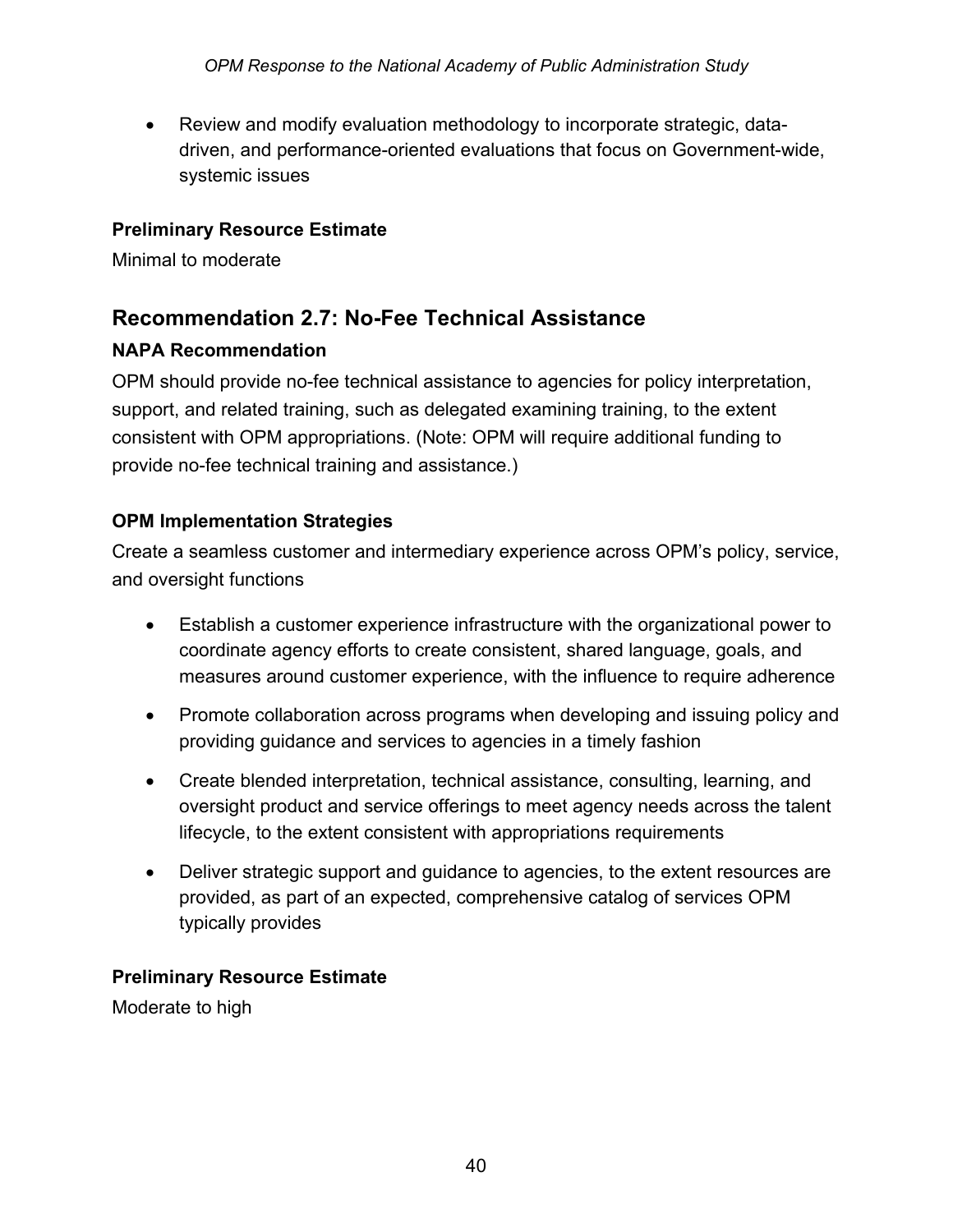• Review and modify evaluation methodology to incorporate strategic, datadriven, and performance-oriented evaluations that focus on Government-wide, systemic issues

## **Preliminary Resource Estimate**

Minimal to moderate

## <span id="page-44-0"></span>**Recommendation 2.7: No-Fee Technical Assistance**

## **NAPA Recommendation**

OPM should provide no-fee technical assistance to agencies for policy interpretation, support, and related training, such as delegated examining training, to the extent consistent with OPM appropriations. (Note: OPM will require additional funding to provide no-fee technical training and assistance.)

## **OPM Implementation Strategies**

Create a seamless customer and intermediary experience across OPM's policy, service, and oversight functions

- Establish a customer experience infrastructure with the organizational power to coordinate agency efforts to create consistent, shared language, goals, and measures around customer experience, with the influence to require adherence
- Promote collaboration across programs when developing and issuing policy and providing guidance and services to agencies in a timely fashion
- Create blended interpretation, technical assistance, consulting, learning, and oversight product and service offerings to meet agency needs across the talent lifecycle, to the extent consistent with appropriations requirements
- Deliver strategic support and guidance to agencies, to the extent resources are provided, as part of an expected, comprehensive catalog of services OPM typically provides

## **Preliminary Resource Estimate**

Moderate to high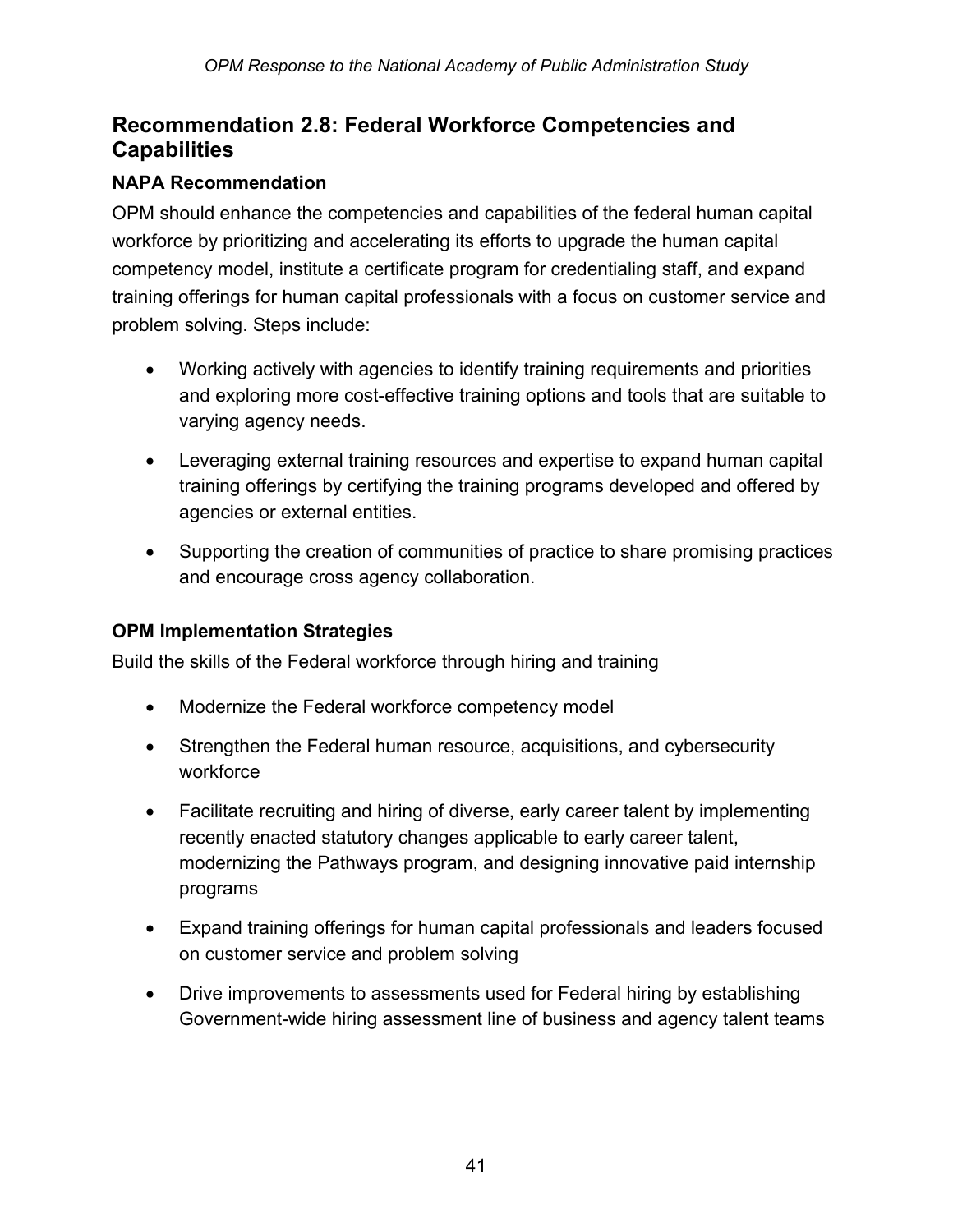## <span id="page-45-0"></span>**Recommendation 2.8: Federal Workforce Competencies and Capabilities**

#### **NAPA Recommendation**

OPM should enhance the competencies and capabilities of the federal human capital workforce by prioritizing and accelerating its efforts to upgrade the human capital competency model, institute a certificate program for credentialing staff, and expand training offerings for human capital professionals with a focus on customer service and problem solving. Steps include:

- Working actively with agencies to identify training requirements and priorities and exploring more cost-effective training options and tools that are suitable to varying agency needs.
- Leveraging external training resources and expertise to expand human capital training offerings by certifying the training programs developed and offered by agencies or external entities.
- Supporting the creation of communities of practice to share promising practices and encourage cross agency collaboration.

#### **OPM Implementation Strategies**

Build the skills of the Federal workforce through hiring and training

- Modernize the Federal workforce competency model
- Strengthen the Federal human resource, acquisitions, and cybersecurity workforce
- Facilitate recruiting and hiring of diverse, early career talent by implementing recently enacted statutory changes applicable to early career talent, modernizing the Pathways program, and designing innovative paid internship programs
- Expand training offerings for human capital professionals and leaders focused on customer service and problem solving
- Drive improvements to assessments used for Federal hiring by establishing Government-wide hiring assessment line of business and agency talent teams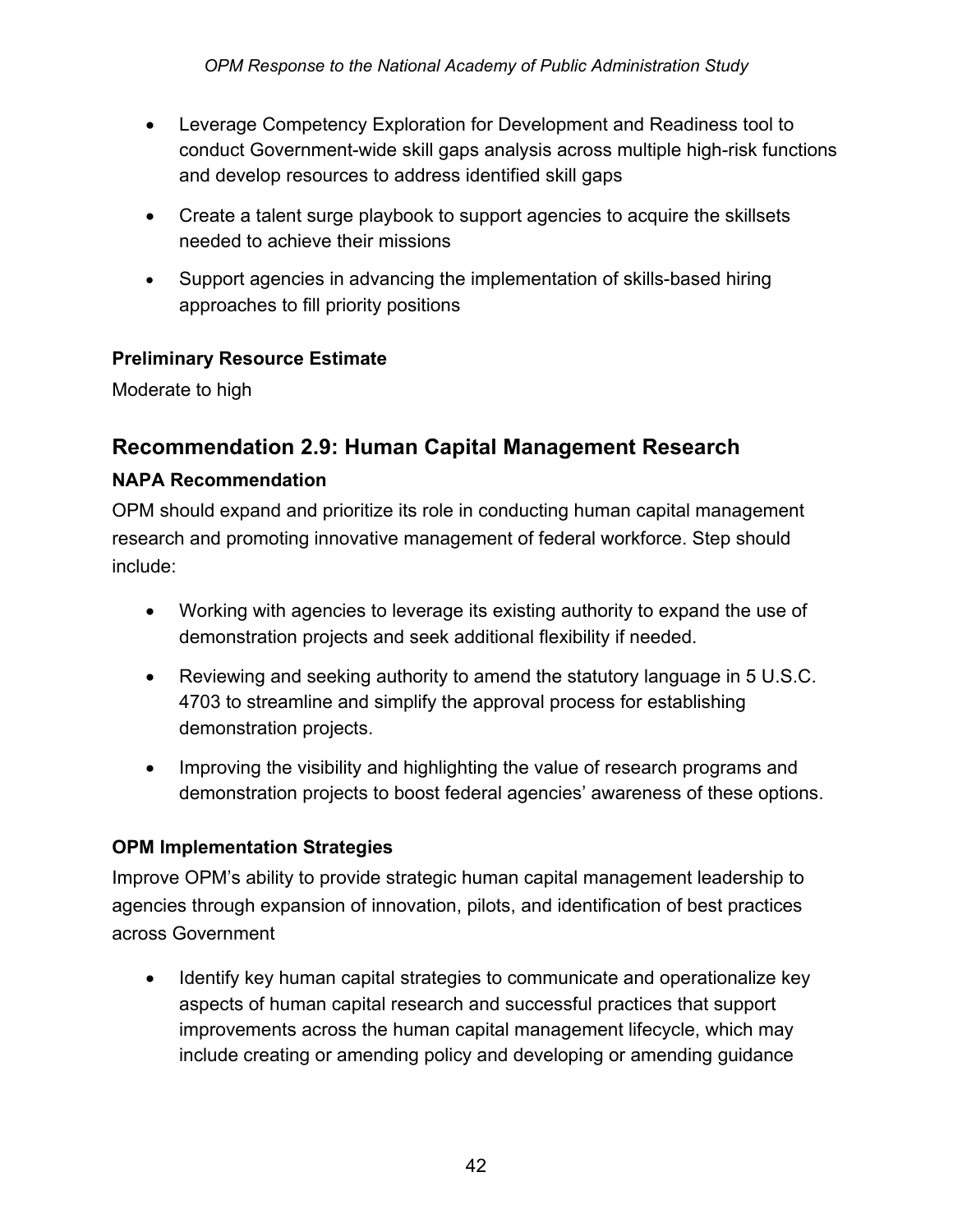- Leverage Competency Exploration for Development and Readiness tool to conduct Government-wide skill gaps analysis across multiple high-risk functions and develop resources to address identified skill gaps
- Create a talent surge playbook to support agencies to acquire the skillsets needed to achieve their missions
- Support agencies in advancing the implementation of skills-based hiring approaches to fill priority positions

Moderate to high

## <span id="page-46-0"></span>**Recommendation 2.9: Human Capital Management Research**

#### **NAPA Recommendation**

OPM should expand and prioritize its role in conducting human capital management research and promoting innovative management of federal workforce. Step should include:

- Working with agencies to leverage its existing authority to expand the use of demonstration projects and seek additional flexibility if needed.
- Reviewing and seeking authority to amend the statutory language in 5 U.S.C. 4703 to streamline and simplify the approval process for establishing demonstration projects.
- Improving the visibility and highlighting the value of research programs and demonstration projects to boost federal agencies' awareness of these options.

## **OPM Implementation Strategies**

Improve OPM's ability to provide strategic human capital management leadership to agencies through expansion of innovation, pilots, and identification of best practices across Government

• Identify key human capital strategies to communicate and operationalize key aspects of human capital research and successful practices that support improvements across the human capital management lifecycle, which may include creating or amending policy and developing or amending guidance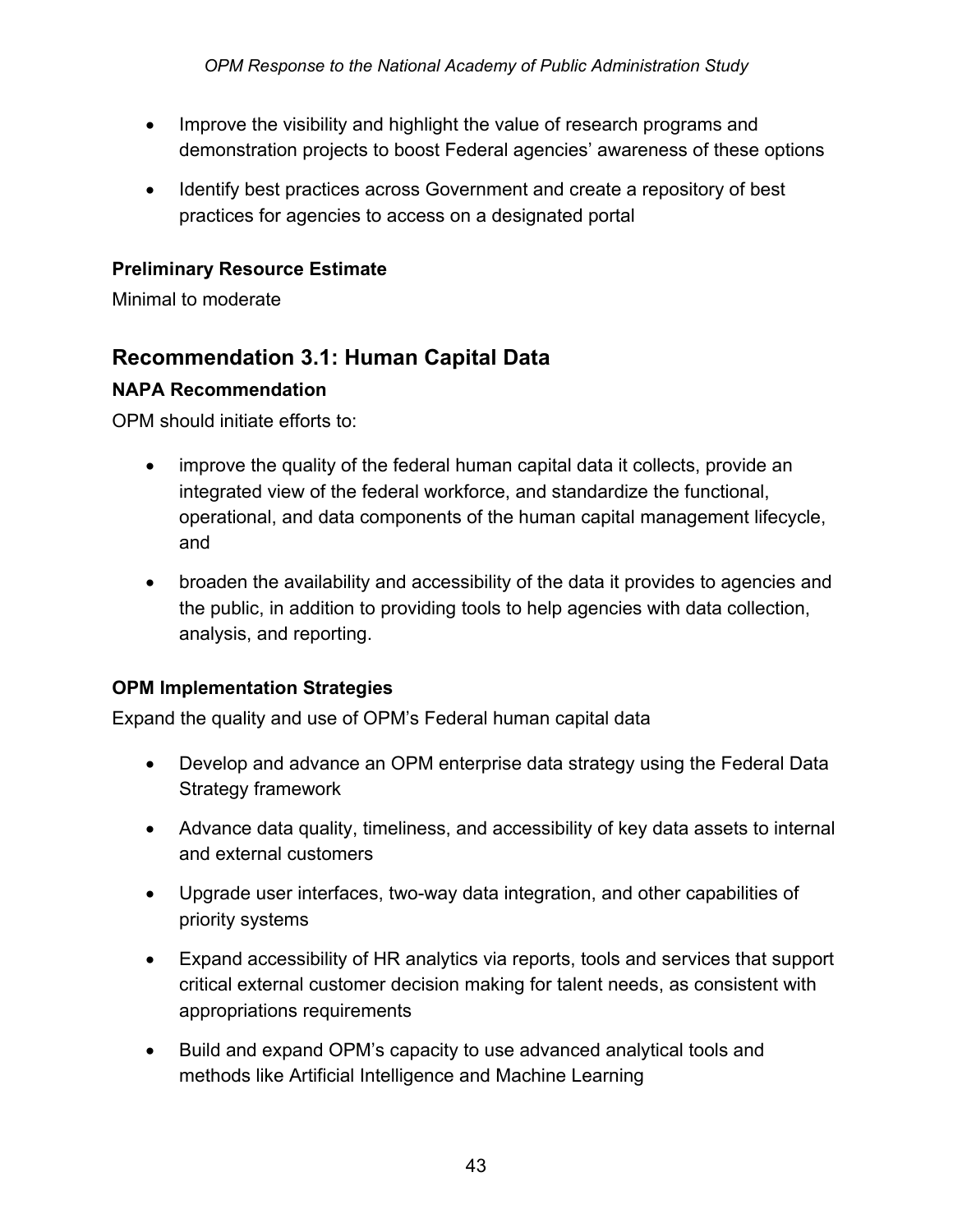- Improve the visibility and highlight the value of research programs and demonstration projects to boost Federal agencies' awareness of these options
- Identify best practices across Government and create a repository of best practices for agencies to access on a designated portal

Minimal to moderate

## <span id="page-47-0"></span>**Recommendation 3.1: Human Capital Data**

#### **NAPA Recommendation**

OPM should initiate efforts to:

- improve the quality of the federal human capital data it collects, provide an integrated view of the federal workforce, and standardize the functional, operational, and data components of the human capital management lifecycle, and
- broaden the availability and accessibility of the data it provides to agencies and the public, in addition to providing tools to help agencies with data collection, analysis, and reporting.

#### **OPM Implementation Strategies**

Expand the quality and use of OPM's Federal human capital data

- Develop and advance an OPM enterprise data strategy using the Federal Data Strategy framework
- Advance data quality, timeliness, and accessibility of key data assets to internal and external customers
- Upgrade user interfaces, two-way data integration, and other capabilities of priority systems
- Expand accessibility of HR analytics via reports, tools and services that support critical external customer decision making for talent needs, as consistent with appropriations requirements
- Build and expand OPM's capacity to use advanced analytical tools and methods like Artificial Intelligence and Machine Learning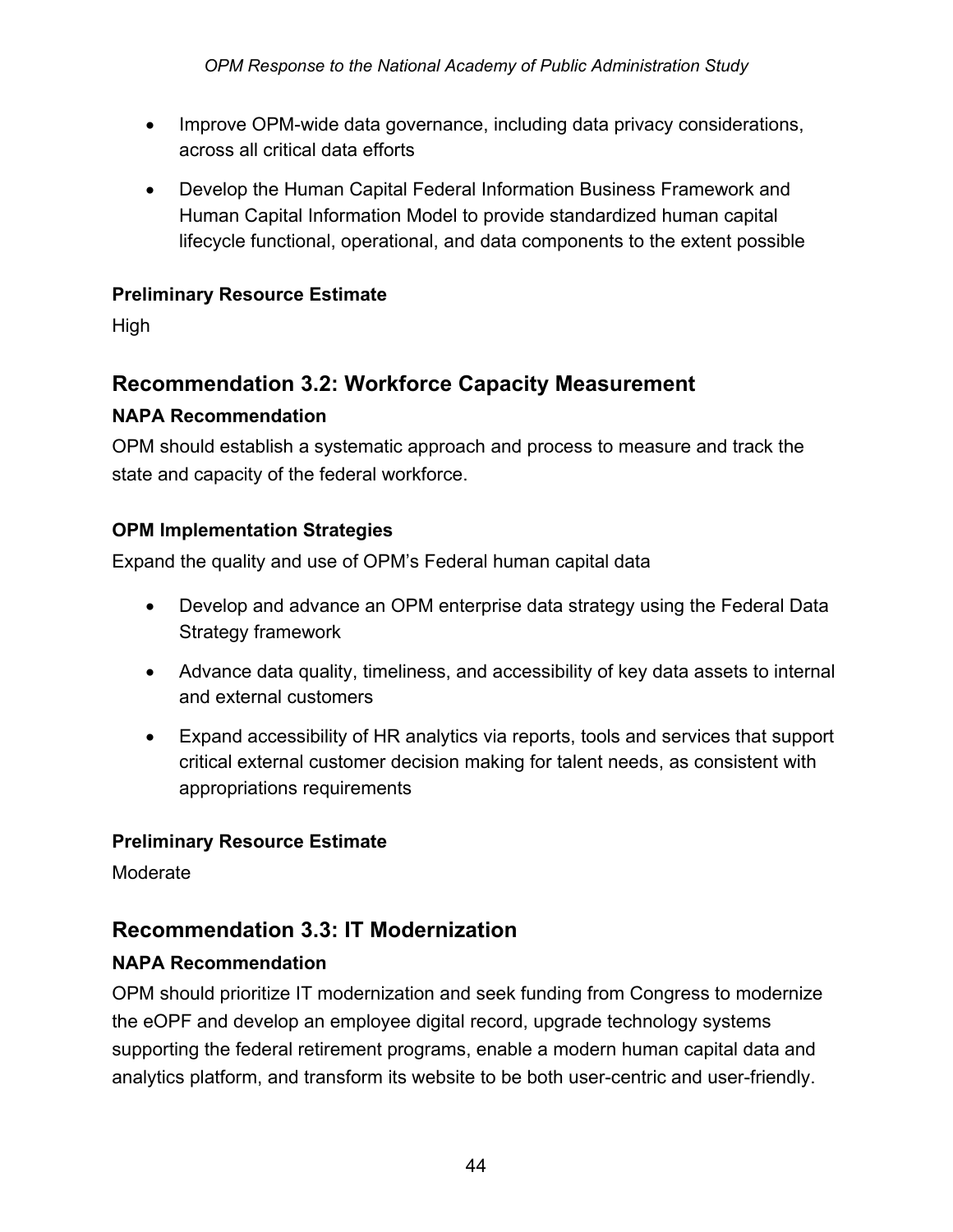- Improve OPM-wide data governance, including data privacy considerations, across all critical data efforts
- Develop the Human Capital Federal Information Business Framework and Human Capital Information Model to provide standardized human capital lifecycle functional, operational, and data components to the extent possible

High

## <span id="page-48-0"></span>**Recommendation 3.2: Workforce Capacity Measurement**

#### **NAPA Recommendation**

OPM should establish a systematic approach and process to measure and track the state and capacity of the federal workforce.

## **OPM Implementation Strategies**

Expand the quality and use of OPM's Federal human capital data

- Develop and advance an OPM enterprise data strategy using the Federal Data Strategy framework
- Advance data quality, timeliness, and accessibility of key data assets to internal and external customers
- Expand accessibility of HR analytics via reports, tools and services that support critical external customer decision making for talent needs, as consistent with appropriations requirements

## **Preliminary Resource Estimate**

Moderate

## <span id="page-48-1"></span>**Recommendation 3.3: IT Modernization**

## **NAPA Recommendation**

OPM should prioritize IT modernization and seek funding from Congress to modernize the eOPF and develop an employee digital record, upgrade technology systems supporting the federal retirement programs, enable a modern human capital data and analytics platform, and transform its website to be both user-centric and user-friendly.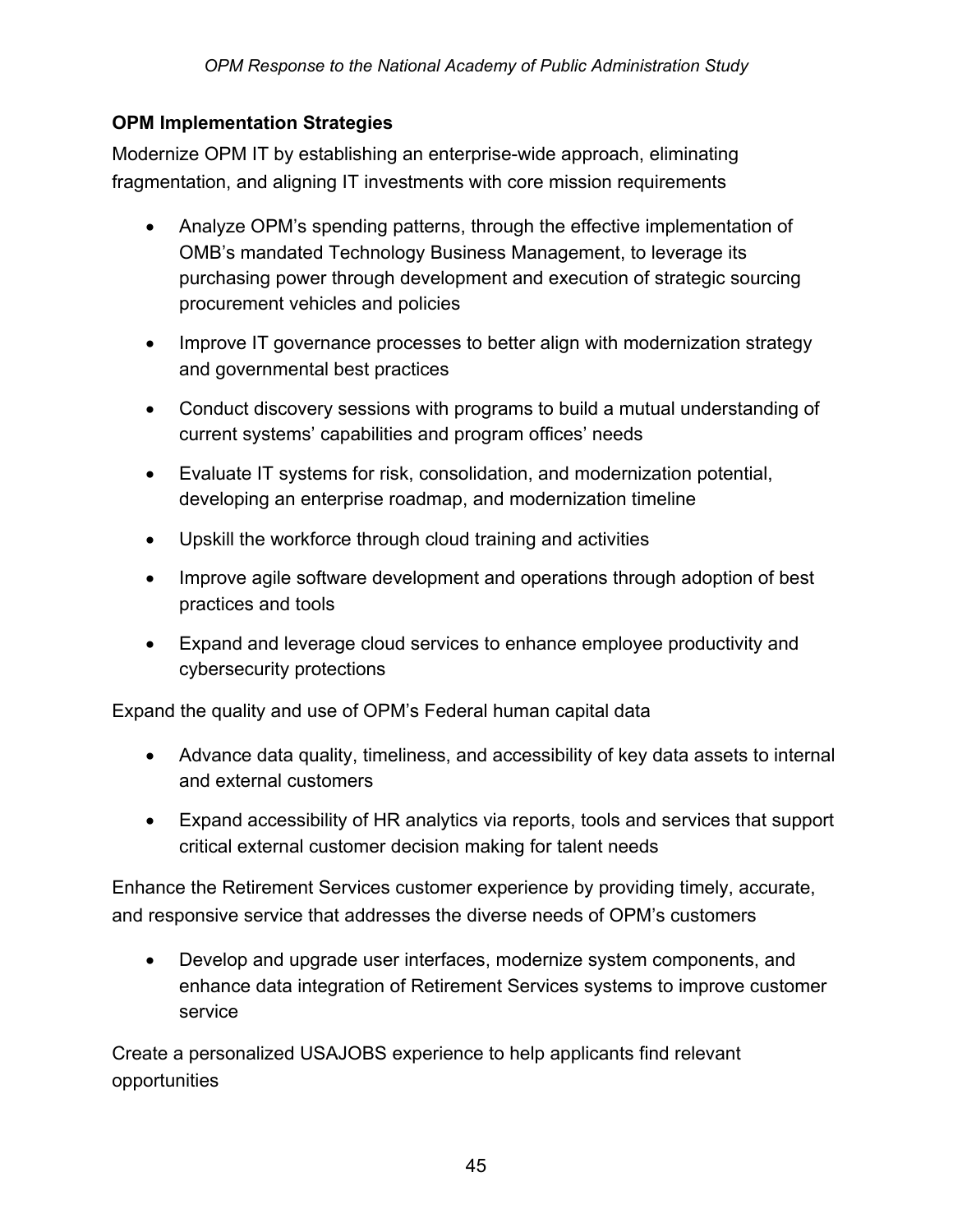#### **OPM Implementation Strategies**

Modernize OPM IT by establishing an enterprise-wide approach, eliminating fragmentation, and aligning IT investments with core mission requirements

- Analyze OPM's spending patterns, through the effective implementation of OMB's mandated Technology Business Management, to leverage its purchasing power through development and execution of strategic sourcing procurement vehicles and policies
- Improve IT governance processes to better align with modernization strategy and governmental best practices
- Conduct discovery sessions with programs to build a mutual understanding of current systems' capabilities and program offices' needs
- Evaluate IT systems for risk, consolidation, and modernization potential, developing an enterprise roadmap, and modernization timeline
- Upskill the workforce through cloud training and activities
- Improve agile software development and operations through adoption of best practices and tools
- Expand and leverage cloud services to enhance employee productivity and cybersecurity protections

Expand the quality and use of OPM's Federal human capital data

- Advance data quality, timeliness, and accessibility of key data assets to internal and external customers
- Expand accessibility of HR analytics via reports, tools and services that support critical external customer decision making for talent needs

Enhance the Retirement Services customer experience by providing timely, accurate, and responsive service that addresses the diverse needs of OPM's customers

• Develop and upgrade user interfaces, modernize system components, and enhance data integration of Retirement Services systems to improve customer service

Create a personalized USAJOBS experience to help applicants find relevant opportunities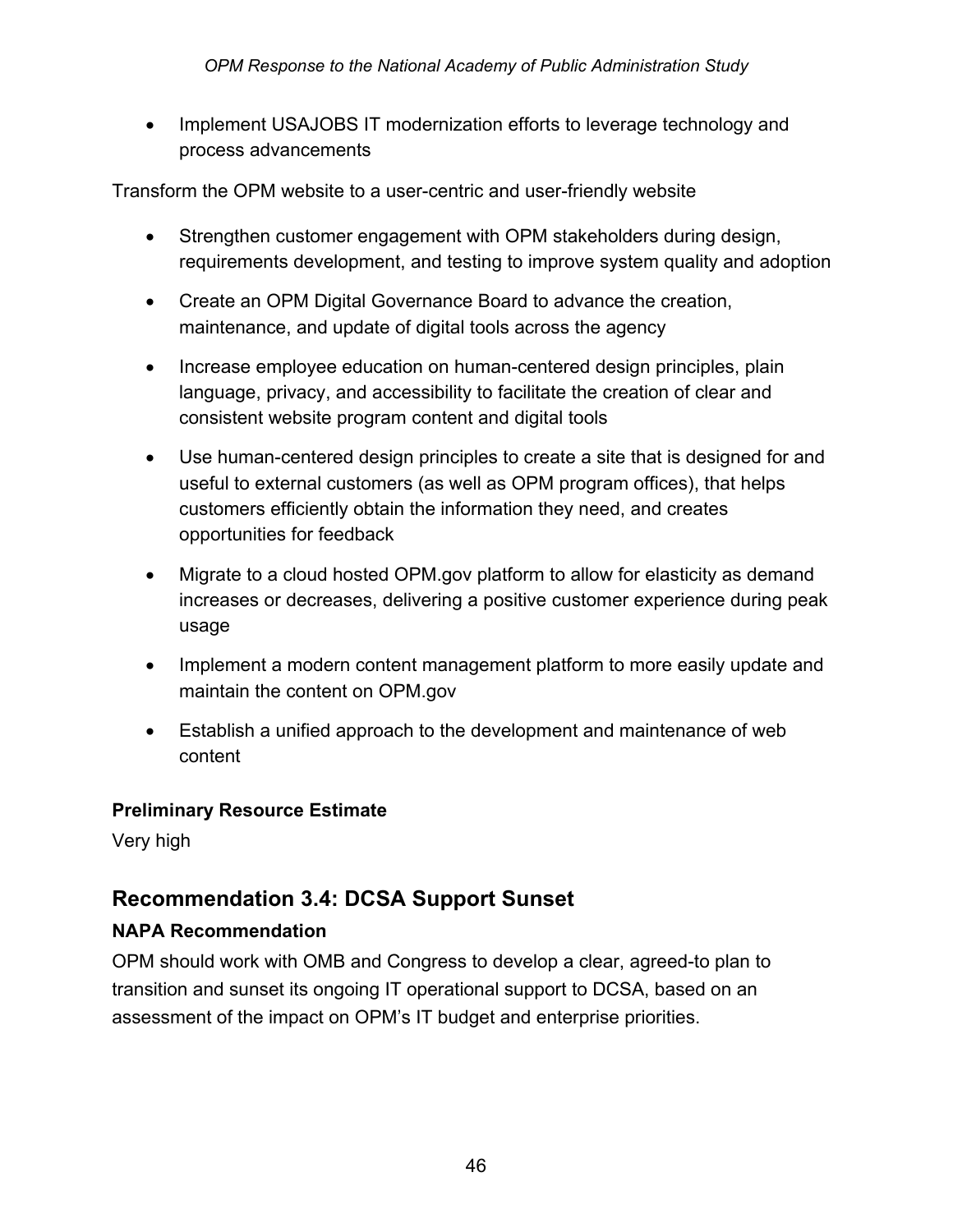• Implement USAJOBS IT modernization efforts to leverage technology and process advancements

Transform the OPM website to a user-centric and user-friendly website

- Strengthen customer engagement with OPM stakeholders during design, requirements development, and testing to improve system quality and adoption
- Create an OPM Digital Governance Board to advance the creation, maintenance, and update of digital tools across the agency
- Increase employee education on human-centered design principles, plain language, privacy, and accessibility to facilitate the creation of clear and consistent website program content and digital tools
- Use human-centered design principles to create a site that is designed for and useful to external customers (as well as OPM program offices), that helps customers efficiently obtain the information they need, and creates opportunities for feedback
- Migrate to a cloud hosted OPM.gov platform to allow for elasticity as demand increases or decreases, delivering a positive customer experience during peak usage
- Implement a modern content management platform to more easily update and maintain the content on OPM.gov
- Establish a unified approach to the development and maintenance of web content

## **Preliminary Resource Estimate**

Very high

## <span id="page-50-0"></span>**Recommendation 3.4: DCSA Support Sunset**

## **NAPA Recommendation**

OPM should work with OMB and Congress to develop a clear, agreed-to plan to transition and sunset its ongoing IT operational support to DCSA, based on an assessment of the impact on OPM's IT budget and enterprise priorities.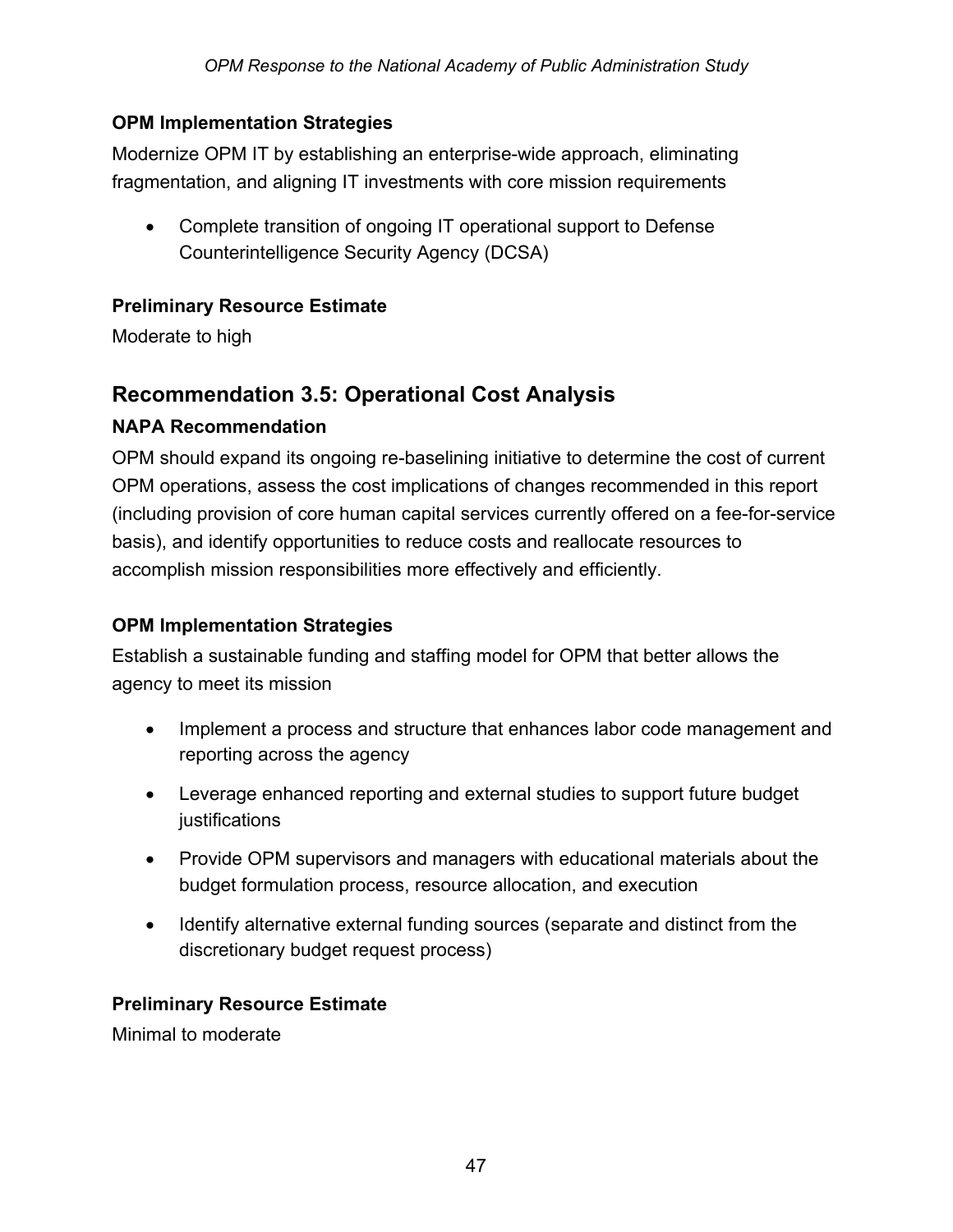#### **OPM Implementation Strategies**

Modernize OPM IT by establishing an enterprise-wide approach, eliminating fragmentation, and aligning IT investments with core mission requirements

• Complete transition of ongoing IT operational support to Defense Counterintelligence Security Agency (DCSA)

#### **Preliminary Resource Estimate**

Moderate to high

## <span id="page-51-0"></span>**Recommendation 3.5: Operational Cost Analysis**

#### **NAPA Recommendation**

OPM should expand its ongoing re-baselining initiative to determine the cost of current OPM operations, assess the cost implications of changes recommended in this report (including provision of core human capital services currently offered on a fee-for-service basis), and identify opportunities to reduce costs and reallocate resources to accomplish mission responsibilities more effectively and efficiently.

## **OPM Implementation Strategies**

Establish a sustainable funding and staffing model for OPM that better allows the agency to meet its mission

- Implement a process and structure that enhances labor code management and reporting across the agency
- Leverage enhanced reporting and external studies to support future budget justifications
- Provide OPM supervisors and managers with educational materials about the budget formulation process, resource allocation, and execution
- Identify alternative external funding sources (separate and distinct from the discretionary budget request process)

#### **Preliminary Resource Estimate**

Minimal to moderate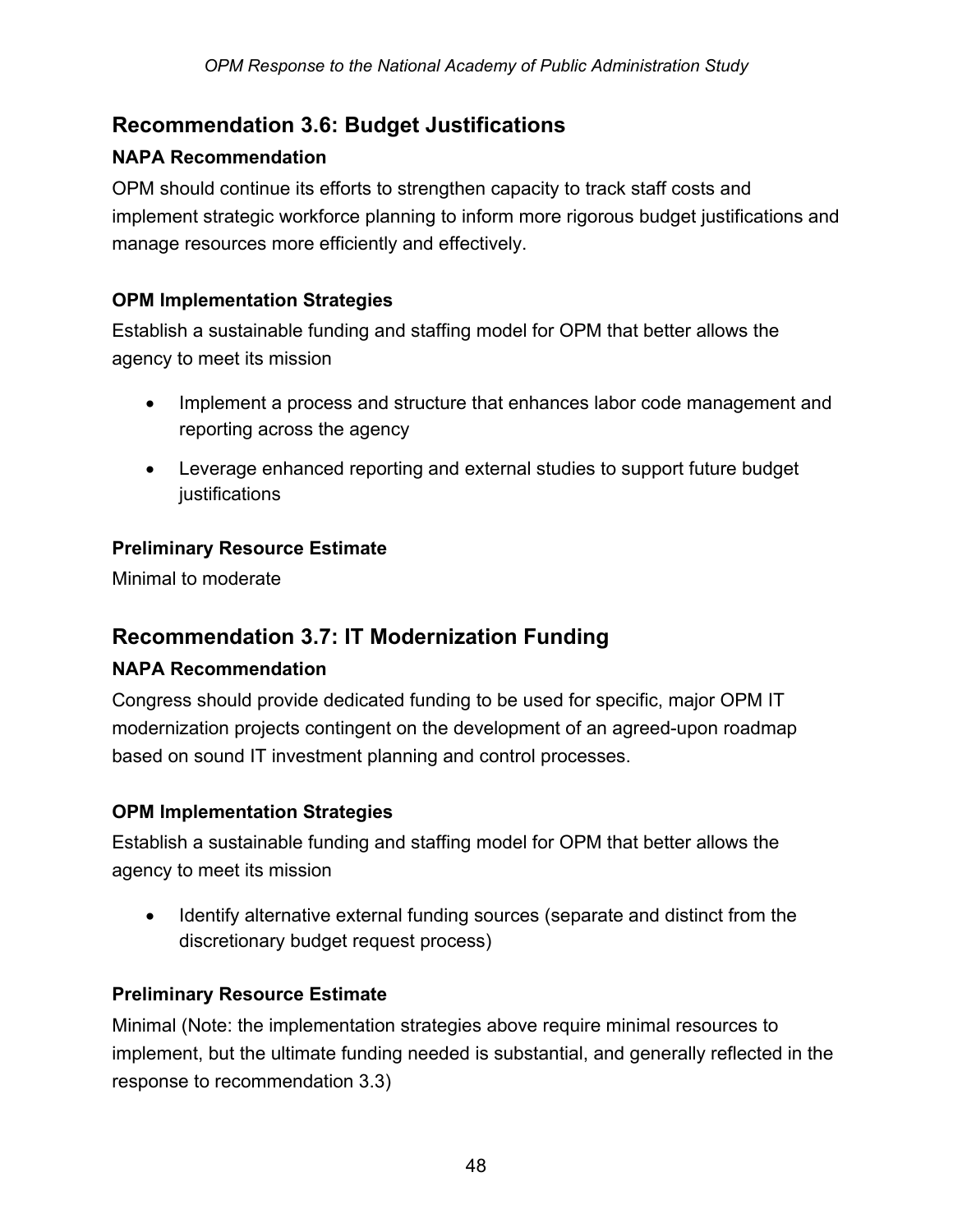## <span id="page-52-0"></span>**Recommendation 3.6: Budget Justifications**

## **NAPA Recommendation**

OPM should continue its efforts to strengthen capacity to track staff costs and implement strategic workforce planning to inform more rigorous budget justifications and manage resources more efficiently and effectively.

## **OPM Implementation Strategies**

Establish a sustainable funding and staffing model for OPM that better allows the agency to meet its mission

- Implement a process and structure that enhances labor code management and reporting across the agency
- Leverage enhanced reporting and external studies to support future budget justifications

## **Preliminary Resource Estimate**

Minimal to moderate

## <span id="page-52-1"></span>**Recommendation 3.7: IT Modernization Funding**

## **NAPA Recommendation**

Congress should provide dedicated funding to be used for specific, major OPM IT modernization projects contingent on the development of an agreed-upon roadmap based on sound IT investment planning and control processes.

## **OPM Implementation Strategies**

Establish a sustainable funding and staffing model for OPM that better allows the agency to meet its mission

• Identify alternative external funding sources (separate and distinct from the discretionary budget request process)

## **Preliminary Resource Estimate**

Minimal (Note: the implementation strategies above require minimal resources to implement, but the ultimate funding needed is substantial, and generally reflected in the response to recommendation 3.3)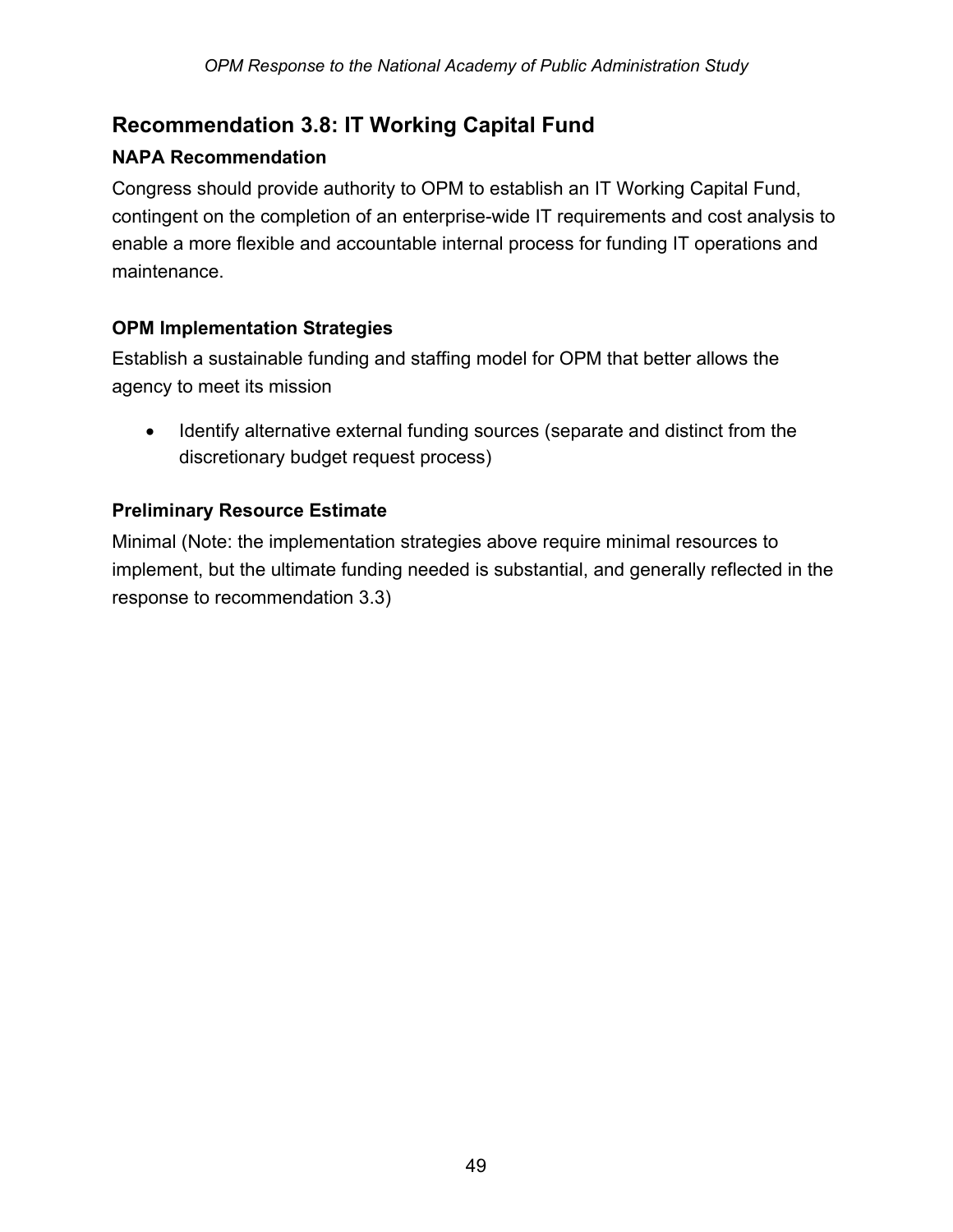## <span id="page-53-0"></span>**Recommendation 3.8: IT Working Capital Fund**

## **NAPA Recommendation**

Congress should provide authority to OPM to establish an IT Working Capital Fund, contingent on the completion of an enterprise-wide IT requirements and cost analysis to enable a more flexible and accountable internal process for funding IT operations and maintenance.

## **OPM Implementation Strategies**

Establish a sustainable funding and staffing model for OPM that better allows the agency to meet its mission

• Identify alternative external funding sources (separate and distinct from the discretionary budget request process)

## **Preliminary Resource Estimate**

Minimal (Note: the implementation strategies above require minimal resources to implement, but the ultimate funding needed is substantial, and generally reflected in the response to recommendation 3.3)